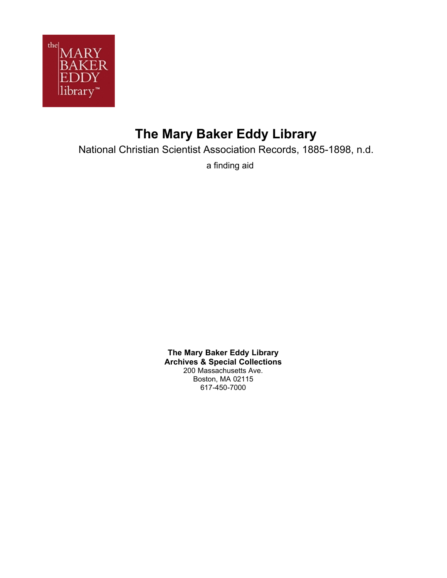

# **The Mary Baker Eddy Library**

National Christian Scientist Association Records, 1885-1898, n.d.

a finding aid

**The Mary Baker Eddy Library Archives & Special Collections** 200 Massachusetts Ave. Boston, MA 02115 617-450-7000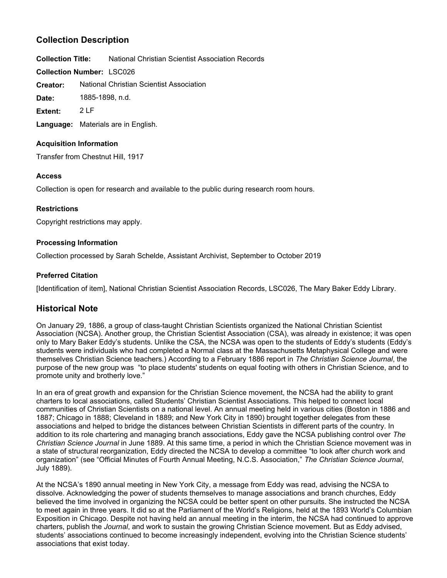# **Collection Description**

**Collection Title:** National Christian Scientist Association Records

**Collection Number:** LSC026

National Christian Scientist Association **Creator:**

**Date:** 1885-1898, n.d.

**Extent:** 2 LF

**Language:** Materials are in English.

# **Acquisition Information**

Transfer from Chestnut Hill, 1917

# **Access**

Collection is open for research and available to the public during research room hours.

# **Restrictions**

Copyright restrictions may apply.

# **Processing Information**

Collection processed by Sarah Schelde, Assistant Archivist, September to October 2019

# **Preferred Citation**

[Identification of item], National Christian Scientist Association Records, LSC026, The Mary Baker Eddy Library.

# **Historical Note**

On January 29, 1886, a group of class-taught Christian Scientists organized the National Christian Scientist Association (NCSA). Another group, the Christian Scientist Association (CSA), was already in existence; it was open only to Mary Baker Eddy's students. Unlike the CSA, the NCSA was open to the students of Eddy's students (Eddy's students were individuals who had completed a Normal class at the Massachusetts Metaphysical College and were themselves Christian Science teachers.) According to a February 1886 report in *The Christian Science Journal*, the purpose of the new group was "to place students' students on equal footing with others in Christian Science, and to promote unity and brotherly love."

In an era of great growth and expansion for the Christian Science movement, the NCSA had the ability to grant charters to local associations, called Students' Christian Scientist Associations. This helped to connect local communities of Christian Scientists on a national level. An annual meeting held in various cities (Boston in 1886 and 1887; Chicago in 1888; Cleveland in 1889; and New York City in 1890) brought together delegates from these associations and helped to bridge the distances between Christian Scientists in different parts of the country. In addition to its role chartering and managing branch associations, Eddy gave the NCSA publishing control over *The Christian Science Journal* in June 1889. At this same time, a period in which the Christian Science movement was in a state of structural reorganization, Eddy directed the NCSA to develop a committee "to look after church work and organization" (see "Official Minutes of Fourth Annual Meeting, N.C.S. Association," *The Christian Science Journal*, July 1889).

At the NCSA's 1890 annual meeting in New York City, a message from Eddy was read, advising the NCSA to dissolve. Acknowledging the power of students themselves to manage associations and branch churches, Eddy believed the time involved in organizing the NCSA could be better spent on other pursuits. She instructed the NCSA to meet again in three years. It did so at the Parliament of the World's Religions, held at the 1893 World's Columbian Exposition in Chicago. Despite not having held an annual meeting in the interim, the NCSA had continued to approve charters, publish the *Journal*, and work to sustain the growing Christian Science movement. But as Eddy advised, students' associations continued to become increasingly independent, evolving into the Christian Science students' associations that exist today.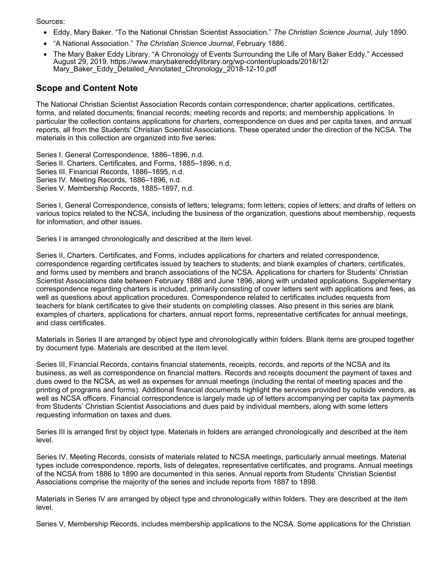Sources:

- Eddy, Mary Baker. "To the National Christian Scientist Association." *The Christian Science Journal*, July 1890.
- "A National Association." *The Christian Science Journal*, February 1886.
- The Mary Baker Eddy Library. "A Chronology of Events Surrounding the Life of Mary Baker Eddy." Accessed August 29, 2019. https://www.marybakereddylibrary.org/wp-content/uploads/2018/12/ Mary\_Baker\_Eddy\_Detailed\_Annotated\_Chronology\_2018-12-10.pdf

# **Scope and Content Note**

The National Christian Scientist Association Records contain correspondence; charter applications, certificates, forms, and related documents; financial records; meeting records and reports; and membership applications. In particular the collection contains applications for charters, correspondence on dues and per capita taxes, and annual reports, all from the Students' Christian Scientist Associations. These operated under the direction of the NCSA. The materials in this collection are organized into five series:

Series I. General Correspondence, 1886–1896, n.d. Series II. Charters, Certificates, and Forms, 1885–1896, n.d. Series III. Financial Records, 1886–1895, n.d. Series IV. Meeting Records, 1886–1896, n.d. Series V. Membership Records, 1885–1897, n.d.

Series I, General Correspondence, consists of letters; telegrams; form letters; copies of letters; and drafts of letters on various topics related to the NCSA, including the business of the organization, questions about membership, requests for information, and other issues.

Series I is arranged chronologically and described at the item level.

Series II, Charters, Certificates, and Forms, includes applications for charters and related correspondence; correspondence regarding certificates issued by teachers to students; and blank examples of charters, certificates, and forms used by members and branch associations of the NCSA. Applications for charters for Students' Christian Scientist Associations date between February 1886 and June 1896, along with undated applications. Supplementary correspondence regarding charters is included, primarily consisting of cover letters sent with applications and fees, as well as questions about application procedures. Correspondence related to certificates includes requests from teachers for blank certificates to give their students on completing classes. Also present in this series are blank examples of charters, applications for charters, annual report forms, representative certificates for annual meetings, and class certificates.

Materials in Series II are arranged by object type and chronologically within folders. Blank items are grouped together by document type. Materials are described at the item level.

Series III, Financial Records, contains financial statements, receipts, records, and reports of the NCSA and its business, as well as correspondence on financial matters. Records and receipts document the payment of taxes and dues owed to the NCSA, as well as expenses for annual meetings (including the rental of meeting spaces and the printing of programs and forms). Additional financial documents highlight the services provided by outside vendors, as well as NCSA officers. Financial correspondence is largely made up of letters accompanying per capita tax payments from Students' Christian Scientist Associations and dues paid by individual members, along with some letters requesting information on taxes and dues.

Series III is arranged first by object type. Materials in folders are arranged chronologically and described at the item level.

Series IV, Meeting Records, consists of materials related to NCSA meetings, particularly annual meetings. Material types include correspondence, reports, lists of delegates, representative certificates, and programs. Annual meetings of the NCSA from 1886 to 1890 are documented in this series. Annual reports from Students' Christian Scientist Associations comprise the majority of the series and include reports from 1887 to 1898.

Materials in Series IV are arranged by object type and chronologically within folders. They are described at the item level.

Series V, Membership Records, includes membership applications to the NCSA. Some applications for the Christian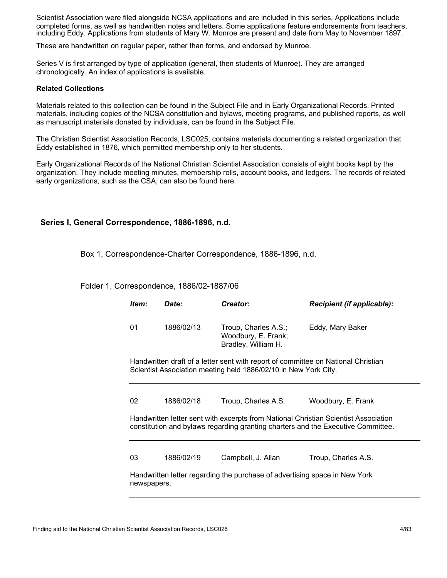Scientist Association were filed alongside NCSA applications and are included in this series. Applications include completed forms, as well as handwritten notes and letters. Some applications feature endorsements from teachers, including Eddy. Applications from students of Mary W. Monroe are present and date from May to November 1897.

These are handwritten on regular paper, rather than forms, and endorsed by Munroe.

Series V is first arranged by type of application (general, then students of Munroe). They are arranged chronologically. An index of applications is available.

#### **Related Collections**

Materials related to this collection can be found in the Subject File and in Early Organizational Records. Printed materials, including copies of the NCSA constitution and bylaws, meeting programs, and published reports, as well as manuscript materials donated by individuals, can be found in the Subject File.

The Christian Scientist Association Records, LSC025, contains materials documenting a related organization that Eddy established in 1876, which permitted membership only to her students.

Early Organizational Records of the National Christian Scientist Association consists of eight books kept by the organization. They include meeting minutes, membership rolls, account books, and ledgers. The records of related early organizations, such as the CSA, can also be found here.

### **Series I, General Correspondence, 1886-1896, n.d.**

Box 1, Correspondence-Charter Correspondence, 1886-1896, n.d.

Folder 1, Correspondence, 1886/02-1887/06

| Item:       | Date:                                                   | Creator:                                                                   | <b>Recipient (if applicable):</b>                                                                                                                                       |
|-------------|---------------------------------------------------------|----------------------------------------------------------------------------|-------------------------------------------------------------------------------------------------------------------------------------------------------------------------|
| 01          | 1886/02/13                                              | Troup, Charles A.S.;<br>Woodbury, E. Frank;<br>Bradley, William H.         | Eddy, Mary Baker                                                                                                                                                        |
|             |                                                         | Scientist Association meeting held 1886/02/10 in New York City.            | Handwritten draft of a letter sent with report of committee on National Christian                                                                                       |
| 02          | 1886/02/18                                              | Troup, Charles A.S.                                                        | Woodbury, E. Frank                                                                                                                                                      |
|             |                                                         |                                                                            | Handwritten letter sent with excerpts from National Christian Scientist Association<br>constitution and bylaws regarding granting charters and the Executive Committee. |
| 03          | 1886/02/19<br>Campbell, J. Allan<br>Troup, Charles A.S. |                                                                            |                                                                                                                                                                         |
| newspapers. |                                                         | Handwritten letter regarding the purchase of advertising space in New York |                                                                                                                                                                         |

Finding aid to the National Christian Scientist Association Records, LSC026 4/83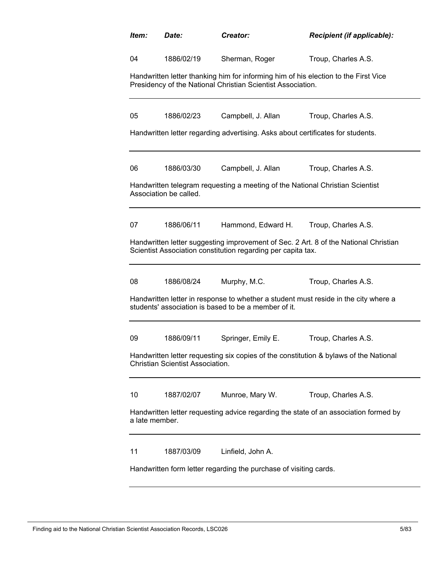| Item:          | Date:                                                                                                                                       | Creator:                                                                                                                                           | Recipient (if applicable):                                                           |  |  |
|----------------|---------------------------------------------------------------------------------------------------------------------------------------------|----------------------------------------------------------------------------------------------------------------------------------------------------|--------------------------------------------------------------------------------------|--|--|
| 04             | 1886/02/19                                                                                                                                  | Sherman, Roger                                                                                                                                     | Troup, Charles A.S.                                                                  |  |  |
|                |                                                                                                                                             | Handwritten letter thanking him for informing him of his election to the First Vice<br>Presidency of the National Christian Scientist Association. |                                                                                      |  |  |
| 05             | 1886/02/23                                                                                                                                  | Campbell, J. Allan                                                                                                                                 | Troup, Charles A.S.                                                                  |  |  |
|                |                                                                                                                                             | Handwritten letter regarding advertising. Asks about certificates for students.                                                                    |                                                                                      |  |  |
| 06             | 1886/03/30                                                                                                                                  | Campbell, J. Allan                                                                                                                                 | Troup, Charles A.S.                                                                  |  |  |
|                | Association be called.                                                                                                                      | Handwritten telegram requesting a meeting of the National Christian Scientist                                                                      |                                                                                      |  |  |
| 07             | 1886/06/11                                                                                                                                  | Hammond, Edward H.                                                                                                                                 | Troup, Charles A.S.                                                                  |  |  |
|                |                                                                                                                                             | Scientist Association constitution regarding per capita tax.                                                                                       | Handwritten letter suggesting improvement of Sec. 2 Art. 8 of the National Christian |  |  |
| 08             | 1886/08/24                                                                                                                                  | Murphy, M.C.                                                                                                                                       | Troup, Charles A.S.                                                                  |  |  |
|                | Handwritten letter in response to whether a student must reside in the city where a<br>students' association is based to be a member of it. |                                                                                                                                                    |                                                                                      |  |  |
| 09             | 1886/09/11                                                                                                                                  | Springer, Emily E.                                                                                                                                 | Troup, Charles A.S.                                                                  |  |  |
|                | Handwritten letter requesting six copies of the constitution & bylaws of the National<br><b>Christian Scientist Association.</b>            |                                                                                                                                                    |                                                                                      |  |  |
| 10             | 1887/02/07                                                                                                                                  | Munroe, Mary W.                                                                                                                                    | Troup, Charles A.S.                                                                  |  |  |
| a late member. |                                                                                                                                             |                                                                                                                                                    | Handwritten letter requesting advice regarding the state of an association formed by |  |  |
| 11             | 1887/03/09                                                                                                                                  | Linfield, John A.                                                                                                                                  |                                                                                      |  |  |
|                | Handwritten form letter regarding the purchase of visiting cards.                                                                           |                                                                                                                                                    |                                                                                      |  |  |

Finding aid to the National Christian Scientist Association Records, LSC026 5/83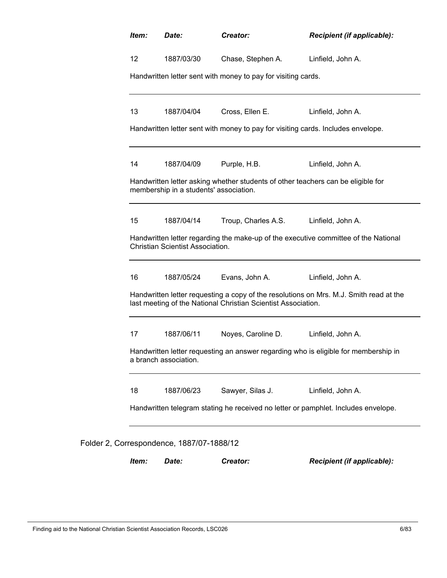| Item: | Date:                                                                                                                                                   | Creator:                                                      | Recipient (if applicable):                                                          |  |
|-------|---------------------------------------------------------------------------------------------------------------------------------------------------------|---------------------------------------------------------------|-------------------------------------------------------------------------------------|--|
| 12    | 1887/03/30                                                                                                                                              | Chase, Stephen A.                                             | Linfield, John A.                                                                   |  |
|       |                                                                                                                                                         | Handwritten letter sent with money to pay for visiting cards. |                                                                                     |  |
| 13    | 1887/04/04                                                                                                                                              | Cross, Ellen E.                                               | Linfield, John A.                                                                   |  |
|       |                                                                                                                                                         |                                                               | Handwritten letter sent with money to pay for visiting cards. Includes envelope.    |  |
| 14    | 1887/04/09                                                                                                                                              | Purple, H.B.                                                  | Linfield, John A.                                                                   |  |
|       | membership in a students' association.                                                                                                                  |                                                               | Handwritten letter asking whether students of other teachers can be eligible for    |  |
| 15    | 1887/04/14                                                                                                                                              | Troup, Charles A.S.                                           | Linfield, John A.                                                                   |  |
|       | <b>Christian Scientist Association.</b>                                                                                                                 |                                                               | Handwritten letter regarding the make-up of the executive committee of the National |  |
| 16    | 1887/05/24                                                                                                                                              | Evans, John A.                                                | Linfield, John A.                                                                   |  |
|       | Handwritten letter requesting a copy of the resolutions on Mrs. M.J. Smith read at the<br>last meeting of the National Christian Scientist Association. |                                                               |                                                                                     |  |
| 17    | 1887/06/11                                                                                                                                              | Noyes, Caroline D.                                            | Linfield, John A.                                                                   |  |
|       | a branch association.                                                                                                                                   |                                                               | Handwritten letter requesting an answer regarding who is eligible for membership in |  |
| 18    | 1887/06/23                                                                                                                                              | Sawyer, Silas J.                                              | Linfield, John A.                                                                   |  |
|       | Handwritten telegram stating he received no letter or pamphlet. Includes envelope.                                                                      |                                                               |                                                                                     |  |
|       | Folder 2, Correspondence, 1887/07-1888/12                                                                                                               |                                                               |                                                                                     |  |
| Item: | Date:                                                                                                                                                   | Creator:                                                      | Recipient (if applicable):                                                          |  |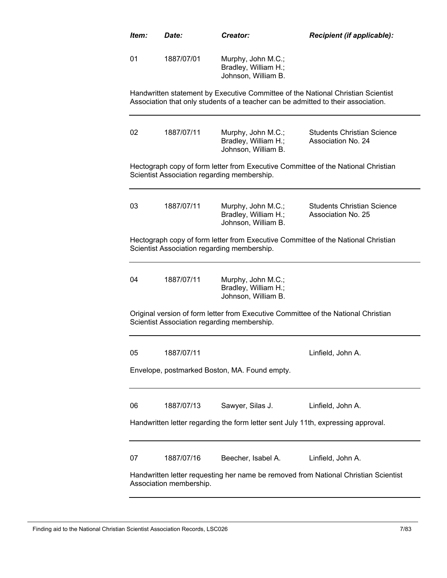| Item: | Date:                                                                                                          | Creator:                                                          | <b>Recipient (if applicable):</b>                                                                                                                                     |  |
|-------|----------------------------------------------------------------------------------------------------------------|-------------------------------------------------------------------|-----------------------------------------------------------------------------------------------------------------------------------------------------------------------|--|
| 01    | 1887/07/01                                                                                                     | Murphy, John M.C.;<br>Bradley, William H.;<br>Johnson, William B. |                                                                                                                                                                       |  |
|       |                                                                                                                |                                                                   | Handwritten statement by Executive Committee of the National Christian Scientist<br>Association that only students of a teacher can be admitted to their association. |  |
| 02    | 1887/07/11                                                                                                     | Murphy, John M.C.;<br>Bradley, William H.;<br>Johnson, William B. | <b>Students Christian Science</b><br>Association No. 24                                                                                                               |  |
|       |                                                                                                                | Scientist Association regarding membership.                       | Hectograph copy of form letter from Executive Committee of the National Christian                                                                                     |  |
| 03    | 1887/07/11                                                                                                     | Murphy, John M.C.;<br>Bradley, William H.;<br>Johnson, William B. | <b>Students Christian Science</b><br>Association No. 25                                                                                                               |  |
|       |                                                                                                                | Scientist Association regarding membership.                       | Hectograph copy of form letter from Executive Committee of the National Christian                                                                                     |  |
| 04    | 1887/07/11                                                                                                     | Murphy, John M.C.;<br>Bradley, William H.;<br>Johnson, William B. |                                                                                                                                                                       |  |
|       |                                                                                                                | Scientist Association regarding membership.                       | Original version of form letter from Executive Committee of the National Christian                                                                                    |  |
| 05    | 1887/07/11                                                                                                     |                                                                   | Linfield, John A                                                                                                                                                      |  |
|       |                                                                                                                | Envelope, postmarked Boston, MA. Found empty.                     |                                                                                                                                                                       |  |
| 06    | 1887/07/13                                                                                                     | Sawyer, Silas J.                                                  | Linfield, John A.                                                                                                                                                     |  |
|       |                                                                                                                |                                                                   | Handwritten letter regarding the form letter sent July 11th, expressing approval.                                                                                     |  |
| 07    | 1887/07/16                                                                                                     | Beecher, Isabel A.                                                | Linfield, John A.                                                                                                                                                     |  |
|       | Handwritten letter requesting her name be removed from National Christian Scientist<br>Association membership. |                                                                   |                                                                                                                                                                       |  |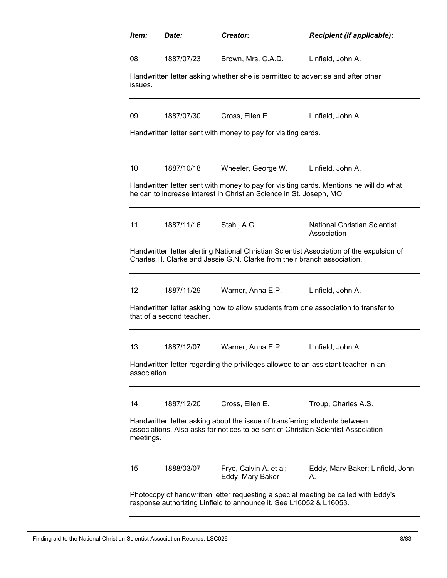| Item:                                                                                                                                                    | Date:                                                                                                                                                                        | <b>Creator:</b>                                                                   | <b>Recipient (if applicable):</b>                                                        |  |
|----------------------------------------------------------------------------------------------------------------------------------------------------------|------------------------------------------------------------------------------------------------------------------------------------------------------------------------------|-----------------------------------------------------------------------------------|------------------------------------------------------------------------------------------|--|
| 08                                                                                                                                                       | 1887/07/23                                                                                                                                                                   | Brown, Mrs. C.A.D.                                                                | Linfield, John A.                                                                        |  |
| issues.                                                                                                                                                  |                                                                                                                                                                              | Handwritten letter asking whether she is permitted to advertise and after other   |                                                                                          |  |
| 09                                                                                                                                                       | 1887/07/30                                                                                                                                                                   | Cross, Ellen E.                                                                   | Linfield, John A.                                                                        |  |
|                                                                                                                                                          |                                                                                                                                                                              | Handwritten letter sent with money to pay for visiting cards.                     |                                                                                          |  |
| 10                                                                                                                                                       | 1887/10/18                                                                                                                                                                   | Wheeler, George W.                                                                | Linfield, John A.                                                                        |  |
|                                                                                                                                                          |                                                                                                                                                                              | he can to increase interest in Christian Science in St. Joseph, MO.               | Handwritten letter sent with money to pay for visiting cards. Mentions he will do what   |  |
| 11                                                                                                                                                       | 1887/11/16                                                                                                                                                                   | Stahl, A.G.                                                                       | <b>National Christian Scientist</b><br>Association                                       |  |
|                                                                                                                                                          |                                                                                                                                                                              | Charles H. Clarke and Jessie G.N. Clarke from their branch association.           | Handwritten letter alerting National Christian Scientist Association of the expulsion of |  |
| 12                                                                                                                                                       | 1887/11/29                                                                                                                                                                   | Warner, Anna E.P.                                                                 | Linfield, John A.                                                                        |  |
|                                                                                                                                                          | Handwritten letter asking how to allow students from one association to transfer to<br>that of a second teacher.                                                             |                                                                                   |                                                                                          |  |
| 13                                                                                                                                                       | 1887/12/07                                                                                                                                                                   | Warner, Anna E.P.                                                                 | Linfield, John A.                                                                        |  |
| association.                                                                                                                                             |                                                                                                                                                                              | Handwritten letter regarding the privileges allowed to an assistant teacher in an |                                                                                          |  |
| 14                                                                                                                                                       | 1887/12/20                                                                                                                                                                   | Cross, Ellen E.                                                                   | Troup, Charles A.S.                                                                      |  |
|                                                                                                                                                          | Handwritten letter asking about the issue of transferring students between<br>associations. Also asks for notices to be sent of Christian Scientist Association<br>meetings. |                                                                                   |                                                                                          |  |
| 15                                                                                                                                                       | 1888/03/07                                                                                                                                                                   | Frye, Calvin A. et al;<br>Eddy, Mary Baker                                        | Eddy, Mary Baker; Linfield, John<br>А.                                                   |  |
| Photocopy of handwritten letter requesting a special meeting be called with Eddy's<br>response authorizing Linfield to announce it. See L16052 & L16053. |                                                                                                                                                                              |                                                                                   |                                                                                          |  |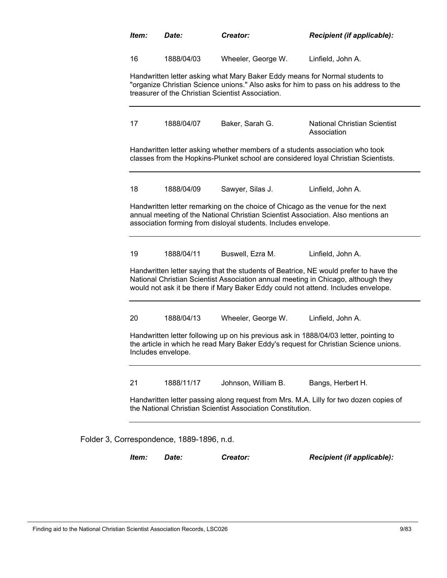| Item:              | Date:                                     | Creator:                                                                                                                                                                                                                              | Recipient (if applicable):                                                                                                                                                    |
|--------------------|-------------------------------------------|---------------------------------------------------------------------------------------------------------------------------------------------------------------------------------------------------------------------------------------|-------------------------------------------------------------------------------------------------------------------------------------------------------------------------------|
| 16                 | 1888/04/03                                | Wheeler, George W.                                                                                                                                                                                                                    | Linfield, John A.                                                                                                                                                             |
|                    |                                           | Handwritten letter asking what Mary Baker Eddy means for Normal students to<br>treasurer of the Christian Scientist Association.                                                                                                      | "organize Christian Science unions." Also asks for him to pass on his address to the                                                                                          |
| 17                 | 1888/04/07                                | Baker, Sarah G.                                                                                                                                                                                                                       | National Christian Scientist<br>Association                                                                                                                                   |
|                    |                                           | Handwritten letter asking whether members of a students association who took                                                                                                                                                          | classes from the Hopkins-Plunket school are considered loyal Christian Scientists.                                                                                            |
| 18                 | 1888/04/09                                | Sawyer, Silas J.                                                                                                                                                                                                                      | Linfield, John A.                                                                                                                                                             |
|                    |                                           | Handwritten letter remarking on the choice of Chicago as the venue for the next<br>annual meeting of the National Christian Scientist Association. Also mentions an<br>association forming from disloyal students. Includes envelope. |                                                                                                                                                                               |
| 19                 | 1888/04/11                                | Buswell, Ezra M.                                                                                                                                                                                                                      | Linfield, John A.                                                                                                                                                             |
|                    |                                           | National Christian Scientist Association annual meeting in Chicago, although they<br>would not ask it be there if Mary Baker Eddy could not attend. Includes envelope.                                                                | Handwritten letter saying that the students of Beatrice, NE would prefer to have the                                                                                          |
| 20                 | 1888/04/13                                | Wheeler, George W.                                                                                                                                                                                                                    | Linfield, John A.                                                                                                                                                             |
| Includes envelope. |                                           |                                                                                                                                                                                                                                       | Handwritten letter following up on his previous ask in 1888/04/03 letter, pointing to<br>the article in which he read Mary Baker Eddy's request for Christian Science unions. |
| 21                 | 1888/11/17                                | Johnson, William B.                                                                                                                                                                                                                   | Bangs, Herbert H.                                                                                                                                                             |
|                    |                                           | the National Christian Scientist Association Constitution.                                                                                                                                                                            | Handwritten letter passing along request from Mrs. M.A. Lilly for two dozen copies of                                                                                         |
|                    | Folder 3, Correspondence, 1889-1896, n.d. |                                                                                                                                                                                                                                       |                                                                                                                                                                               |
| Item:              | Date:                                     | Creator:                                                                                                                                                                                                                              | Recipient (if applicable):                                                                                                                                                    |

Finding aid to the National Christian Scientist Association Records, LSC026 9/83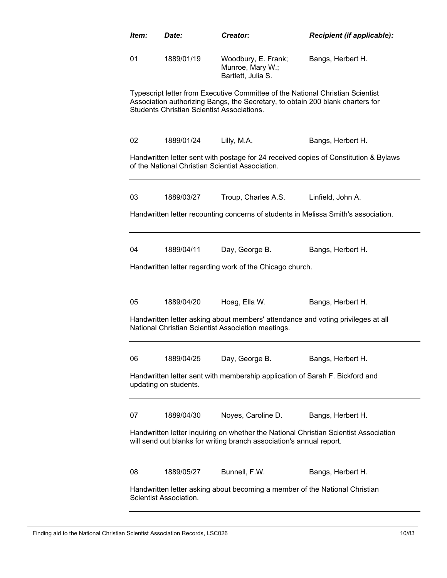| ltem:                                                                                                                                                        | Date:                                                                                                 | Creator:                                                                                                                                                         | Recipient (if applicable):                                                           |  |  |
|--------------------------------------------------------------------------------------------------------------------------------------------------------------|-------------------------------------------------------------------------------------------------------|------------------------------------------------------------------------------------------------------------------------------------------------------------------|--------------------------------------------------------------------------------------|--|--|
| 01                                                                                                                                                           | 1889/01/19                                                                                            | Woodbury, E. Frank;<br>Munroe, Mary W.;<br>Bartlett, Julia S.                                                                                                    | Bangs, Herbert H.                                                                    |  |  |
|                                                                                                                                                              | <b>Students Christian Scientist Associations.</b>                                                     | Typescript letter from Executive Committee of the National Christian Scientist<br>Association authorizing Bangs, the Secretary, to obtain 200 blank charters for |                                                                                      |  |  |
| 02                                                                                                                                                           | 1889/01/24                                                                                            | Lilly, M.A.                                                                                                                                                      | Bangs, Herbert H.                                                                    |  |  |
|                                                                                                                                                              |                                                                                                       | of the National Christian Scientist Association.                                                                                                                 | Handwritten letter sent with postage for 24 received copies of Constitution & Bylaws |  |  |
| 03                                                                                                                                                           | 1889/03/27                                                                                            | Troup, Charles A.S.                                                                                                                                              | Linfield, John A.                                                                    |  |  |
|                                                                                                                                                              |                                                                                                       |                                                                                                                                                                  | Handwritten letter recounting concerns of students in Melissa Smith's association.   |  |  |
| 04                                                                                                                                                           | 1889/04/11                                                                                            | Day, George B.                                                                                                                                                   | Bangs, Herbert H.                                                                    |  |  |
|                                                                                                                                                              |                                                                                                       | Handwritten letter regarding work of the Chicago church.                                                                                                         |                                                                                      |  |  |
| 05                                                                                                                                                           | 1889/04/20                                                                                            | Hoag, Ella W.                                                                                                                                                    | Bangs, Herbert H.                                                                    |  |  |
|                                                                                                                                                              |                                                                                                       | Handwritten letter asking about members' attendance and voting privileges at all<br>National Christian Scientist Association meetings.                           |                                                                                      |  |  |
| 06                                                                                                                                                           | 1889/04/25                                                                                            | Day, George B.                                                                                                                                                   | Bangs, Herbert H.                                                                    |  |  |
|                                                                                                                                                              | Handwritten letter sent with membership application of Sarah F. Bickford and<br>updating on students. |                                                                                                                                                                  |                                                                                      |  |  |
| 07                                                                                                                                                           | 1889/04/30                                                                                            | Noyes, Caroline D.                                                                                                                                               | Bangs, Herbert H.                                                                    |  |  |
| Handwritten letter inquiring on whether the National Christian Scientist Association<br>will send out blanks for writing branch association's annual report. |                                                                                                       |                                                                                                                                                                  |                                                                                      |  |  |
| 08                                                                                                                                                           | 1889/05/27                                                                                            | Bunnell, F.W.                                                                                                                                                    | Bangs, Herbert H.                                                                    |  |  |
| Handwritten letter asking about becoming a member of the National Christian<br>Scientist Association.                                                        |                                                                                                       |                                                                                                                                                                  |                                                                                      |  |  |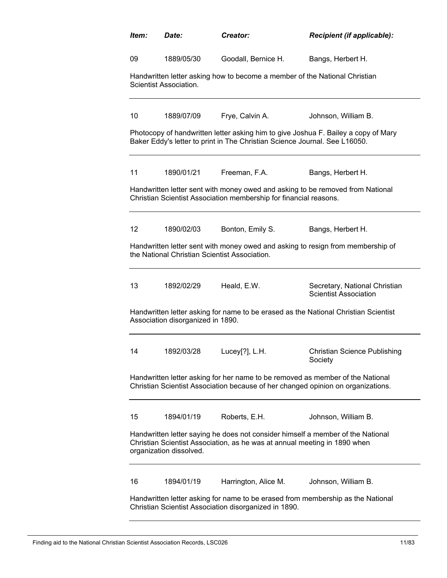| Item:                                                                                                                                    | Date:                                                                                                                                                              | Creator:                                                                                                                                                     | Recipient (if applicable):                                                         |  |  |
|------------------------------------------------------------------------------------------------------------------------------------------|--------------------------------------------------------------------------------------------------------------------------------------------------------------------|--------------------------------------------------------------------------------------------------------------------------------------------------------------|------------------------------------------------------------------------------------|--|--|
| 09                                                                                                                                       | 1889/05/30                                                                                                                                                         | Goodall, Bernice H.                                                                                                                                          | Bangs, Herbert H.                                                                  |  |  |
|                                                                                                                                          | Scientist Association.                                                                                                                                             | Handwritten letter asking how to become a member of the National Christian                                                                                   |                                                                                    |  |  |
| 10                                                                                                                                       | 1889/07/09                                                                                                                                                         | Frye, Calvin A.                                                                                                                                              | Johnson, William B.                                                                |  |  |
|                                                                                                                                          |                                                                                                                                                                    | Baker Eddy's letter to print in The Christian Science Journal. See L16050.                                                                                   | Photocopy of handwritten letter asking him to give Joshua F. Bailey a copy of Mary |  |  |
| 11                                                                                                                                       | 1890/01/21                                                                                                                                                         | Freeman, F.A.                                                                                                                                                | Bangs, Herbert H.                                                                  |  |  |
|                                                                                                                                          |                                                                                                                                                                    | Christian Scientist Association membership for financial reasons.                                                                                            | Handwritten letter sent with money owed and asking to be removed from National     |  |  |
| 12                                                                                                                                       | 1890/02/03                                                                                                                                                         | Bonton, Emily S.                                                                                                                                             | Bangs, Herbert H.                                                                  |  |  |
|                                                                                                                                          | the National Christian Scientist Association.                                                                                                                      |                                                                                                                                                              | Handwritten letter sent with money owed and asking to resign from membership of    |  |  |
| 13                                                                                                                                       | 1892/02/29                                                                                                                                                         | Heald, E.W.                                                                                                                                                  | Secretary, National Christian<br><b>Scientist Association</b>                      |  |  |
|                                                                                                                                          | Handwritten letter asking for name to be erased as the National Christian Scientist<br>Association disorganized in 1890.                                           |                                                                                                                                                              |                                                                                    |  |  |
| 14                                                                                                                                       | 1892/03/28                                                                                                                                                         | Lucey $[?]$ , L.H.                                                                                                                                           | <b>Christian Science Publishing</b><br>Society                                     |  |  |
|                                                                                                                                          | Handwritten letter asking for her name to be removed as member of the National<br>Christian Scientist Association because of her changed opinion on organizations. |                                                                                                                                                              |                                                                                    |  |  |
| 15                                                                                                                                       | 1894/01/19                                                                                                                                                         | Roberts, E.H.                                                                                                                                                | Johnson, William B.                                                                |  |  |
|                                                                                                                                          | organization dissolved.                                                                                                                                            | Handwritten letter saying he does not consider himself a member of the National<br>Christian Scientist Association, as he was at annual meeting in 1890 when |                                                                                    |  |  |
| 16                                                                                                                                       | 1894/01/19                                                                                                                                                         | Harrington, Alice M.                                                                                                                                         | Johnson, William B.                                                                |  |  |
| Handwritten letter asking for name to be erased from membership as the National<br>Christian Scientist Association disorganized in 1890. |                                                                                                                                                                    |                                                                                                                                                              |                                                                                    |  |  |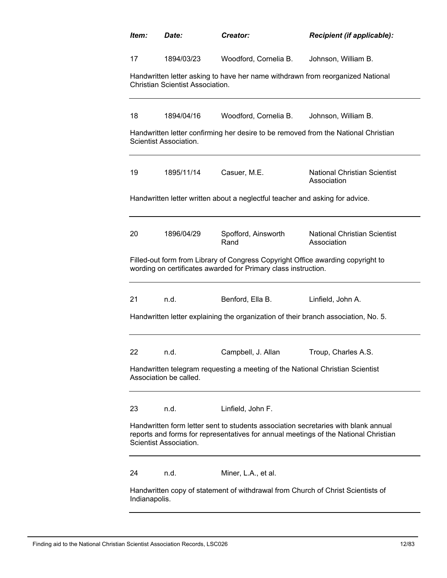| Item:                                                                                                                                                                                               | Date:                                   | Creator:                                                                                                                                          | <b>Recipient (if applicable):</b>                                                  |  |
|-----------------------------------------------------------------------------------------------------------------------------------------------------------------------------------------------------|-----------------------------------------|---------------------------------------------------------------------------------------------------------------------------------------------------|------------------------------------------------------------------------------------|--|
| 17                                                                                                                                                                                                  | 1894/03/23                              | Woodford, Cornelia B.                                                                                                                             | Johnson, William B.                                                                |  |
|                                                                                                                                                                                                     | <b>Christian Scientist Association.</b> | Handwritten letter asking to have her name withdrawn from reorganized National                                                                    |                                                                                    |  |
| 18                                                                                                                                                                                                  | 1894/04/16                              | Woodford, Cornelia B.                                                                                                                             | Johnson, William B.                                                                |  |
|                                                                                                                                                                                                     | Scientist Association.                  |                                                                                                                                                   | Handwritten letter confirming her desire to be removed from the National Christian |  |
| 19                                                                                                                                                                                                  | 1895/11/14                              | Casuer, M.E.                                                                                                                                      | <b>National Christian Scientist</b><br>Association                                 |  |
|                                                                                                                                                                                                     |                                         | Handwritten letter written about a neglectful teacher and asking for advice.                                                                      |                                                                                    |  |
| 20                                                                                                                                                                                                  | 1896/04/29                              | Spofford, Ainsworth<br>Rand                                                                                                                       | <b>National Christian Scientist</b><br>Association                                 |  |
|                                                                                                                                                                                                     |                                         | Filled-out form from Library of Congress Copyright Office awarding copyright to<br>wording on certificates awarded for Primary class instruction. |                                                                                    |  |
| 21                                                                                                                                                                                                  | n.d.                                    | Benford, Ella B.                                                                                                                                  | Linfield, John A.                                                                  |  |
|                                                                                                                                                                                                     |                                         | Handwritten letter explaining the organization of their branch association, No. 5.                                                                |                                                                                    |  |
| 22                                                                                                                                                                                                  | n.d.                                    | Campbell, J. Allan                                                                                                                                | Troup, Charles A.S.                                                                |  |
| Handwritten telegram requesting a meeting of the National Christian Scientist<br>Association be called.                                                                                             |                                         |                                                                                                                                                   |                                                                                    |  |
| 23                                                                                                                                                                                                  | n.d.                                    | Linfield, John F.                                                                                                                                 |                                                                                    |  |
| Handwritten form letter sent to students association secretaries with blank annual<br>reports and forms for representatives for annual meetings of the National Christian<br>Scientist Association. |                                         |                                                                                                                                                   |                                                                                    |  |
| 24                                                                                                                                                                                                  | n.d.                                    | Miner, L.A., et al.                                                                                                                               |                                                                                    |  |
| Handwritten copy of statement of withdrawal from Church of Christ Scientists of<br>Indianapolis.                                                                                                    |                                         |                                                                                                                                                   |                                                                                    |  |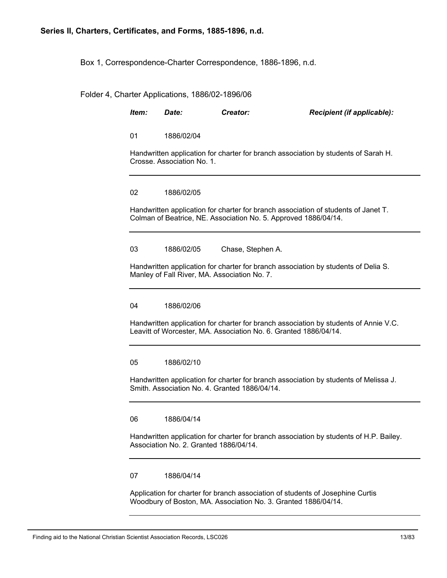Box 1, Correspondence-Charter Correspondence, 1886-1896, n.d.

Folder 4, Charter Applications, 1886/02-1896/06

| Item: | Date:                                                                                                                                 | Creator:                                     | Recipient (if applicable):                                                                                                                               |  |  |
|-------|---------------------------------------------------------------------------------------------------------------------------------------|----------------------------------------------|----------------------------------------------------------------------------------------------------------------------------------------------------------|--|--|
| 01    | 1886/02/04                                                                                                                            |                                              |                                                                                                                                                          |  |  |
|       | Crosse. Association No. 1.                                                                                                            |                                              | Handwritten application for charter for branch association by students of Sarah H.                                                                       |  |  |
| 02    | 1886/02/05                                                                                                                            |                                              |                                                                                                                                                          |  |  |
|       |                                                                                                                                       |                                              | Handwritten application for charter for branch association of students of Janet T.<br>Colman of Beatrice, NE. Association No. 5. Approved 1886/04/14.    |  |  |
| 03    | 1886/02/05                                                                                                                            | Chase, Stephen A.                            |                                                                                                                                                          |  |  |
|       |                                                                                                                                       | Manley of Fall River, MA. Association No. 7. | Handwritten application for charter for branch association by students of Delia S.                                                                       |  |  |
| 04    | 1886/02/06                                                                                                                            |                                              |                                                                                                                                                          |  |  |
|       |                                                                                                                                       |                                              | Handwritten application for charter for branch association by students of Annie V.C.<br>Leavitt of Worcester, MA. Association No. 6. Granted 1886/04/14. |  |  |
| 05    | 1886/02/10                                                                                                                            |                                              |                                                                                                                                                          |  |  |
|       | Handwritten application for charter for branch association by students of Melissa J.<br>Smith, Association No. 4. Granted 1886/04/14. |                                              |                                                                                                                                                          |  |  |
| 06    | 1886/04/14                                                                                                                            |                                              |                                                                                                                                                          |  |  |
|       | Handwritten application for charter for branch association by students of H.P. Bailey.<br>Association No. 2. Granted 1886/04/14.      |                                              |                                                                                                                                                          |  |  |
| 07    | 1886/04/14                                                                                                                            |                                              |                                                                                                                                                          |  |  |

Application for charter for branch association of students of Josephine Curtis Woodbury of Boston, MA. Association No. 3. Granted 1886/04/14.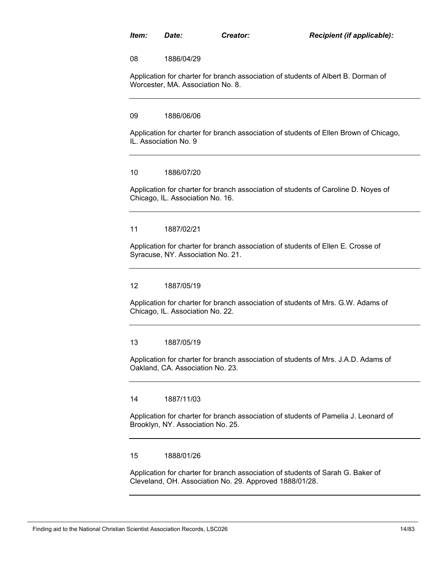08 1886/04/29

Application for charter for branch association of students of Albert B. Dorman of Worcester, MA. Association No. 8.

09 1886/06/06

Application for charter for branch association of students of Ellen Brown of Chicago, IL. Association No. 9

### 10 1886/07/20

Application for charter for branch association of students of Caroline D. Noyes of Chicago, IL. Association No. 16.

#### 11 1887/02/21

Application for charter for branch association of students of Ellen E. Crosse of Syracuse, NY. Association No. 21.

#### 12 1887/05/19

Application for charter for branch association of students of Mrs. G.W. Adams of Chicago, IL. Association No. 22.

#### 13 1887/05/19

Application for charter for branch association of students of Mrs. J.A.D. Adams of Oakland, CA. Association No. 23.

#### 14 1887/11/03

Application for charter for branch association of students of Pamelia J. Leonard of Brooklyn, NY. Association No. 25.

#### 15 1888/01/26

Application for charter for branch association of students of Sarah G. Baker of Cleveland, OH. Association No. 29. Approved 1888/01/28.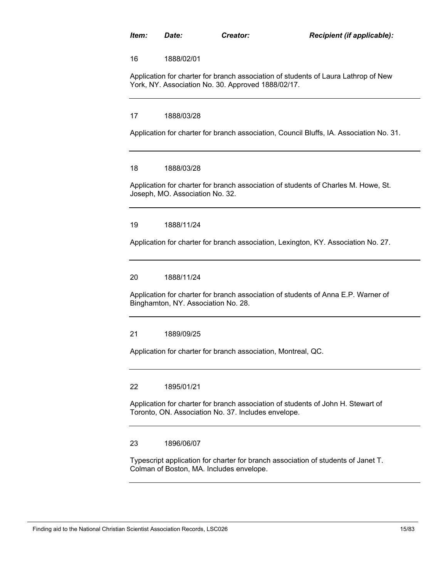16 1888/02/01

Application for charter for branch association of students of Laura Lathrop of New York, NY. Association No. 30. Approved 1888/02/17.

#### 17 1888/03/28

Application for charter for branch association, Council Bluffs, IA. Association No. 31.

#### 18 1888/03/28

Application for charter for branch association of students of Charles M. Howe, St. Joseph, MO. Association No. 32.

#### 19 1888/11/24

Application for charter for branch association, Lexington, KY. Association No. 27.

#### 20 1888/11/24

Application for charter for branch association of students of Anna E.P. Warner of Binghamton, NY. Association No. 28.

#### 21 1889/09/25

Application for charter for branch association, Montreal, QC.

#### 22 1895/01/21

Application for charter for branch association of students of John H. Stewart of Toronto, ON. Association No. 37. Includes envelope.

#### 23 1896/06/07

Typescript application for charter for branch association of students of Janet T. Colman of Boston, MA. Includes envelope.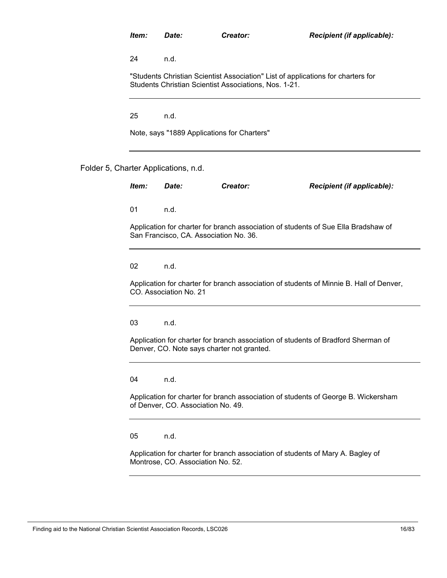"Students Christian Scientist Association" List of applications for charters for Students Christian Scientist Associations, Nos. 1-21.

25 n.d.

Note, says "1889 Applications for Charters"

### Folder 5, Charter Applications, n.d.

| Item: | Date:                                                                                                                           | Creator: | Recipient (if applicable):                                                              |  |  |  |
|-------|---------------------------------------------------------------------------------------------------------------------------------|----------|-----------------------------------------------------------------------------------------|--|--|--|
| 01    | n.d.                                                                                                                            |          |                                                                                         |  |  |  |
|       | Application for charter for branch association of students of Sue Ella Bradshaw of<br>San Francisco, CA. Association No. 36.    |          |                                                                                         |  |  |  |
| 02    | n.d.                                                                                                                            |          |                                                                                         |  |  |  |
|       | CO. Association No. 21                                                                                                          |          | Application for charter for branch association of students of Minnie B. Hall of Denver, |  |  |  |
| 03    | n.d.                                                                                                                            |          |                                                                                         |  |  |  |
|       | Application for charter for branch association of students of Bradford Sherman of<br>Denver, CO. Note says charter not granted. |          |                                                                                         |  |  |  |
| 04    | n.d.                                                                                                                            |          |                                                                                         |  |  |  |
|       | Application for charter for branch association of students of George B. Wickersham<br>of Denver, CO. Association No. 49.        |          |                                                                                         |  |  |  |
|       |                                                                                                                                 |          |                                                                                         |  |  |  |

05 n.d.

Application for charter for branch association of students of Mary A. Bagley of Montrose, CO. Association No. 52.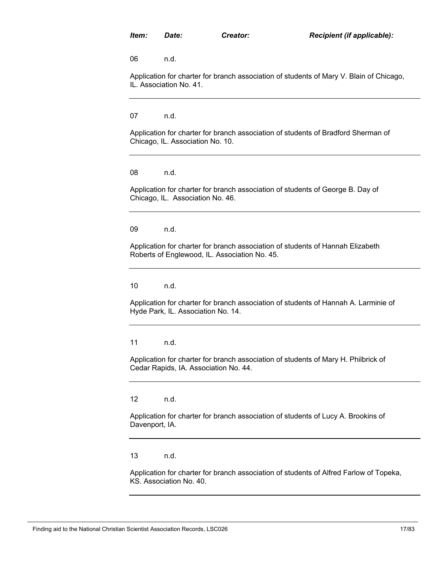Application for charter for branch association of students of Mary V. Blain of Chicago, IL. Association No. 41.

07 n.d.

Application for charter for branch association of students of Bradford Sherman of Chicago, IL. Association No. 10.

08 n.d.

Application for charter for branch association of students of George B. Day of Chicago, IL. Association No. 46.

09 n.d.

Application for charter for branch association of students of Hannah Elizabeth Roberts of Englewood, IL. Association No. 45.

10 n.d.

Application for charter for branch association of students of Hannah A. Larminie of Hyde Park, IL. Association No. 14.

11 n.d.

Application for charter for branch association of students of Mary H. Philbrick of Cedar Rapids, IA. Association No. 44.

12 n.d.

Application for charter for branch association of students of Lucy A. Brookins of Davenport, IA.

13 n.d.

Application for charter for branch association of students of Alfred Farlow of Topeka, KS. Association No. 40.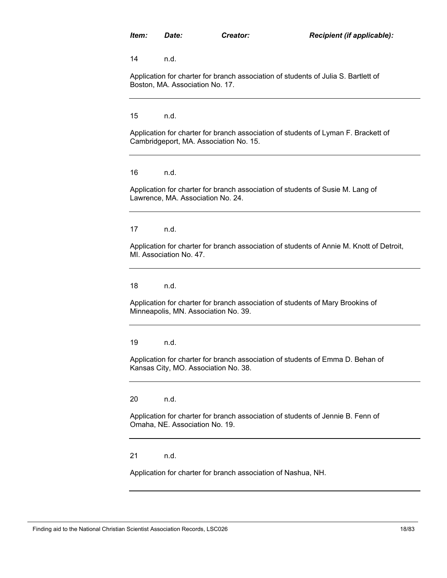Application for charter for branch association of students of Julia S. Bartlett of Boston, MA. Association No. 17.

15 n.d.

Application for charter for branch association of students of Lyman F. Brackett of Cambridgeport, MA. Association No. 15.

16 n.d.

Application for charter for branch association of students of Susie M. Lang of Lawrence, MA. Association No. 24.

17 n.d.

Application for charter for branch association of students of Annie M. Knott of Detroit, MI. Association No. 47.

18 n.d.

Application for charter for branch association of students of Mary Brookins of Minneapolis, MN. Association No. 39.

19 n.d.

Application for charter for branch association of students of Emma D. Behan of Kansas City, MO. Association No. 38.

20 n.d.

Application for charter for branch association of students of Jennie B. Fenn of Omaha, NE. Association No. 19.

21 n.d.

Application for charter for branch association of Nashua, NH.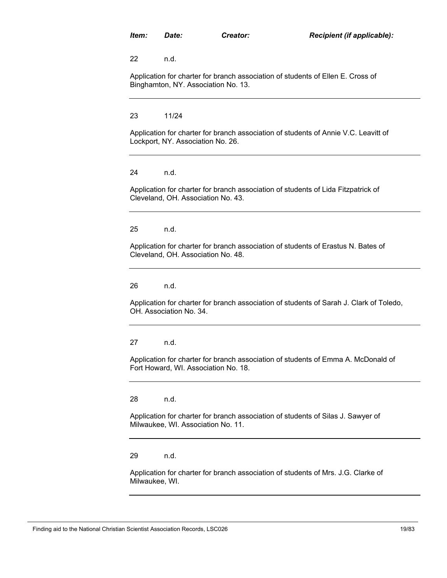Application for charter for branch association of students of Ellen E. Cross of Binghamton, NY. Association No. 13.

23 11/24

Application for charter for branch association of students of Annie V.C. Leavitt of Lockport, NY. Association No. 26.

24 n.d.

Application for charter for branch association of students of Lida Fitzpatrick of Cleveland, OH. Association No. 43.

25 n.d.

Application for charter for branch association of students of Erastus N. Bates of Cleveland, OH. Association No. 48.

26 n.d.

Application for charter for branch association of students of Sarah J. Clark of Toledo, OH. Association No. 34.

27 n.d.

Application for charter for branch association of students of Emma A. McDonald of Fort Howard, WI. Association No. 18.

28 n.d.

Application for charter for branch association of students of Silas J. Sawyer of Milwaukee, WI. Association No. 11.

29 n.d.

Application for charter for branch association of students of Mrs. J.G. Clarke of Milwaukee, WI.

Finding aid to the National Christian Scientist Association Records, LSC026 19783 19783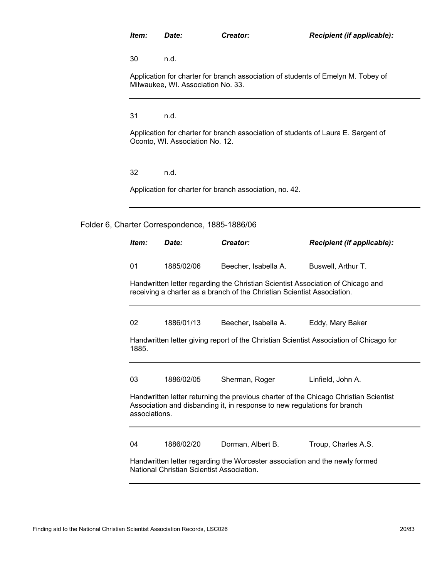Application for charter for branch association of students of Emelyn M. Tobey of Milwaukee, WI. Association No. 33.

31 n.d.

Application for charter for branch association of students of Laura E. Sargent of Oconto, WI. Association No. 12.

32 n.d.

Application for charter for branch association, no. 42.

Folder 6, Charter Correspondence, 1885-1886/06

| ltem: | Date:                                                                                                                                                                             | Creator:             | Recipient (if applicable):                                                             |  |  |  |
|-------|-----------------------------------------------------------------------------------------------------------------------------------------------------------------------------------|----------------------|----------------------------------------------------------------------------------------|--|--|--|
| 01    | 1885/02/06                                                                                                                                                                        | Beecher, Isabella A. | Buswell, Arthur T.                                                                     |  |  |  |
|       | Handwritten letter regarding the Christian Scientist Association of Chicago and<br>receiving a charter as a branch of the Christian Scientist Association.                        |                      |                                                                                        |  |  |  |
| 02    | 1886/01/13                                                                                                                                                                        | Beecher, Isabella A. | Eddy, Mary Baker                                                                       |  |  |  |
| 1885. |                                                                                                                                                                                   |                      | Handwritten letter giving report of the Christian Scientist Association of Chicago for |  |  |  |
| 03    | 1886/02/05                                                                                                                                                                        | Sherman, Roger       | Linfield, John A.                                                                      |  |  |  |
|       | Handwritten letter returning the previous charter of the Chicago Christian Scientist<br>Association and disbanding it, in response to new regulations for branch<br>associations. |                      |                                                                                        |  |  |  |
| 04    | 1886/02/20                                                                                                                                                                        | Dorman, Albert B.    | Troup, Charles A.S.                                                                    |  |  |  |
|       | Handwritten letter regarding the Worcester association and the newly formed<br>National Christian Scientist Association.                                                          |                      |                                                                                        |  |  |  |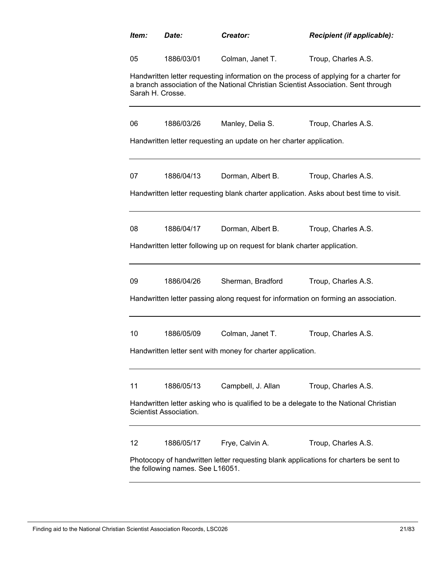| Item:                                                                                                                     | Date:                                                                                                           | Creator:                                                                  | Recipient (if applicable):                                                                                                                                                   |  |  |
|---------------------------------------------------------------------------------------------------------------------------|-----------------------------------------------------------------------------------------------------------------|---------------------------------------------------------------------------|------------------------------------------------------------------------------------------------------------------------------------------------------------------------------|--|--|
| 05                                                                                                                        | 1886/03/01                                                                                                      | Colman, Janet T.                                                          | Troup, Charles A.S.                                                                                                                                                          |  |  |
| Sarah H. Crosse.                                                                                                          |                                                                                                                 |                                                                           | Handwritten letter requesting information on the process of applying for a charter for<br>a branch association of the National Christian Scientist Association. Sent through |  |  |
| 06                                                                                                                        | 1886/03/26                                                                                                      | Manley, Delia S.                                                          | Troup, Charles A.S.                                                                                                                                                          |  |  |
|                                                                                                                           |                                                                                                                 | Handwritten letter requesting an update on her charter application.       |                                                                                                                                                                              |  |  |
| 07                                                                                                                        | 1886/04/13                                                                                                      | Dorman, Albert B.                                                         | Troup, Charles A.S.                                                                                                                                                          |  |  |
|                                                                                                                           |                                                                                                                 |                                                                           | Handwritten letter requesting blank charter application. Asks about best time to visit.                                                                                      |  |  |
| 08                                                                                                                        | 1886/04/17                                                                                                      | Dorman, Albert B.                                                         | Troup, Charles A.S.                                                                                                                                                          |  |  |
|                                                                                                                           |                                                                                                                 | Handwritten letter following up on request for blank charter application. |                                                                                                                                                                              |  |  |
| 09                                                                                                                        | 1886/04/26                                                                                                      | Sherman, Bradford                                                         | Troup, Charles A.S.                                                                                                                                                          |  |  |
|                                                                                                                           |                                                                                                                 |                                                                           | Handwritten letter passing along request for information on forming an association.                                                                                          |  |  |
| 10                                                                                                                        | 1886/05/09                                                                                                      | Colman, Janet T.                                                          | Troup, Charles A.S.                                                                                                                                                          |  |  |
|                                                                                                                           |                                                                                                                 | Handwritten letter sent with money for charter application.               |                                                                                                                                                                              |  |  |
| 11                                                                                                                        | 1886/05/13                                                                                                      | Campbell, J. Allan                                                        | Troup, Charles A.S.                                                                                                                                                          |  |  |
|                                                                                                                           | Handwritten letter asking who is qualified to be a delegate to the National Christian<br>Scientist Association. |                                                                           |                                                                                                                                                                              |  |  |
| 12                                                                                                                        | 1886/05/17                                                                                                      | Frye, Calvin A.                                                           | Troup, Charles A.S.                                                                                                                                                          |  |  |
| Photocopy of handwritten letter requesting blank applications for charters be sent to<br>the following names. See L16051. |                                                                                                                 |                                                                           |                                                                                                                                                                              |  |  |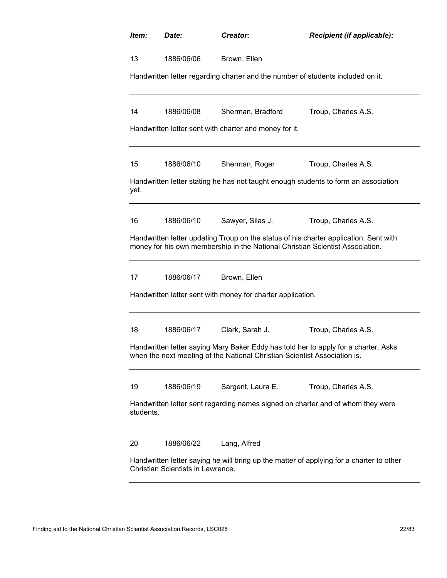| Item:                                                                                                                         | Date:      | Creator:                                                                        | Recipient (if applicable):                                                            |  |
|-------------------------------------------------------------------------------------------------------------------------------|------------|---------------------------------------------------------------------------------|---------------------------------------------------------------------------------------|--|
| 13                                                                                                                            | 1886/06/06 | Brown, Ellen                                                                    |                                                                                       |  |
|                                                                                                                               |            | Handwritten letter regarding charter and the number of students included on it. |                                                                                       |  |
| 14                                                                                                                            | 1886/06/08 | Sherman, Bradford                                                               | Troup, Charles A.S.                                                                   |  |
|                                                                                                                               |            | Handwritten letter sent with charter and money for it.                          |                                                                                       |  |
| 15                                                                                                                            | 1886/06/10 | Sherman, Roger                                                                  | Troup, Charles A.S.                                                                   |  |
| yet.                                                                                                                          |            |                                                                                 | Handwritten letter stating he has not taught enough students to form an association   |  |
| 16                                                                                                                            | 1886/06/10 | Sawyer, Silas J.                                                                | Troup, Charles A.S.                                                                   |  |
|                                                                                                                               |            | money for his own membership in the National Christian Scientist Association.   | Handwritten letter updating Troup on the status of his charter application. Sent with |  |
| 17                                                                                                                            | 1886/06/17 | Brown, Ellen                                                                    |                                                                                       |  |
|                                                                                                                               |            | Handwritten letter sent with money for charter application.                     |                                                                                       |  |
| 18                                                                                                                            | 1886/06/17 | Clark, Sarah J.                                                                 | Troup, Charles A.S.                                                                   |  |
|                                                                                                                               |            | when the next meeting of the National Christian Scientist Association is.       | Handwritten letter saying Mary Baker Eddy has told her to apply for a charter. Asks   |  |
| 19                                                                                                                            | 1886/06/19 | Sargent, Laura E.                                                               | Troup, Charles A.S.                                                                   |  |
| Handwritten letter sent regarding names signed on charter and of whom they were<br>students.                                  |            |                                                                                 |                                                                                       |  |
| 20                                                                                                                            | 1886/06/22 | Lang, Alfred                                                                    |                                                                                       |  |
| Handwritten letter saying he will bring up the matter of applying for a charter to other<br>Christian Scientists in Lawrence. |            |                                                                                 |                                                                                       |  |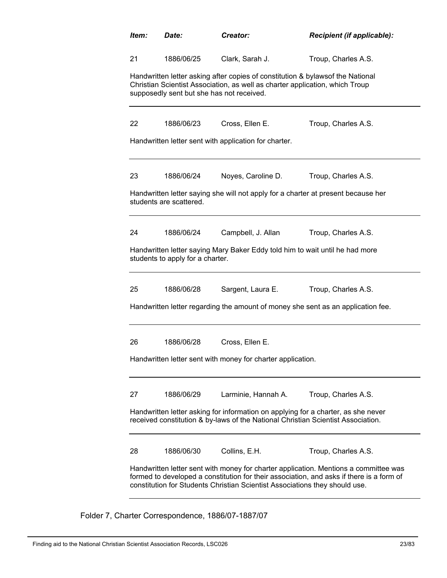| Item:                                                                                                                                                                                                                                                           | Creator:<br>Date:                |                                                                                                                                                                                                             | Recipient (if applicable):                                                                                                                                            |  |
|-----------------------------------------------------------------------------------------------------------------------------------------------------------------------------------------------------------------------------------------------------------------|----------------------------------|-------------------------------------------------------------------------------------------------------------------------------------------------------------------------------------------------------------|-----------------------------------------------------------------------------------------------------------------------------------------------------------------------|--|
| 21                                                                                                                                                                                                                                                              | 1886/06/25                       | Clark, Sarah J.                                                                                                                                                                                             | Troup, Charles A.S.                                                                                                                                                   |  |
|                                                                                                                                                                                                                                                                 |                                  | Handwritten letter asking after copies of constitution & bylawsof the National<br>Christian Scientist Association, as well as charter application, which Troup<br>supposedly sent but she has not received. |                                                                                                                                                                       |  |
| 22                                                                                                                                                                                                                                                              | 1886/06/23                       | Cross, Ellen E.                                                                                                                                                                                             | Troup, Charles A.S.                                                                                                                                                   |  |
|                                                                                                                                                                                                                                                                 |                                  | Handwritten letter sent with application for charter.                                                                                                                                                       |                                                                                                                                                                       |  |
| 23                                                                                                                                                                                                                                                              | 1886/06/24                       | Noyes, Caroline D.                                                                                                                                                                                          | Troup, Charles A.S.                                                                                                                                                   |  |
|                                                                                                                                                                                                                                                                 | students are scattered.          |                                                                                                                                                                                                             | Handwritten letter saying she will not apply for a charter at present because her                                                                                     |  |
| 24                                                                                                                                                                                                                                                              | 1886/06/24                       | Campbell, J. Allan                                                                                                                                                                                          | Troup, Charles A.S.                                                                                                                                                   |  |
|                                                                                                                                                                                                                                                                 | students to apply for a charter. | Handwritten letter saying Mary Baker Eddy told him to wait until he had more                                                                                                                                |                                                                                                                                                                       |  |
| 25                                                                                                                                                                                                                                                              | 1886/06/28                       | Sargent, Laura E.                                                                                                                                                                                           | Troup, Charles A.S.                                                                                                                                                   |  |
|                                                                                                                                                                                                                                                                 |                                  |                                                                                                                                                                                                             | Handwritten letter regarding the amount of money she sent as an application fee.                                                                                      |  |
| 26                                                                                                                                                                                                                                                              | 1886/06/28                       | Cross, Ellen E.                                                                                                                                                                                             |                                                                                                                                                                       |  |
|                                                                                                                                                                                                                                                                 |                                  | Handwritten letter sent with money for charter application.                                                                                                                                                 |                                                                                                                                                                       |  |
| 27                                                                                                                                                                                                                                                              | 1886/06/29                       | Larminie, Hannah A.                                                                                                                                                                                         | Troup, Charles A.S.                                                                                                                                                   |  |
|                                                                                                                                                                                                                                                                 |                                  |                                                                                                                                                                                                             | Handwritten letter asking for information on applying for a charter, as she never<br>received constitution & by-laws of the National Christian Scientist Association. |  |
| 28                                                                                                                                                                                                                                                              | 1886/06/30                       | Collins, E.H.                                                                                                                                                                                               | Troup, Charles A.S.                                                                                                                                                   |  |
| Handwritten letter sent with money for charter application. Mentions a committee was<br>formed to developed a constitution for their association, and asks if there is a form of<br>constitution for Students Christian Scientist Associations they should use. |                                  |                                                                                                                                                                                                             |                                                                                                                                                                       |  |

Folder 7, Charter Correspondence, 1886/07-1887/07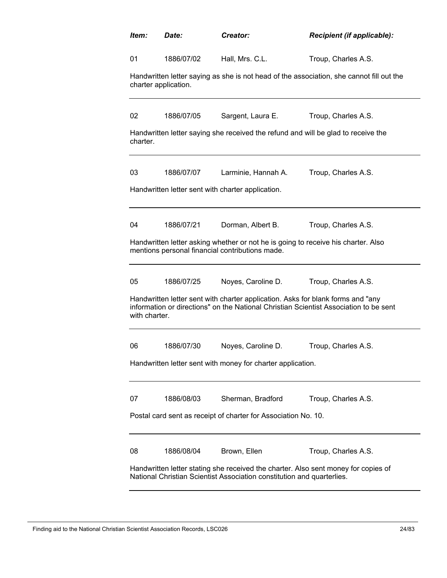| Item:                                                                                                                                                        | Date:                                                                                                                                                                                     | Creator:                                                                                                                             | Recipient (if applicable):                                                               |  |  |  |
|--------------------------------------------------------------------------------------------------------------------------------------------------------------|-------------------------------------------------------------------------------------------------------------------------------------------------------------------------------------------|--------------------------------------------------------------------------------------------------------------------------------------|------------------------------------------------------------------------------------------|--|--|--|
| 01                                                                                                                                                           | 1886/07/02                                                                                                                                                                                | Hall, Mrs. C.L.                                                                                                                      | Troup, Charles A.S.                                                                      |  |  |  |
|                                                                                                                                                              | charter application.                                                                                                                                                                      |                                                                                                                                      | Handwritten letter saying as she is not head of the association, she cannot fill out the |  |  |  |
| 02                                                                                                                                                           | 1886/07/05                                                                                                                                                                                | Sargent, Laura E.                                                                                                                    | Troup, Charles A.S.                                                                      |  |  |  |
| charter.                                                                                                                                                     |                                                                                                                                                                                           | Handwritten letter saying she received the refund and will be glad to receive the                                                    |                                                                                          |  |  |  |
| 03                                                                                                                                                           | 1886/07/07                                                                                                                                                                                | Larminie, Hannah A.                                                                                                                  | Troup, Charles A.S.                                                                      |  |  |  |
|                                                                                                                                                              |                                                                                                                                                                                           | Handwritten letter sent with charter application.                                                                                    |                                                                                          |  |  |  |
| 04                                                                                                                                                           | 1886/07/21                                                                                                                                                                                | Dorman, Albert B.                                                                                                                    | Troup, Charles A.S.                                                                      |  |  |  |
|                                                                                                                                                              |                                                                                                                                                                                           | Handwritten letter asking whether or not he is going to receive his charter. Also<br>mentions personal financial contributions made. |                                                                                          |  |  |  |
| 05                                                                                                                                                           | 1886/07/25                                                                                                                                                                                | Noyes, Caroline D.                                                                                                                   | Troup, Charles A.S.                                                                      |  |  |  |
|                                                                                                                                                              | Handwritten letter sent with charter application. Asks for blank forms and "any<br>information or directions" on the National Christian Scientist Association to be sent<br>with charter. |                                                                                                                                      |                                                                                          |  |  |  |
| 06                                                                                                                                                           | 1886/07/30                                                                                                                                                                                | Noyes, Caroline D.                                                                                                                   | Troup, Charles A.S.                                                                      |  |  |  |
|                                                                                                                                                              |                                                                                                                                                                                           | Handwritten letter sent with money for charter application.                                                                          |                                                                                          |  |  |  |
| 07                                                                                                                                                           | 1886/08/03                                                                                                                                                                                | Sherman, Bradford                                                                                                                    | Troup, Charles A.S.                                                                      |  |  |  |
|                                                                                                                                                              |                                                                                                                                                                                           | Postal card sent as receipt of charter for Association No. 10.                                                                       |                                                                                          |  |  |  |
| 08                                                                                                                                                           | 1886/08/04                                                                                                                                                                                | Brown, Ellen                                                                                                                         | Troup, Charles A.S.                                                                      |  |  |  |
| Handwritten letter stating she received the charter. Also sent money for copies of<br>National Christian Scientist Association constitution and quarterlies. |                                                                                                                                                                                           |                                                                                                                                      |                                                                                          |  |  |  |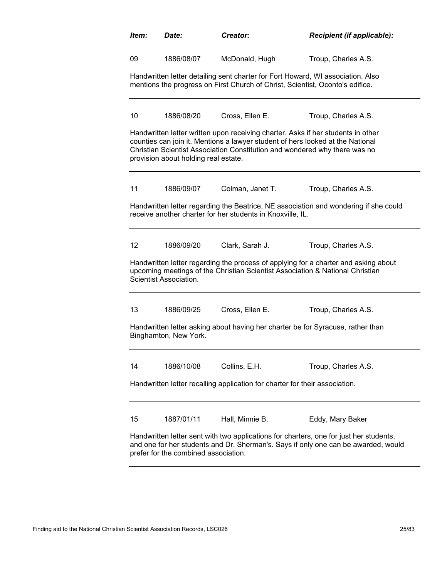| Item:                                                                                                                                                                                                                | Date:                                                                                                                                                                                                                                                                                    | Creator:                                                                                                                                                         | Recipient (if applicable):                                                           |  |  |  |
|----------------------------------------------------------------------------------------------------------------------------------------------------------------------------------------------------------------------|------------------------------------------------------------------------------------------------------------------------------------------------------------------------------------------------------------------------------------------------------------------------------------------|------------------------------------------------------------------------------------------------------------------------------------------------------------------|--------------------------------------------------------------------------------------|--|--|--|
| 09                                                                                                                                                                                                                   | 1886/08/07                                                                                                                                                                                                                                                                               | McDonald, Hugh                                                                                                                                                   | Troup, Charles A.S.                                                                  |  |  |  |
|                                                                                                                                                                                                                      |                                                                                                                                                                                                                                                                                          | Handwritten letter detailing sent charter for Fort Howard, WI association. Also<br>mentions the progress on First Church of Christ, Scientist, Oconto's edifice. |                                                                                      |  |  |  |
| 10                                                                                                                                                                                                                   | 1886/08/20                                                                                                                                                                                                                                                                               | Cross, Ellen E.                                                                                                                                                  | Troup, Charles A.S.                                                                  |  |  |  |
|                                                                                                                                                                                                                      | Handwritten letter written upon receiving charter. Asks if her students in other<br>counties can join it. Mentions a lawyer student of hers looked at the National<br>Christian Scientist Association Constitution and wondered why there was no<br>provision about holding real estate. |                                                                                                                                                                  |                                                                                      |  |  |  |
| 11                                                                                                                                                                                                                   | 1886/09/07                                                                                                                                                                                                                                                                               | Colman, Janet T.                                                                                                                                                 | Troup, Charles A.S.                                                                  |  |  |  |
|                                                                                                                                                                                                                      |                                                                                                                                                                                                                                                                                          | receive another charter for her students in Knoxville, IL.                                                                                                       | Handwritten letter regarding the Beatrice, NE association and wondering if she could |  |  |  |
| 12 <sup>2</sup>                                                                                                                                                                                                      | 1886/09/20                                                                                                                                                                                                                                                                               | Clark, Sarah J.                                                                                                                                                  | Troup, Charles A.S.                                                                  |  |  |  |
|                                                                                                                                                                                                                      | Handwritten letter regarding the process of applying for a charter and asking about<br>upcoming meetings of the Christian Scientist Association & National Christian<br>Scientist Association.                                                                                           |                                                                                                                                                                  |                                                                                      |  |  |  |
| 13                                                                                                                                                                                                                   | 1886/09/25                                                                                                                                                                                                                                                                               | Cross, Ellen E.                                                                                                                                                  | Troup, Charles A.S.                                                                  |  |  |  |
|                                                                                                                                                                                                                      | Handwritten letter asking about having her charter be for Syracuse, rather than<br>Binghamton, New York.                                                                                                                                                                                 |                                                                                                                                                                  |                                                                                      |  |  |  |
| 14                                                                                                                                                                                                                   | 1886/10/08                                                                                                                                                                                                                                                                               | Collins, E.H.                                                                                                                                                    | Troup, Charles A.S.                                                                  |  |  |  |
| Handwritten letter recalling application for charter for their association.                                                                                                                                          |                                                                                                                                                                                                                                                                                          |                                                                                                                                                                  |                                                                                      |  |  |  |
| 15                                                                                                                                                                                                                   | 1887/01/11                                                                                                                                                                                                                                                                               | Hall, Minnie B.                                                                                                                                                  | Eddy, Mary Baker                                                                     |  |  |  |
| Handwritten letter sent with two applications for charters, one for just her students,<br>and one for her students and Dr. Sherman's. Says if only one can be awarded, would<br>prefer for the combined association. |                                                                                                                                                                                                                                                                                          |                                                                                                                                                                  |                                                                                      |  |  |  |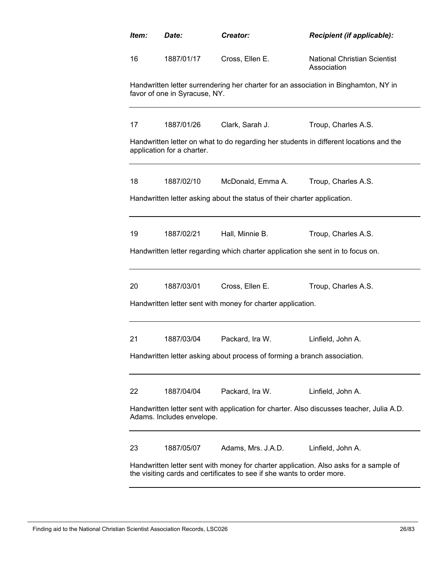| Item:                                                                                                                                                           | Date:                                                                                                                 | Creator:                                                                        | Recipient (if applicable):                                                             |  |  |
|-----------------------------------------------------------------------------------------------------------------------------------------------------------------|-----------------------------------------------------------------------------------------------------------------------|---------------------------------------------------------------------------------|----------------------------------------------------------------------------------------|--|--|
| 16                                                                                                                                                              | 1887/01/17                                                                                                            | Cross, Ellen E.                                                                 | <b>National Christian Scientist</b><br>Association                                     |  |  |
|                                                                                                                                                                 | favor of one in Syracuse, NY.                                                                                         |                                                                                 | Handwritten letter surrendering her charter for an association in Binghamton, NY in    |  |  |
| 17                                                                                                                                                              | 1887/01/26                                                                                                            | Clark, Sarah J.                                                                 | Troup, Charles A.S.                                                                    |  |  |
|                                                                                                                                                                 | application for a charter.                                                                                            |                                                                                 | Handwritten letter on what to do regarding her students in different locations and the |  |  |
| 18                                                                                                                                                              | 1887/02/10                                                                                                            | McDonald, Emma A.                                                               | Troup, Charles A.S.                                                                    |  |  |
|                                                                                                                                                                 |                                                                                                                       | Handwritten letter asking about the status of their charter application.        |                                                                                        |  |  |
| 19                                                                                                                                                              | 1887/02/21                                                                                                            | Hall, Minnie B.                                                                 | Troup, Charles A.S.                                                                    |  |  |
|                                                                                                                                                                 |                                                                                                                       | Handwritten letter regarding which charter application she sent in to focus on. |                                                                                        |  |  |
| 20                                                                                                                                                              | 1887/03/01                                                                                                            | Cross, Ellen E.                                                                 | Troup, Charles A.S.                                                                    |  |  |
|                                                                                                                                                                 |                                                                                                                       | Handwritten letter sent with money for charter application.                     |                                                                                        |  |  |
| 21                                                                                                                                                              | 1887/03/04                                                                                                            | Packard, Ira W.                                                                 | Linfield, John A.                                                                      |  |  |
|                                                                                                                                                                 |                                                                                                                       | Handwritten letter asking about process of forming a branch association.        |                                                                                        |  |  |
| 22                                                                                                                                                              | 1887/04/04                                                                                                            | Packard, Ira W.                                                                 | Linfield, John A.                                                                      |  |  |
|                                                                                                                                                                 | Handwritten letter sent with application for charter. Also discusses teacher, Julia A.D.<br>Adams. Includes envelope. |                                                                                 |                                                                                        |  |  |
| 23                                                                                                                                                              | 1887/05/07                                                                                                            | Adams, Mrs. J.A.D.                                                              | Linfield, John A.                                                                      |  |  |
| Handwritten letter sent with money for charter application. Also asks for a sample of<br>the visiting cards and certificates to see if she wants to order more. |                                                                                                                       |                                                                                 |                                                                                        |  |  |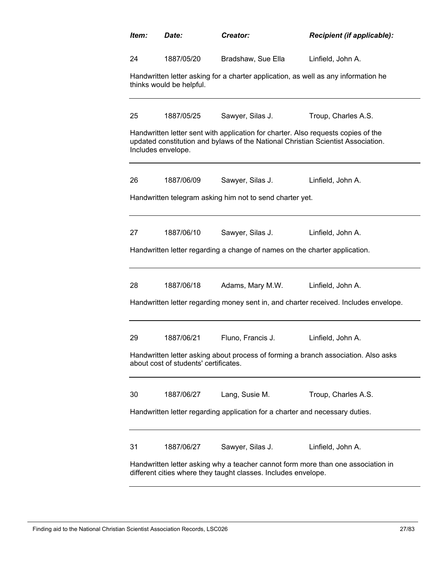| Item: | Date:                                                                                                                                              | Creator:                                                                     | Recipient (if applicable):                                                                                                                                            |  |  |  |
|-------|----------------------------------------------------------------------------------------------------------------------------------------------------|------------------------------------------------------------------------------|-----------------------------------------------------------------------------------------------------------------------------------------------------------------------|--|--|--|
| 24    | 1887/05/20                                                                                                                                         | Bradshaw, Sue Ella                                                           | Linfield, John A.                                                                                                                                                     |  |  |  |
|       | Handwritten letter asking for a charter application, as well as any information he<br>thinks would be helpful.                                     |                                                                              |                                                                                                                                                                       |  |  |  |
| 25    | 1887/05/25                                                                                                                                         | Sawyer, Silas J.                                                             | Troup, Charles A.S.                                                                                                                                                   |  |  |  |
|       | Includes envelope.                                                                                                                                 |                                                                              | Handwritten letter sent with application for charter. Also requests copies of the<br>updated constitution and bylaws of the National Christian Scientist Association. |  |  |  |
| 26    | 1887/06/09                                                                                                                                         | Sawyer, Silas J.                                                             | Linfield, John A.                                                                                                                                                     |  |  |  |
|       |                                                                                                                                                    | Handwritten telegram asking him not to send charter yet.                     |                                                                                                                                                                       |  |  |  |
| 27    | 1887/06/10                                                                                                                                         | Sawyer, Silas J.                                                             | Linfield, John A.                                                                                                                                                     |  |  |  |
|       |                                                                                                                                                    | Handwritten letter regarding a change of names on the charter application.   |                                                                                                                                                                       |  |  |  |
| 28    | 1887/06/18                                                                                                                                         | Adams, Mary M.W.                                                             | Linfield, John A.                                                                                                                                                     |  |  |  |
|       |                                                                                                                                                    |                                                                              | Handwritten letter regarding money sent in, and charter received. Includes envelope.                                                                                  |  |  |  |
| 29    | 1887/06/21                                                                                                                                         | Fluno, Francis J.                                                            | Linfield, John A.                                                                                                                                                     |  |  |  |
|       | about cost of students' certificates.                                                                                                              |                                                                              | Handwritten letter asking about process of forming a branch association. Also asks                                                                                    |  |  |  |
| 30    | 1887/06/27                                                                                                                                         | Lang, Susie M.                                                               | Troup, Charles A.S.                                                                                                                                                   |  |  |  |
|       |                                                                                                                                                    | Handwritten letter regarding application for a charter and necessary duties. |                                                                                                                                                                       |  |  |  |
| 31    | 1887/06/27                                                                                                                                         | Sawyer, Silas J.                                                             | Linfield, John A.                                                                                                                                                     |  |  |  |
|       | Handwritten letter asking why a teacher cannot form more than one association in<br>different cities where they taught classes. Includes envelope. |                                                                              |                                                                                                                                                                       |  |  |  |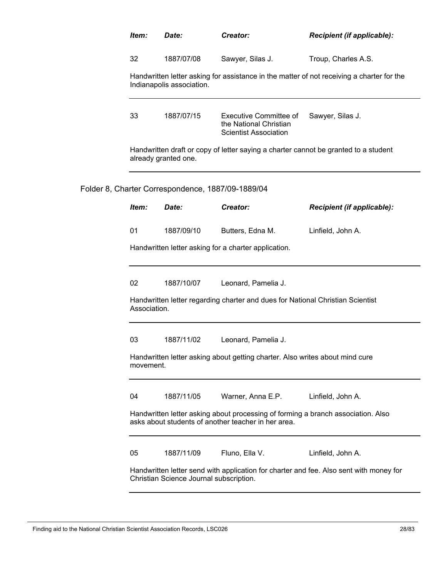|  | Item:                     | Date:                                                                                     | Creator:                                                                                                                                | Recipient (if applicable):                                                             |
|--|---------------------------|-------------------------------------------------------------------------------------------|-----------------------------------------------------------------------------------------------------------------------------------------|----------------------------------------------------------------------------------------|
|  | 32                        | 1887/07/08                                                                                | Sawyer, Silas J.                                                                                                                        | Troup, Charles A.S.                                                                    |
|  | Indianapolis association. | Handwritten letter asking for assistance in the matter of not receiving a charter for the |                                                                                                                                         |                                                                                        |
|  | 33                        | 1887/07/15                                                                                | <b>Executive Committee of</b><br>the National Christian<br><b>Scientist Association</b>                                                 | Sawyer, Silas J.                                                                       |
|  |                           | already granted one.                                                                      | Handwritten draft or copy of letter saying a charter cannot be granted to a student                                                     |                                                                                        |
|  |                           | Folder 8, Charter Correspondence, 1887/09-1889/04                                         |                                                                                                                                         |                                                                                        |
|  | Item:                     | Date:                                                                                     | Creator:                                                                                                                                | <b>Recipient (if applicable):</b>                                                      |
|  | 01                        | 1887/09/10                                                                                | Butters, Edna M.                                                                                                                        | Linfield, John A.                                                                      |
|  |                           |                                                                                           |                                                                                                                                         |                                                                                        |
|  | 02                        | 1887/10/07                                                                                | Leonard, Pamelia J.                                                                                                                     |                                                                                        |
|  | Association.              |                                                                                           | Handwritten letter regarding charter and dues for National Christian Scientist                                                          |                                                                                        |
|  | 03                        | 1887/11/02                                                                                | Leonard, Pamelia J.                                                                                                                     |                                                                                        |
|  | movement.                 |                                                                                           | Handwritten letter asking about getting charter. Also writes about mind cure                                                            |                                                                                        |
|  | 04                        | 1887/11/05                                                                                | Warner, Anna E.P.                                                                                                                       | Linfield, John A.                                                                      |
|  |                           |                                                                                           | Handwritten letter asking about processing of forming a branch association. Also<br>asks about students of another teacher in her area. |                                                                                        |
|  | 05                        | 1887/11/09                                                                                | Fluno, Ella V.                                                                                                                          | Linfield, John A.                                                                      |
|  |                           | Christian Science Journal subscription.                                                   |                                                                                                                                         | Handwritten letter send with application for charter and fee. Also sent with money for |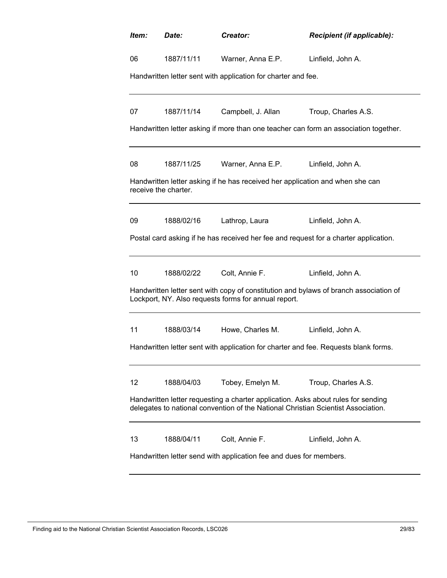| Item:                                                              | Date:                                                                                                                                                                  | Creator:                                                                      | Recipient (if applicable):                                                           |  |  |  |
|--------------------------------------------------------------------|------------------------------------------------------------------------------------------------------------------------------------------------------------------------|-------------------------------------------------------------------------------|--------------------------------------------------------------------------------------|--|--|--|
| 06                                                                 | 1887/11/11                                                                                                                                                             | Warner, Anna E.P.                                                             | Linfield, John A.                                                                    |  |  |  |
|                                                                    |                                                                                                                                                                        | Handwritten letter sent with application for charter and fee.                 |                                                                                      |  |  |  |
| 07                                                                 | 1887/11/14                                                                                                                                                             | Campbell, J. Allan                                                            | Troup, Charles A.S.                                                                  |  |  |  |
|                                                                    |                                                                                                                                                                        |                                                                               | Handwritten letter asking if more than one teacher can form an association together. |  |  |  |
| 08                                                                 | 1887/11/25                                                                                                                                                             | Warner, Anna E.P.                                                             | Linfield, John A.                                                                    |  |  |  |
| receive the charter.                                               |                                                                                                                                                                        | Handwritten letter asking if he has received her application and when she can |                                                                                      |  |  |  |
| 09                                                                 | 1888/02/16                                                                                                                                                             | Lathrop, Laura                                                                | Linfield, John A.                                                                    |  |  |  |
|                                                                    |                                                                                                                                                                        |                                                                               | Postal card asking if he has received her fee and request for a charter application. |  |  |  |
| 10                                                                 | 1888/02/22                                                                                                                                                             | Colt, Annie F.                                                                | Linfield, John A.                                                                    |  |  |  |
|                                                                    | Handwritten letter sent with copy of constitution and bylaws of branch association of<br>Lockport, NY. Also requests forms for annual report.                          |                                                                               |                                                                                      |  |  |  |
| 11                                                                 | 1888/03/14                                                                                                                                                             | Howe, Charles M.                                                              | Linfield, John A.                                                                    |  |  |  |
|                                                                    |                                                                                                                                                                        |                                                                               | Handwritten letter sent with application for charter and fee. Requests blank forms.  |  |  |  |
| 12                                                                 | 1888/04/03                                                                                                                                                             | Tobey, Emelyn M.                                                              | Troup, Charles A.S.                                                                  |  |  |  |
|                                                                    | Handwritten letter requesting a charter application. Asks about rules for sending<br>delegates to national convention of the National Christian Scientist Association. |                                                                               |                                                                                      |  |  |  |
| 13                                                                 | 1888/04/11                                                                                                                                                             | Colt, Annie F.                                                                | Linfield, John A.                                                                    |  |  |  |
| Handwritten letter send with application fee and dues for members. |                                                                                                                                                                        |                                                                               |                                                                                      |  |  |  |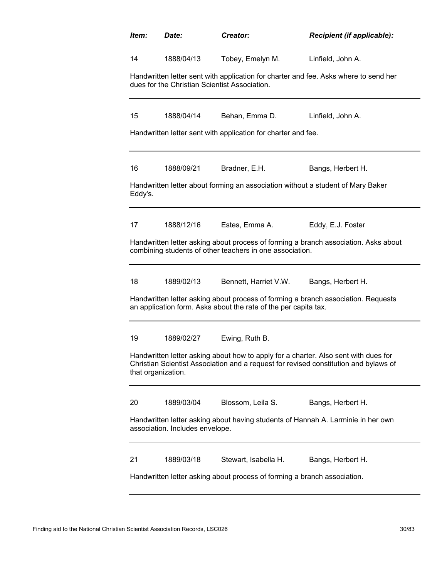| Item:                                                                    | Date:                                                                                                                                                                                             | Creator:                                                                        | Recipient (if applicable):                                                           |  |  |
|--------------------------------------------------------------------------|---------------------------------------------------------------------------------------------------------------------------------------------------------------------------------------------------|---------------------------------------------------------------------------------|--------------------------------------------------------------------------------------|--|--|
| 14                                                                       | 1888/04/13                                                                                                                                                                                        | Tobey, Emelyn M.                                                                | Linfield, John A.                                                                    |  |  |
|                                                                          | dues for the Christian Scientist Association.                                                                                                                                                     |                                                                                 | Handwritten letter sent with application for charter and fee. Asks where to send her |  |  |
| 15                                                                       | 1888/04/14                                                                                                                                                                                        | Behan, Emma D.                                                                  | Linfield, John A.                                                                    |  |  |
|                                                                          |                                                                                                                                                                                                   | Handwritten letter sent with application for charter and fee.                   |                                                                                      |  |  |
| 16                                                                       | 1888/09/21                                                                                                                                                                                        | Bradner, E.H.                                                                   | Bangs, Herbert H.                                                                    |  |  |
| Eddy's.                                                                  |                                                                                                                                                                                                   | Handwritten letter about forming an association without a student of Mary Baker |                                                                                      |  |  |
| 17                                                                       | 1888/12/16                                                                                                                                                                                        | Estes, Emma A.                                                                  | Eddy, E.J. Foster                                                                    |  |  |
|                                                                          |                                                                                                                                                                                                   | combining students of other teachers in one association.                        | Handwritten letter asking about process of forming a branch association. Asks about  |  |  |
| 18                                                                       | 1889/02/13                                                                                                                                                                                        | Bennett, Harriet V.W.                                                           | Bangs, Herbert H.                                                                    |  |  |
|                                                                          |                                                                                                                                                                                                   | an application form. Asks about the rate of the per capita tax.                 | Handwritten letter asking about process of forming a branch association. Requests    |  |  |
| 19                                                                       | 1889/02/27                                                                                                                                                                                        | Ewing, Ruth B.                                                                  |                                                                                      |  |  |
|                                                                          | Handwritten letter asking about how to apply for a charter. Also sent with dues for<br>Christian Scientist Association and a request for revised constitution and bylaws of<br>that organization. |                                                                                 |                                                                                      |  |  |
| 20                                                                       | 1889/03/04                                                                                                                                                                                        | Blossom, Leila S.                                                               | Bangs, Herbert H.                                                                    |  |  |
|                                                                          | association. Includes envelope.                                                                                                                                                                   |                                                                                 | Handwritten letter asking about having students of Hannah A. Larminie in her own     |  |  |
| 21                                                                       | 1889/03/18                                                                                                                                                                                        | Stewart, Isabella H.                                                            | Bangs, Herbert H.                                                                    |  |  |
| Handwritten letter asking about process of forming a branch association. |                                                                                                                                                                                                   |                                                                                 |                                                                                      |  |  |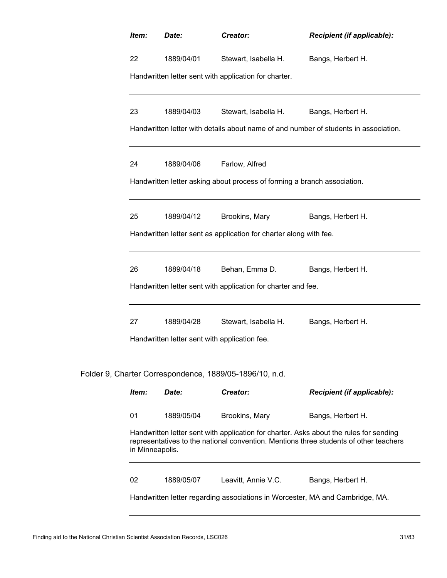| Item:                                                                                                                                                                                              | Date:                                         | Creator:                                                | <b>Recipient (if applicable):</b> |  |
|----------------------------------------------------------------------------------------------------------------------------------------------------------------------------------------------------|-----------------------------------------------|---------------------------------------------------------|-----------------------------------|--|
| 22                                                                                                                                                                                                 | 1889/04/01                                    | Stewart, Isabella H.                                    | Bangs, Herbert H.                 |  |
|                                                                                                                                                                                                    |                                               | Handwritten letter sent with application for charter.   |                                   |  |
| 23                                                                                                                                                                                                 | 1889/04/03                                    | Stewart, Isabella H.                                    | Bangs, Herbert H.                 |  |
| Handwritten letter with details about name of and number of students in association.                                                                                                               |                                               |                                                         |                                   |  |
| 24                                                                                                                                                                                                 | 1889/04/06                                    | Farlow, Alfred                                          |                                   |  |
| Handwritten letter asking about process of forming a branch association.                                                                                                                           |                                               |                                                         |                                   |  |
| 25                                                                                                                                                                                                 | 1889/04/12                                    | Brookins, Mary                                          | Bangs, Herbert H.                 |  |
| Handwritten letter sent as application for charter along with fee.                                                                                                                                 |                                               |                                                         |                                   |  |
| 26                                                                                                                                                                                                 | 1889/04/18                                    | Behan, Emma D.                                          | Bangs, Herbert H.                 |  |
| Handwritten letter sent with application for charter and fee.                                                                                                                                      |                                               |                                                         |                                   |  |
| 27                                                                                                                                                                                                 | 1889/04/28                                    | Stewart, Isabella H.                                    | Bangs, Herbert H.                 |  |
|                                                                                                                                                                                                    | Handwritten letter sent with application fee. |                                                         |                                   |  |
|                                                                                                                                                                                                    |                                               | Folder 9, Charter Correspondence, 1889/05-1896/10, n.d. |                                   |  |
| Item:                                                                                                                                                                                              | Date:                                         | Creator:                                                | Recipient (if applicable):        |  |
| 01                                                                                                                                                                                                 | 1889/05/04                                    | Brookins, Mary                                          | Bangs, Herbert H.                 |  |
| Handwritten letter sent with application for charter. Asks about the rules for sending<br>representatives to the national convention. Mentions three students of other teachers<br>in Minneapolis. |                                               |                                                         |                                   |  |
| 02                                                                                                                                                                                                 | 1889/05/07                                    | Leavitt, Annie V.C.                                     | Bangs, Herbert H.                 |  |
| Handwritten letter regarding associations in Worcester, MA and Cambridge, MA.                                                                                                                      |                                               |                                                         |                                   |  |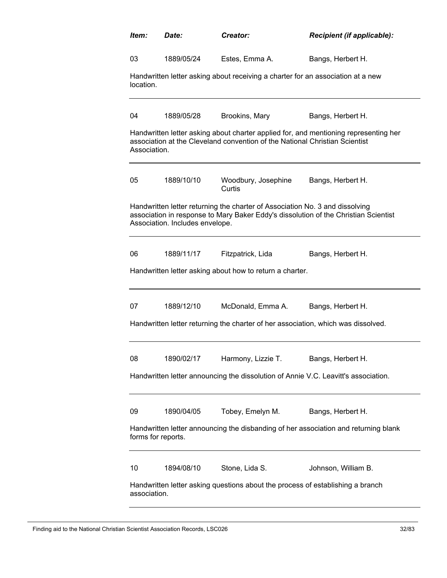| ltem:                                                                              | Date:                                                                                                                                                                                                  | Creator:                                                                        | Recipient (if applicable):                                                           |  |  |  |
|------------------------------------------------------------------------------------|--------------------------------------------------------------------------------------------------------------------------------------------------------------------------------------------------------|---------------------------------------------------------------------------------|--------------------------------------------------------------------------------------|--|--|--|
| 03                                                                                 | 1889/05/24                                                                                                                                                                                             | Estes, Emma A.                                                                  | Bangs, Herbert H.                                                                    |  |  |  |
| location.                                                                          |                                                                                                                                                                                                        | Handwritten letter asking about receiving a charter for an association at a new |                                                                                      |  |  |  |
| 04                                                                                 | 1889/05/28                                                                                                                                                                                             | Brookins, Mary                                                                  | Bangs, Herbert H.                                                                    |  |  |  |
| Association.                                                                       |                                                                                                                                                                                                        | association at the Cleveland convention of the National Christian Scientist     | Handwritten letter asking about charter applied for, and mentioning representing her |  |  |  |
| 05                                                                                 | 1889/10/10                                                                                                                                                                                             | Woodbury, Josephine<br>Curtis                                                   | Bangs, Herbert H.                                                                    |  |  |  |
|                                                                                    | Handwritten letter returning the charter of Association No. 3 and dissolving<br>association in response to Mary Baker Eddy's dissolution of the Christian Scientist<br>Association. Includes envelope. |                                                                                 |                                                                                      |  |  |  |
| 06                                                                                 | 1889/11/17                                                                                                                                                                                             | Fitzpatrick, Lida                                                               | Bangs, Herbert H.                                                                    |  |  |  |
|                                                                                    | Handwritten letter asking about how to return a charter.                                                                                                                                               |                                                                                 |                                                                                      |  |  |  |
| 07                                                                                 | 1889/12/10                                                                                                                                                                                             | McDonald, Emma A.                                                               | Bangs, Herbert H.                                                                    |  |  |  |
|                                                                                    | Handwritten letter returning the charter of her association, which was dissolved.                                                                                                                      |                                                                                 |                                                                                      |  |  |  |
| 08                                                                                 | 1890/02/17                                                                                                                                                                                             | Harmony, Lizzie T.                                                              | Bangs, Herbert H.                                                                    |  |  |  |
| Handwritten letter announcing the dissolution of Annie V.C. Leavitt's association. |                                                                                                                                                                                                        |                                                                                 |                                                                                      |  |  |  |
| 09                                                                                 | 1890/04/05                                                                                                                                                                                             | Tobey, Emelyn M.                                                                | Bangs, Herbert H.                                                                    |  |  |  |
| forms for reports.                                                                 |                                                                                                                                                                                                        |                                                                                 | Handwritten letter announcing the disbanding of her association and returning blank  |  |  |  |
| 10                                                                                 | 1894/08/10                                                                                                                                                                                             | Stone, Lida S.                                                                  | Johnson, William B.                                                                  |  |  |  |
|                                                                                    | Handwritten letter asking questions about the process of establishing a branch<br>association.                                                                                                         |                                                                                 |                                                                                      |  |  |  |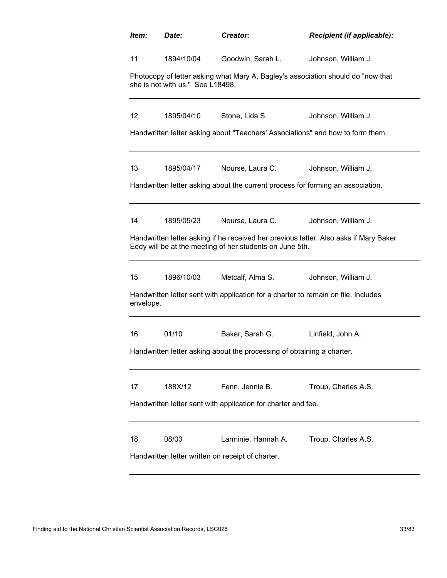| ltem:                                                                  | Date:                                                                                                                                             | Creator:                                                                       | <b>Recipient (if applicable):</b> |  |  |  |
|------------------------------------------------------------------------|---------------------------------------------------------------------------------------------------------------------------------------------------|--------------------------------------------------------------------------------|-----------------------------------|--|--|--|
| 11                                                                     | 1894/10/04                                                                                                                                        | Goodwin, Sarah L.                                                              | Johnson, William J.               |  |  |  |
|                                                                        | Photocopy of letter asking what Mary A. Bagley's association should do "now that<br>she is not with us." See L18498.                              |                                                                                |                                   |  |  |  |
| 12 <sup>°</sup>                                                        | 1895/04/10                                                                                                                                        | Stone, Lida S.                                                                 | Johnson, William J.               |  |  |  |
|                                                                        |                                                                                                                                                   | Handwritten letter asking about "Teachers' Associations" and how to form them. |                                   |  |  |  |
| 13                                                                     | 1895/04/17                                                                                                                                        | Nourse, Laura C.                                                               | Johnson, William J.               |  |  |  |
|                                                                        | Handwritten letter asking about the current process for forming an association.                                                                   |                                                                                |                                   |  |  |  |
| 14                                                                     | 1895/05/23                                                                                                                                        | Nourse, Laura C.                                                               | Johnson, William J.               |  |  |  |
|                                                                        | Handwritten letter asking if he received her previous letter. Also asks if Mary Baker<br>Eddy will be at the meeting of her students on June 5th. |                                                                                |                                   |  |  |  |
| 15                                                                     | 1896/10/03                                                                                                                                        | Metcalf, Alma S.                                                               | Johnson, William J.               |  |  |  |
|                                                                        | Handwritten letter sent with application for a charter to remain on file. Includes<br>envelope.                                                   |                                                                                |                                   |  |  |  |
| 16                                                                     | 01/10                                                                                                                                             | Baker, Sarah G.                                                                | Linfield, John A.                 |  |  |  |
| Handwritten letter asking about the processing of obtaining a charter. |                                                                                                                                                   |                                                                                |                                   |  |  |  |
| 17                                                                     | 188X/12                                                                                                                                           | Fenn, Jennie B.                                                                | Troup, Charles A.S.               |  |  |  |
|                                                                        | Handwritten letter sent with application for charter and fee.                                                                                     |                                                                                |                                   |  |  |  |
| 18                                                                     | 08/03                                                                                                                                             | Larminie, Hannah A.                                                            | Troup, Charles A.S.               |  |  |  |
|                                                                        | Handwritten letter written on receipt of charter.                                                                                                 |                                                                                |                                   |  |  |  |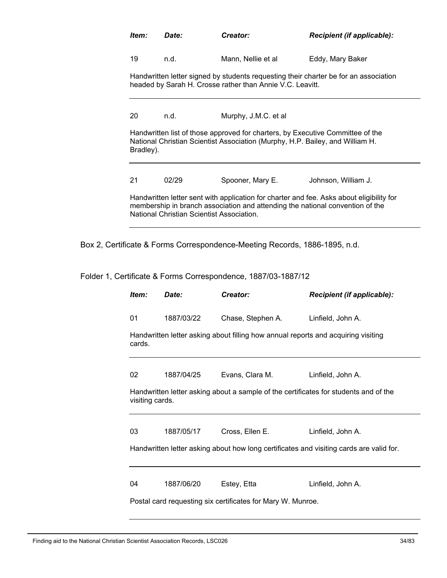| ltem:     | Date: | Creator:                                                                      | <b>Recipient (if applicable):</b>                                                                                                                                         |
|-----------|-------|-------------------------------------------------------------------------------|---------------------------------------------------------------------------------------------------------------------------------------------------------------------------|
| 19        | n.d.  | Mann, Nellie et al                                                            | Eddy, Mary Baker                                                                                                                                                          |
|           |       | headed by Sarah H. Crosse rather than Annie V.C. Leavitt.                     | Handwritten letter signed by students requesting their charter be for an association                                                                                      |
| 20        | n.d.  | Murphy, J.M.C. et al.                                                         |                                                                                                                                                                           |
| Bradley). |       | National Christian Scientist Association (Murphy, H.P. Bailey, and William H. | Handwritten list of those approved for charters, by Executive Committee of the                                                                                            |
| 21        | 02/29 | Spooner, Mary E.                                                              | Johnson, William J.                                                                                                                                                       |
|           |       | National Christian Scientist Association.                                     | Handwritten letter sent with application for charter and fee. Asks about eligibility for<br>membership in branch association and attending the national convention of the |

Box 2, Certificate & Forms Correspondence-Meeting Records, 1886-1895, n.d.

Folder 1, Certificate & Forms Correspondence, 1887/03-1887/12

| Item:                                                                                   | Date:      | Creator:          | <b>Recipient (if applicable):</b>                                                    |  |
|-----------------------------------------------------------------------------------------|------------|-------------------|--------------------------------------------------------------------------------------|--|
| 01                                                                                      | 1887/03/22 | Chase, Stephen A. | Linfield, John A.                                                                    |  |
| cards.                                                                                  |            |                   | Handwritten letter asking about filling how annual reports and acquiring visiting    |  |
| 02                                                                                      | 1887/04/25 | Evans, Clara M.   | Linfield, John A.                                                                    |  |
| visiting cards.                                                                         |            |                   | Handwritten letter asking about a sample of the certificates for students and of the |  |
| 03                                                                                      | 1887/05/17 | Cross, Ellen E.   | Linfield, John A.                                                                    |  |
| Handwritten letter asking about how long certificates and visiting cards are valid for. |            |                   |                                                                                      |  |
|                                                                                         |            |                   |                                                                                      |  |
| 04                                                                                      | 1887/06/20 | Estey, Etta       | Linfield, John A.                                                                    |  |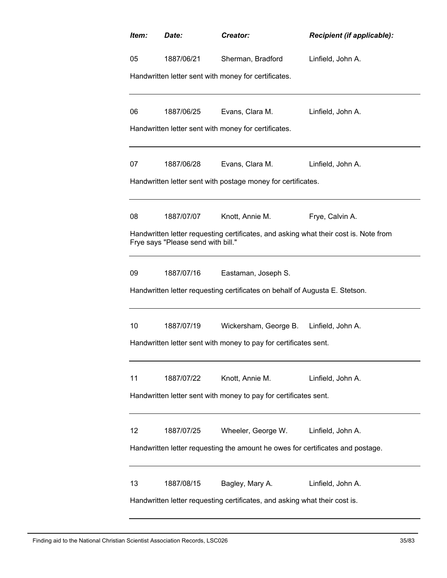| ltem:                                                                          | Date:                                                                                                                      | Creator:                                             | <b>Recipient (if applicable):</b> |  |  |  |
|--------------------------------------------------------------------------------|----------------------------------------------------------------------------------------------------------------------------|------------------------------------------------------|-----------------------------------|--|--|--|
| 05                                                                             | 1887/06/21                                                                                                                 | Sherman, Bradford                                    | Linfield, John A.                 |  |  |  |
|                                                                                | Handwritten letter sent with money for certificates.                                                                       |                                                      |                                   |  |  |  |
| 06                                                                             | 1887/06/25                                                                                                                 | Evans, Clara M.                                      | Linfield, John A.                 |  |  |  |
|                                                                                |                                                                                                                            | Handwritten letter sent with money for certificates. |                                   |  |  |  |
| 07                                                                             | 1887/06/28                                                                                                                 | Evans, Clara M.                                      | Linfield, John A.                 |  |  |  |
|                                                                                | Handwritten letter sent with postage money for certificates.                                                               |                                                      |                                   |  |  |  |
| 08                                                                             | 1887/07/07                                                                                                                 | Knott, Annie M.                                      | Frye, Calvin A.                   |  |  |  |
|                                                                                | Handwritten letter requesting certificates, and asking what their cost is. Note from<br>Frye says "Please send with bill." |                                                      |                                   |  |  |  |
| 09                                                                             | 1887/07/16                                                                                                                 | Eastaman, Joseph S.                                  |                                   |  |  |  |
|                                                                                | Handwritten letter requesting certificates on behalf of Augusta E. Stetson.                                                |                                                      |                                   |  |  |  |
| 10                                                                             | 1887/07/19                                                                                                                 | Wickersham, George B. Linfield, John A.              |                                   |  |  |  |
| Handwritten letter sent with money to pay for certificates sent.               |                                                                                                                            |                                                      |                                   |  |  |  |
| 11                                                                             | 1887/07/22                                                                                                                 | Knott, Annie M.                                      | Linfield, John A.                 |  |  |  |
| Handwritten letter sent with money to pay for certificates sent.               |                                                                                                                            |                                                      |                                   |  |  |  |
| 12                                                                             | 1887/07/25                                                                                                                 | Wheeler, George W.                                   | Linfield, John A.                 |  |  |  |
| Handwritten letter requesting the amount he owes for certificates and postage. |                                                                                                                            |                                                      |                                   |  |  |  |
| 13                                                                             | 1887/08/15                                                                                                                 | Bagley, Mary A.                                      | Linfield, John A.                 |  |  |  |
| Handwritten letter requesting certificates, and asking what their cost is.     |                                                                                                                            |                                                      |                                   |  |  |  |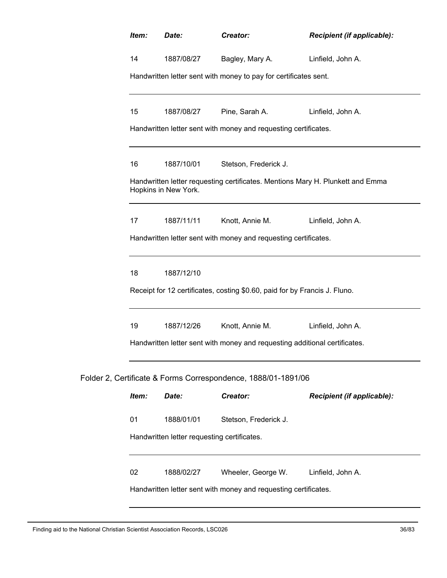| Item:                                                                                                  | Date:                                                                      | Creator:                                                      | Recipient (if applicable): |  |  |
|--------------------------------------------------------------------------------------------------------|----------------------------------------------------------------------------|---------------------------------------------------------------|----------------------------|--|--|
| 14                                                                                                     | 1887/08/27                                                                 | Bagley, Mary A.                                               | Linfield, John A.          |  |  |
| Handwritten letter sent with money to pay for certificates sent.                                       |                                                                            |                                                               |                            |  |  |
| 15                                                                                                     | 1887/08/27                                                                 | Pine, Sarah A.                                                | Linfield, John A.          |  |  |
| Handwritten letter sent with money and requesting certificates.                                        |                                                                            |                                                               |                            |  |  |
| 16                                                                                                     | 1887/10/01                                                                 | Stetson, Frederick J.                                         |                            |  |  |
| Handwritten letter requesting certificates. Mentions Mary H. Plunkett and Emma<br>Hopkins in New York. |                                                                            |                                                               |                            |  |  |
| 17                                                                                                     | 1887/11/11                                                                 | Knott, Annie M.                                               | Linfield, John A.          |  |  |
| Handwritten letter sent with money and requesting certificates.                                        |                                                                            |                                                               |                            |  |  |
| 18                                                                                                     | 1887/12/10                                                                 |                                                               |                            |  |  |
| Receipt for 12 certificates, costing \$0.60, paid for by Francis J. Fluno.                             |                                                                            |                                                               |                            |  |  |
| 19                                                                                                     | 1887/12/26                                                                 | Knott, Annie M.                                               | Linfield, John A.          |  |  |
|                                                                                                        | Handwritten letter sent with money and requesting additional certificates. |                                                               |                            |  |  |
|                                                                                                        |                                                                            | Folder 2, Certificate & Forms Correspondence, 1888/01-1891/06 |                            |  |  |
| Item:                                                                                                  | Date:                                                                      | Creator:                                                      | Recipient (if applicable): |  |  |
| 01                                                                                                     | 1888/01/01                                                                 | Stetson, Frederick J.                                         |                            |  |  |
| Handwritten letter requesting certificates.                                                            |                                                                            |                                                               |                            |  |  |
| 02                                                                                                     | 1888/02/27                                                                 | Wheeler, George W.                                            | Linfield, John A.          |  |  |
| Handwritten letter sent with money and requesting certificates.                                        |                                                                            |                                                               |                            |  |  |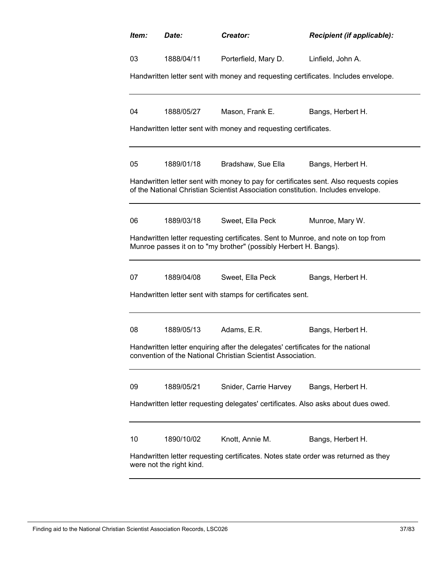| Item:                                                                                                          | Date:                                                                                                                                         | Creator:                                                                                                                                             | Recipient (if applicable):                                                            |  |  |
|----------------------------------------------------------------------------------------------------------------|-----------------------------------------------------------------------------------------------------------------------------------------------|------------------------------------------------------------------------------------------------------------------------------------------------------|---------------------------------------------------------------------------------------|--|--|
| 03                                                                                                             | 1888/04/11                                                                                                                                    | Porterfield, Mary D.                                                                                                                                 | Linfield, John A.                                                                     |  |  |
|                                                                                                                |                                                                                                                                               |                                                                                                                                                      | Handwritten letter sent with money and requesting certificates. Includes envelope.    |  |  |
|                                                                                                                |                                                                                                                                               |                                                                                                                                                      |                                                                                       |  |  |
| 04                                                                                                             | 1888/05/27                                                                                                                                    | Mason, Frank E.                                                                                                                                      | Bangs, Herbert H.                                                                     |  |  |
|                                                                                                                |                                                                                                                                               | Handwritten letter sent with money and requesting certificates.                                                                                      |                                                                                       |  |  |
| 05                                                                                                             | 1889/01/18                                                                                                                                    | Bradshaw, Sue Ella                                                                                                                                   | Bangs, Herbert H.                                                                     |  |  |
|                                                                                                                |                                                                                                                                               | of the National Christian Scientist Association constitution. Includes envelope.                                                                     | Handwritten letter sent with money to pay for certificates sent. Also requests copies |  |  |
| 06                                                                                                             | 1889/03/18                                                                                                                                    | Sweet, Ella Peck                                                                                                                                     | Munroe, Mary W.                                                                       |  |  |
|                                                                                                                |                                                                                                                                               | Handwritten letter requesting certificates. Sent to Munroe, and note on top from<br>Munroe passes it on to "my brother" (possibly Herbert H. Bangs). |                                                                                       |  |  |
| 07                                                                                                             | 1889/04/08                                                                                                                                    | Sweet, Ella Peck                                                                                                                                     | Bangs, Herbert H.                                                                     |  |  |
|                                                                                                                |                                                                                                                                               | Handwritten letter sent with stamps for certificates sent.                                                                                           |                                                                                       |  |  |
| 08                                                                                                             | 1889/05/13                                                                                                                                    | Adams, E.R.                                                                                                                                          | Bangs, Herbert H.                                                                     |  |  |
|                                                                                                                |                                                                                                                                               |                                                                                                                                                      |                                                                                       |  |  |
|                                                                                                                | Handwritten letter enquiring after the delegates' certificates for the national<br>convention of the National Christian Scientist Association |                                                                                                                                                      |                                                                                       |  |  |
| 09                                                                                                             | 1889/05/21                                                                                                                                    | Snider, Carrie Harvey                                                                                                                                | Bangs, Herbert H.                                                                     |  |  |
|                                                                                                                | Handwritten letter requesting delegates' certificates. Also asks about dues owed.                                                             |                                                                                                                                                      |                                                                                       |  |  |
| 10                                                                                                             | 1890/10/02                                                                                                                                    | Knott, Annie M.                                                                                                                                      | Bangs, Herbert H.                                                                     |  |  |
| Handwritten letter requesting certificates. Notes state order was returned as they<br>were not the right kind. |                                                                                                                                               |                                                                                                                                                      |                                                                                       |  |  |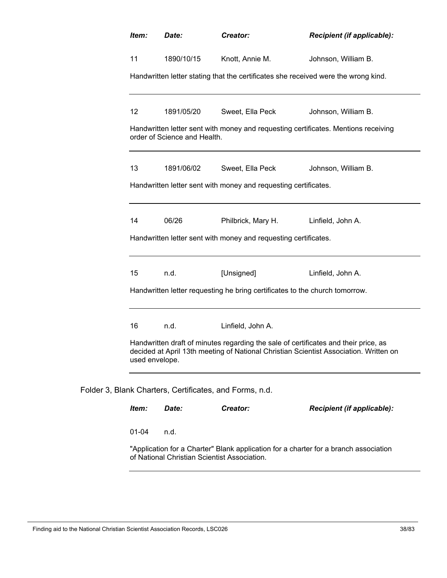| Item:             | Date:                        | Creator:                                                                    | Recipient (if applicable):                                                                                                                                                   |
|-------------------|------------------------------|-----------------------------------------------------------------------------|------------------------------------------------------------------------------------------------------------------------------------------------------------------------------|
| 11                | 1890/10/15                   | Knott, Annie M.                                                             | Johnson, William B.                                                                                                                                                          |
|                   |                              |                                                                             | Handwritten letter stating that the certificates she received were the wrong kind.                                                                                           |
| $12 \overline{ }$ | 1891/05/20                   | Sweet, Ella Peck                                                            | Johnson, William B.                                                                                                                                                          |
|                   | order of Science and Health. |                                                                             | Handwritten letter sent with money and requesting certificates. Mentions receiving                                                                                           |
| 13                | 1891/06/02                   | Sweet, Ella Peck                                                            | Johnson, William B.                                                                                                                                                          |
|                   |                              | Handwritten letter sent with money and requesting certificates.             |                                                                                                                                                                              |
| 14                | 06/26                        |                                                                             | Philbrick, Mary H. Linfield, John A.                                                                                                                                         |
|                   |                              | Handwritten letter sent with money and requesting certificates.             |                                                                                                                                                                              |
| 15                | n.d.                         | [Unsigned]                                                                  | Linfield, John A.                                                                                                                                                            |
|                   |                              | Handwritten letter requesting he bring certificates to the church tomorrow. |                                                                                                                                                                              |
| 16                | n.d.                         | Linfield, John A.                                                           |                                                                                                                                                                              |
| used envelope.    |                              |                                                                             | Handwritten draft of minutes regarding the sale of certificates and their price, as<br>decided at April 13th meeting of National Christian Scientist Association. Written on |
|                   |                              | Blank Charters, Certificates, and Forms, n.d.                               |                                                                                                                                                                              |
| Item:             | Date:                        | Creator:                                                                    | Recipient (if applicable):                                                                                                                                                   |
| $01 - 04$         | n.d.                         |                                                                             |                                                                                                                                                                              |
|                   |                              | of National Christian Scientist Association.                                | "Application for a Charter" Blank application for a charter for a branch association                                                                                         |

Finding aid to the National Christian Scientist Association Records, LSC026 38/83 38/83

Folder 3,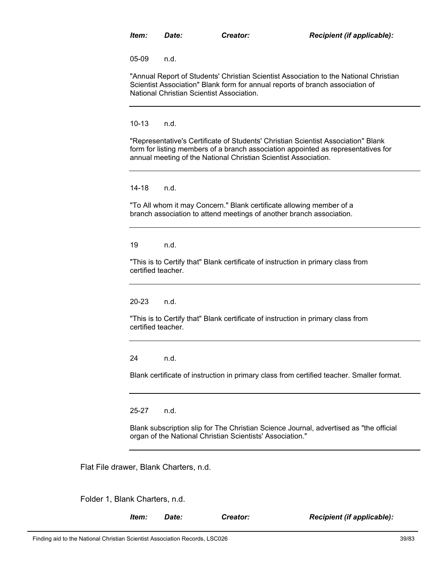05-09 n.d.

"Annual Report of Students' Christian Scientist Association to the National Christian Scientist Association" Blank form for annual reports of branch association of National Christian Scientist Association.

10-13 n.d.

"Representative's Certificate of Students' Christian Scientist Association" Blank form for listing members of a branch association appointed as representatives for annual meeting of the National Christian Scientist Association.

14-18 n.d.

"To All whom it may Concern." Blank certificate allowing member of a branch association to attend meetings of another branch association.

19 n.d.

"This is to Certify that" Blank certificate of instruction in primary class from certified teacher.

20-23 n.d.

"This is to Certify that" Blank certificate of instruction in primary class from certified teacher.

24 n.d.

Blank certificate of instruction in primary class from certified teacher. Smaller format.

25-27 n.d.

Blank subscription slip for The Christian Science Journal, advertised as "the official organ of the National Christian Scientists' Association."

Flat File drawer, Blank Charters, n.d.

Folder 1, Blank Charters, n.d.

*Item: Date: Creator: Recipient (if applicable):*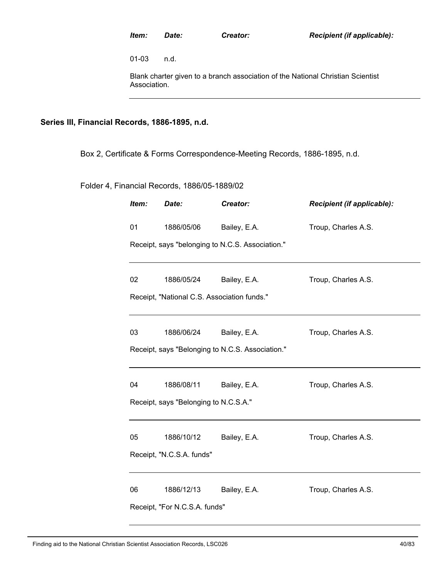01-03 n.d.

Blank charter given to a branch association of the National Christian Scientist Association.

# **Series III, Financial Records, 1886-1895, n.d.**

Box 2, Certificate & Forms Correspondence-Meeting Records, 1886-1895, n.d.

Folder 4, Financial Records, 1886/05-1889/02

| Item:                     | Date:                                       | Creator:                                         | Recipient (if applicable): |  |  |
|---------------------------|---------------------------------------------|--------------------------------------------------|----------------------------|--|--|
| 01                        | 1886/05/06                                  | Bailey, E.A.                                     | Troup, Charles A.S.        |  |  |
|                           |                                             | Receipt, says "belonging to N.C.S. Association." |                            |  |  |
| 02                        | 1886/05/24                                  | Bailey, E.A.                                     | Troup, Charles A.S.        |  |  |
|                           | Receipt, "National C.S. Association funds." |                                                  |                            |  |  |
| 03                        | 1886/06/24                                  | Bailey, E.A.                                     | Troup, Charles A.S.        |  |  |
|                           |                                             | Receipt, says "Belonging to N.C.S. Association." |                            |  |  |
| 04                        | 1886/08/11                                  | Bailey, E.A.                                     | Troup, Charles A.S.        |  |  |
|                           | Receipt, says "Belonging to N.C.S.A."       |                                                  |                            |  |  |
| 05                        | 1886/10/12                                  | Bailey, E.A.                                     | Troup, Charles A.S.        |  |  |
| Receipt, "N.C.S.A. funds" |                                             |                                                  |                            |  |  |
| 06                        | 1886/12/13                                  | Bailey, E.A.                                     | Troup, Charles A.S.        |  |  |
|                           | Receipt, "For N.C.S.A. funds"               |                                                  |                            |  |  |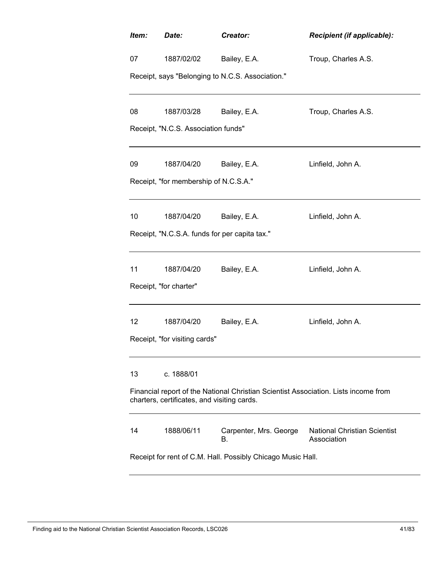| Item:                                                                                                                              | Date:                                         | Creator:                                         | Recipient (if applicable):                         |  |
|------------------------------------------------------------------------------------------------------------------------------------|-----------------------------------------------|--------------------------------------------------|----------------------------------------------------|--|
| 07                                                                                                                                 | 1887/02/02                                    | Bailey, E.A.                                     | Troup, Charles A.S.                                |  |
|                                                                                                                                    |                                               | Receipt, says "Belonging to N.C.S. Association." |                                                    |  |
| 08                                                                                                                                 | 1887/03/28                                    | Bailey, E.A.                                     | Troup, Charles A.S.                                |  |
|                                                                                                                                    | Receipt, "N.C.S. Association funds"           |                                                  |                                                    |  |
| 09                                                                                                                                 | 1887/04/20                                    | Bailey, E.A.                                     | Linfield, John A.                                  |  |
|                                                                                                                                    | Receipt, "for membership of N.C.S.A."         |                                                  |                                                    |  |
| 10                                                                                                                                 | 1887/04/20                                    | Bailey, E.A.                                     | Linfield, John A.                                  |  |
|                                                                                                                                    | Receipt, "N.C.S.A. funds for per capita tax." |                                                  |                                                    |  |
| 11                                                                                                                                 | 1887/04/20                                    | Bailey, E.A.                                     | Linfield, John A.                                  |  |
|                                                                                                                                    | Receipt, "for charter"                        |                                                  |                                                    |  |
| 12                                                                                                                                 | 1887/04/20                                    | Bailey, E.A.                                     | Linfield, John A.                                  |  |
|                                                                                                                                    | Receipt, "for visiting cards"                 |                                                  |                                                    |  |
| 13                                                                                                                                 | c. 1888/01                                    |                                                  |                                                    |  |
| Financial report of the National Christian Scientist Association. Lists income from<br>charters, certificates, and visiting cards. |                                               |                                                  |                                                    |  |
| 14                                                                                                                                 | 1888/06/11                                    | Carpenter, Mrs. George<br>В.                     | <b>National Christian Scientist</b><br>Association |  |
| Receipt for rent of C.M. Hall. Possibly Chicago Music Hall.                                                                        |                                               |                                                  |                                                    |  |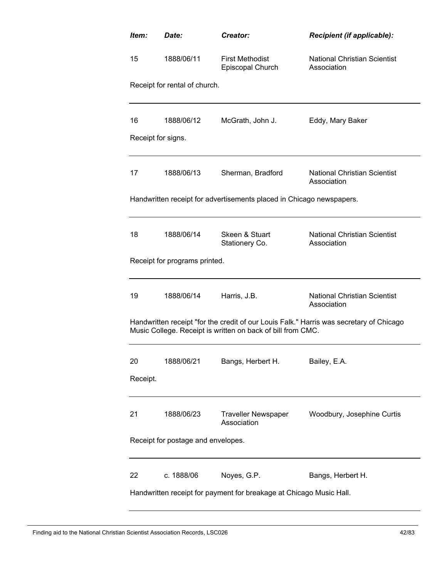| Item:              | Date:                              | Creator:                                                                           | Recipient (if applicable):                                                              |
|--------------------|------------------------------------|------------------------------------------------------------------------------------|-----------------------------------------------------------------------------------------|
| 15                 | 1888/06/11                         | <b>First Methodist</b><br>Episcopal Church                                         | National Christian Scientist<br>Association                                             |
|                    | Receipt for rental of church.      |                                                                                    |                                                                                         |
| 16                 | 1888/06/12                         | McGrath, John J.                                                                   | Eddy, Mary Baker                                                                        |
| Receipt for signs. |                                    |                                                                                    |                                                                                         |
| 17                 | 1888/06/13                         | Sherman, Bradford                                                                  | <b>National Christian Scientist</b><br>Association                                      |
|                    |                                    | Handwritten receipt for advertisements placed in Chicago newspapers.               |                                                                                         |
| 18                 | 1888/06/14                         | Skeen & Stuart<br>Stationery Co.                                                   | <b>National Christian Scientist</b><br>Association                                      |
|                    | Receipt for programs printed.      |                                                                                    |                                                                                         |
| 19                 | 1888/06/14                         | Harris, J.B.                                                                       | <b>National Christian Scientist</b><br>Association                                      |
|                    |                                    | Music College. Receipt is written on back of bill from CMC.                        | Handwritten receipt "for the credit of our Louis Falk." Harris was secretary of Chicago |
| 20<br>Receipt.     | 1888/06/21                         | Bangs, Herbert H.                                                                  | Bailey, E.A.                                                                            |
|                    |                                    |                                                                                    |                                                                                         |
| 21                 | 1888/06/23                         | <b>Traveller Newspaper</b><br>Association                                          | Woodbury, Josephine Curtis                                                              |
|                    | Receipt for postage and envelopes. |                                                                                    |                                                                                         |
| 22                 | c. 1888/06                         | Noyes, G.P.<br>Handwritten receipt for payment for breakage at Chicago Music Hall. | Bangs, Herbert H.                                                                       |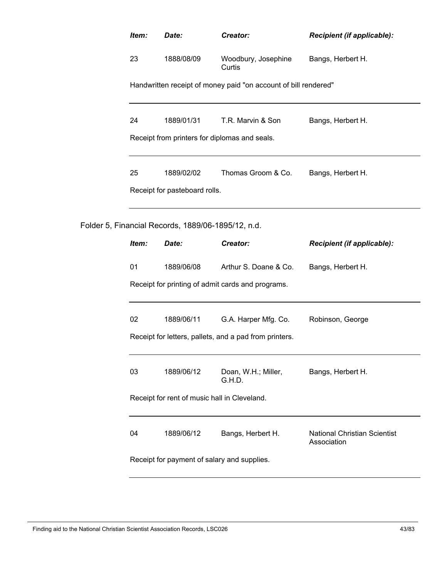| Item:                                         | Date:                                              | Creator:                                                        | Recipient (if applicable):                         |  |
|-----------------------------------------------|----------------------------------------------------|-----------------------------------------------------------------|----------------------------------------------------|--|
| 23                                            | 1888/08/09                                         | Woodbury, Josephine<br>Curtis                                   | Bangs, Herbert H.                                  |  |
|                                               |                                                    | Handwritten receipt of money paid "on account of bill rendered" |                                                    |  |
| 24                                            | 1889/01/31                                         | T.R. Marvin & Son                                               | Bangs, Herbert H.                                  |  |
| Receipt from printers for diplomas and seals. |                                                    |                                                                 |                                                    |  |
| 25                                            | 1889/02/02                                         | Thomas Groom & Co.                                              | Bangs, Herbert H.                                  |  |
|                                               | Receipt for pasteboard rolls.                      |                                                                 |                                                    |  |
|                                               | Folder 5, Financial Records, 1889/06-1895/12, n.d. |                                                                 |                                                    |  |
| Item:                                         | Date:                                              | Creator:                                                        | Recipient (if applicable):                         |  |
| 01                                            | 1889/06/08                                         | Arthur S. Doane & Co.                                           | Bangs, Herbert H.                                  |  |
|                                               |                                                    | Receipt for printing of admit cards and programs.               |                                                    |  |
| 02                                            | 1889/06/11                                         | G.A. Harper Mfg. Co.                                            | Robinson, George                                   |  |
|                                               |                                                    | Receipt for letters, pallets, and a pad from printers.          |                                                    |  |
| 03                                            | 1889/06/12                                         | Doan, W.H.; Miller,<br>G.H.D.                                   | Bangs, Herbert H.                                  |  |
| Receipt for rent of music hall in Cleveland.  |                                                    |                                                                 |                                                    |  |
| 04                                            | 1889/06/12                                         | Bangs, Herbert H.                                               | <b>National Christian Scientist</b><br>Association |  |
|                                               |                                                    | Receipt for payment of salary and supplies.                     |                                                    |  |
|                                               |                                                    |                                                                 |                                                    |  |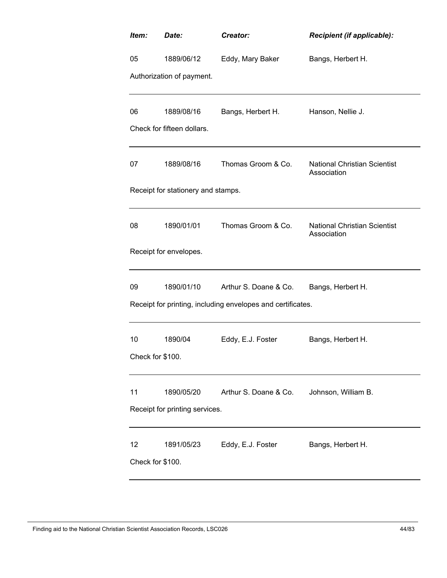| Item:                  | Date:                              | Creator:                                                    | Recipient (if applicable):                         |  |  |
|------------------------|------------------------------------|-------------------------------------------------------------|----------------------------------------------------|--|--|
| 05                     | 1889/06/12                         | Eddy, Mary Baker                                            | Bangs, Herbert H.                                  |  |  |
|                        | Authorization of payment.          |                                                             |                                                    |  |  |
| 06                     | 1889/08/16                         | Bangs, Herbert H.                                           | Hanson, Nellie J.                                  |  |  |
|                        | Check for fifteen dollars.         |                                                             |                                                    |  |  |
| 07                     | 1889/08/16                         | Thomas Groom & Co.                                          | <b>National Christian Scientist</b><br>Association |  |  |
|                        | Receipt for stationery and stamps. |                                                             |                                                    |  |  |
| 08                     | 1890/01/01                         | Thomas Groom & Co.                                          | <b>National Christian Scientist</b><br>Association |  |  |
|                        | Receipt for envelopes.             |                                                             |                                                    |  |  |
| 09                     | 1890/01/10                         | Arthur S. Doane & Co.                                       | Bangs, Herbert H.                                  |  |  |
|                        |                                    | Receipt for printing, including envelopes and certificates. |                                                    |  |  |
| 10                     | 1890/04                            | Eddy, E.J. Foster                                           | Bangs, Herbert H.                                  |  |  |
| Check for \$100.       |                                    |                                                             |                                                    |  |  |
| 11                     | 1890/05/20                         | Arthur S. Doane & Co.                                       | Johnson, William B.                                |  |  |
|                        | Receipt for printing services.     |                                                             |                                                    |  |  |
| 12<br>Check for \$100. | 1891/05/23                         | Eddy, E.J. Foster                                           | Bangs, Herbert H.                                  |  |  |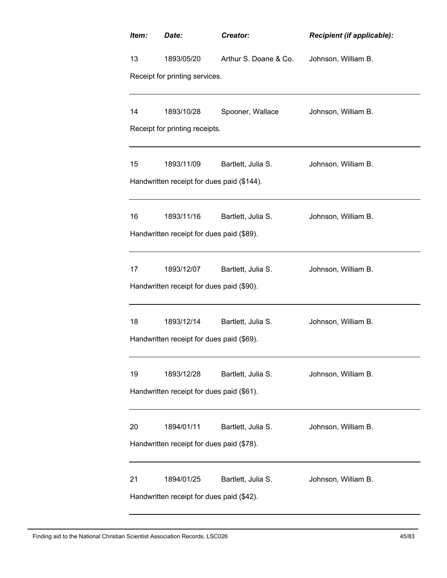| Item:                                     | Date:                                      | Creator:              | Recipient (if applicable): |  |  |
|-------------------------------------------|--------------------------------------------|-----------------------|----------------------------|--|--|
| 13                                        | 1893/05/20                                 | Arthur S. Doane & Co. | Johnson, William B.        |  |  |
|                                           | Receipt for printing services.             |                       |                            |  |  |
|                                           |                                            |                       |                            |  |  |
| 14                                        | 1893/10/28                                 | Spooner, Wallace      | Johnson, William B.        |  |  |
|                                           | Receipt for printing receipts.             |                       |                            |  |  |
| 15                                        | 1893/11/09                                 | Bartlett, Julia S.    | Johnson, William B.        |  |  |
|                                           | Handwritten receipt for dues paid (\$144). |                       |                            |  |  |
|                                           |                                            |                       |                            |  |  |
| 16                                        | 1893/11/16                                 | Bartlett, Julia S.    | Johnson, William B.        |  |  |
|                                           | Handwritten receipt for dues paid (\$89).  |                       |                            |  |  |
|                                           |                                            |                       |                            |  |  |
| 17                                        | 1893/12/07                                 | Bartlett, Julia S.    | Johnson, William B.        |  |  |
|                                           | Handwritten receipt for dues paid (\$90).  |                       |                            |  |  |
|                                           |                                            |                       |                            |  |  |
| 18                                        | 1893/12/14                                 | Bartlett, Julia S.    | Johnson, William B.        |  |  |
|                                           | Handwritten receipt for dues paid (\$69).  |                       |                            |  |  |
| 19                                        | 1893/12/28                                 | Bartlett, Julia S.    | Johnson, William B.        |  |  |
|                                           | Handwritten receipt for dues paid (\$61).  |                       |                            |  |  |
|                                           |                                            |                       |                            |  |  |
| 20                                        | 1894/01/11                                 | Bartlett, Julia S.    | Johnson, William B.        |  |  |
| Handwritten receipt for dues paid (\$78). |                                            |                       |                            |  |  |
|                                           |                                            |                       |                            |  |  |
| 21                                        | 1894/01/25                                 | Bartlett, Julia S.    | Johnson, William B.        |  |  |
| Handwritten receipt for dues paid (\$42). |                                            |                       |                            |  |  |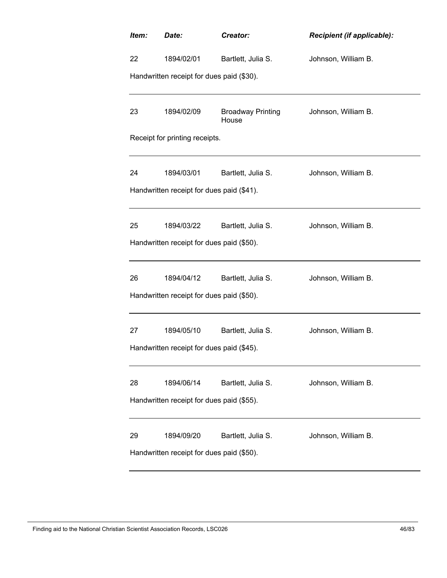| Item:                                     | Date:                                     | Creator:                          | <b>Recipient (if applicable):</b> |  |  |
|-------------------------------------------|-------------------------------------------|-----------------------------------|-----------------------------------|--|--|
| 22                                        | 1894/02/01                                | Bartlett, Julia S.                | Johnson, William B.               |  |  |
|                                           | Handwritten receipt for dues paid (\$30). |                                   |                                   |  |  |
| 23                                        | 1894/02/09                                | <b>Broadway Printing</b><br>House | Johnson, William B.               |  |  |
|                                           | Receipt for printing receipts.            |                                   |                                   |  |  |
| 24                                        | 1894/03/01                                | Bartlett, Julia S.                | Johnson, William B.               |  |  |
|                                           | Handwritten receipt for dues paid (\$41). |                                   |                                   |  |  |
| 25                                        | 1894/03/22                                | Bartlett, Julia S.                | Johnson, William B.               |  |  |
|                                           | Handwritten receipt for dues paid (\$50). |                                   |                                   |  |  |
| 26                                        | 1894/04/12                                | Bartlett, Julia S.                | Johnson, William B.               |  |  |
|                                           | Handwritten receipt for dues paid (\$50). |                                   |                                   |  |  |
| 27                                        | 1894/05/10                                | Bartlett, Julia S.                | Johnson, William B.               |  |  |
| Handwritten receipt for dues paid (\$45). |                                           |                                   |                                   |  |  |
| 28                                        | 1894/06/14                                | Bartlett, Julia S.                | Johnson, William B.               |  |  |
|                                           | Handwritten receipt for dues paid (\$55). |                                   |                                   |  |  |
| 29                                        | 1894/09/20                                | Bartlett, Julia S.                | Johnson, William B.               |  |  |
| Handwritten receipt for dues paid (\$50). |                                           |                                   |                                   |  |  |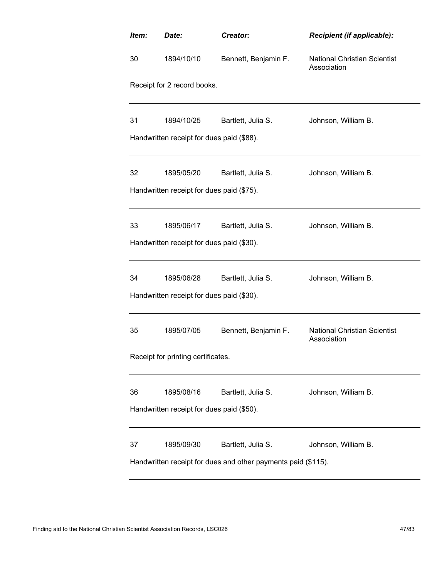| Item:                                     | Date:                                     | Creator:                                                                            | Recipient (if applicable):                         |  |  |
|-------------------------------------------|-------------------------------------------|-------------------------------------------------------------------------------------|----------------------------------------------------|--|--|
| 30                                        | 1894/10/10                                | Bennett, Benjamin F.                                                                | <b>National Christian Scientist</b><br>Association |  |  |
|                                           | Receipt for 2 record books.               |                                                                                     |                                                    |  |  |
| 31                                        | 1894/10/25                                | Bartlett, Julia S.                                                                  | Johnson, William B.                                |  |  |
|                                           | Handwritten receipt for dues paid (\$88). |                                                                                     |                                                    |  |  |
| 32                                        | 1895/05/20                                | Bartlett, Julia S.                                                                  | Johnson, William B.                                |  |  |
|                                           | Handwritten receipt for dues paid (\$75). |                                                                                     |                                                    |  |  |
| 33                                        | 1895/06/17                                | Bartlett, Julia S.                                                                  | Johnson, William B.                                |  |  |
|                                           | Handwritten receipt for dues paid (\$30). |                                                                                     |                                                    |  |  |
| 34                                        | 1895/06/28                                | Bartlett, Julia S.                                                                  | Johnson, William B.                                |  |  |
|                                           | Handwritten receipt for dues paid (\$30). |                                                                                     |                                                    |  |  |
| 35                                        | 1895/07/05                                | Bennett, Benjamin F.                                                                | <b>National Christian Scientist</b><br>Association |  |  |
| Receipt for printing certificates.        |                                           |                                                                                     |                                                    |  |  |
| 36                                        | 1895/08/16                                | Bartlett, Julia S.                                                                  | Johnson, William B.                                |  |  |
| Handwritten receipt for dues paid (\$50). |                                           |                                                                                     |                                                    |  |  |
| 37                                        | 1895/09/30                                | Bartlett, Julia S.<br>Handwritten receipt for dues and other payments paid (\$115). | Johnson, William B.                                |  |  |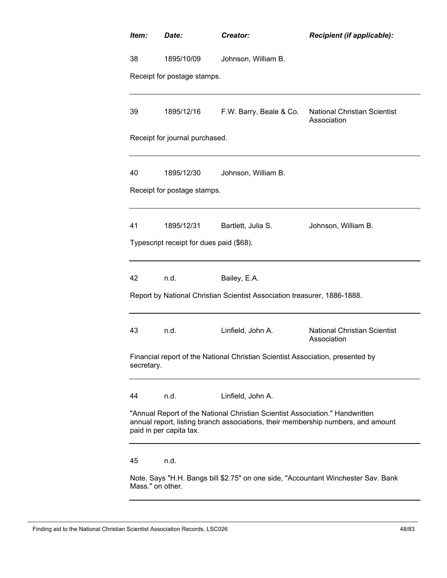| Item:                                                                                                                                                                                       | Date:                                    | Creator:                                                                       | Recipient (if applicable):                                                        |  |
|---------------------------------------------------------------------------------------------------------------------------------------------------------------------------------------------|------------------------------------------|--------------------------------------------------------------------------------|-----------------------------------------------------------------------------------|--|
| 38                                                                                                                                                                                          | 1895/10/09                               | Johnson, William B.                                                            |                                                                                   |  |
|                                                                                                                                                                                             | Receipt for postage stamps.              |                                                                                |                                                                                   |  |
| 39                                                                                                                                                                                          | 1895/12/16                               | F.W. Barry, Beale & Co.                                                        | <b>National Christian Scientist</b><br>Association                                |  |
|                                                                                                                                                                                             | Receipt for journal purchased.           |                                                                                |                                                                                   |  |
| 40                                                                                                                                                                                          | 1895/12/30                               | Johnson, William B.                                                            |                                                                                   |  |
|                                                                                                                                                                                             | Receipt for postage stamps.              |                                                                                |                                                                                   |  |
| 41                                                                                                                                                                                          | 1895/12/31                               | Bartlett, Julia S.                                                             | Johnson, William B.                                                               |  |
|                                                                                                                                                                                             | Typescript receipt for dues paid (\$68). |                                                                                |                                                                                   |  |
| 42                                                                                                                                                                                          | n.d.                                     | Bailey, E.A.                                                                   |                                                                                   |  |
|                                                                                                                                                                                             |                                          | Report by National Christian Scientist Association treasurer, 1886-1888.       |                                                                                   |  |
| 43                                                                                                                                                                                          | n.d.                                     | Linfield, John A.                                                              | <b>National Christian Scientist</b><br>Association                                |  |
| secretary.                                                                                                                                                                                  |                                          | Financial report of the National Christian Scientist Association, presented by |                                                                                   |  |
| 44                                                                                                                                                                                          | n.d.                                     | Linfield, John A.                                                              |                                                                                   |  |
| "Annual Report of the National Christian Scientist Association." Handwritten<br>annual report, listing branch associations, their membership numbers, and amount<br>paid in per capita tax. |                                          |                                                                                |                                                                                   |  |
| 45                                                                                                                                                                                          | n.d.                                     |                                                                                |                                                                                   |  |
|                                                                                                                                                                                             | Mass." on other.                         |                                                                                | Note. Says "H.H. Bangs bill \$2.75" on one side, "Accountant Winchester Sav. Bank |  |

Finding aid to the National Christian Scientist Association Records, LSC026 48/83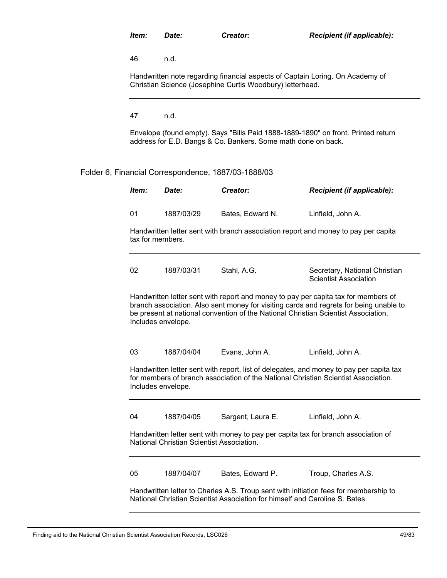46 n.d.

Handwritten note regarding financial aspects of Captain Loring. On Academy of Christian Science (Josephine Curtis Woodbury) letterhead.

47 n.d.

Envelope (found empty). Says "Bills Paid 1888-1889-1890" on front. Printed return address for E.D. Bangs & Co. Bankers. Some math done on back.

# Folder 6, Financial Correspondence, 1887/03-1888/03

| Item:          | Date:                                                                                                                                                                                                                                                                                    | Creator:          | <b>Recipient (if applicable):</b>                             |  |  |  |
|----------------|------------------------------------------------------------------------------------------------------------------------------------------------------------------------------------------------------------------------------------------------------------------------------------------|-------------------|---------------------------------------------------------------|--|--|--|
| 01             | 1887/03/29                                                                                                                                                                                                                                                                               | Bates, Edward N.  | Linfield, John A.                                             |  |  |  |
|                | Handwritten letter sent with branch association report and money to pay per capita<br>tax for members.                                                                                                                                                                                   |                   |                                                               |  |  |  |
| 02             | 1887/03/31                                                                                                                                                                                                                                                                               | Stahl, A.G.       | Secretary, National Christian<br><b>Scientist Association</b> |  |  |  |
|                | Handwritten letter sent with report and money to pay per capita tax for members of<br>branch association. Also sent money for visiting cards and regrets for being unable to<br>be present at national convention of the National Christian Scientist Association.<br>Includes envelope. |                   |                                                               |  |  |  |
| 03             | 1887/04/04                                                                                                                                                                                                                                                                               | Evans, John A.    | Linfield, John A.                                             |  |  |  |
|                | Handwritten letter sent with report, list of delegates, and money to pay per capita tax<br>for members of branch association of the National Christian Scientist Association.<br>Includes envelope.                                                                                      |                   |                                                               |  |  |  |
| 04             | 1887/04/05                                                                                                                                                                                                                                                                               | Sargent, Laura E. | Linfield, John A.                                             |  |  |  |
|                | Handwritten letter sent with money to pay per capita tax for branch association of<br>National Christian Scientist Association.                                                                                                                                                          |                   |                                                               |  |  |  |
| 0 <sub>5</sub> | 1887/04/07                                                                                                                                                                                                                                                                               | Bates, Edward P.  | Troup, Charles A.S.                                           |  |  |  |
|                | Handwritten letter to Charles A.S. Troup sent with initiation fees for membership to<br>National Christian Scientist Association for himself and Caroline S. Bates.                                                                                                                      |                   |                                                               |  |  |  |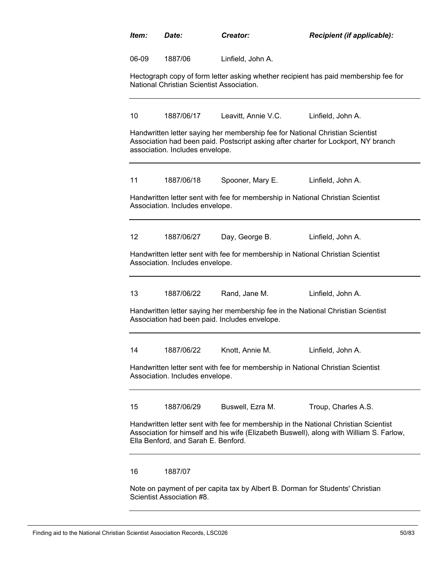| Item: | Date:                                     | Creator:                                      | Recipient (if applicable):                                                                                                                                                     |
|-------|-------------------------------------------|-----------------------------------------------|--------------------------------------------------------------------------------------------------------------------------------------------------------------------------------|
| 06-09 | 1887/06                                   | Linfield, John A.                             |                                                                                                                                                                                |
|       | National Christian Scientist Association. |                                               | Hectograph copy of form letter asking whether recipient has paid membership fee for                                                                                            |
| 10    | 1887/06/17                                | Leavitt, Annie V.C.                           | Linfield, John A.                                                                                                                                                              |
|       | association. Includes envelope.           |                                               | Handwritten letter saying her membership fee for National Christian Scientist<br>Association had been paid. Postscript asking after charter for Lockport, NY branch            |
| 11    | 1887/06/18                                | Spooner, Mary E.                              | Linfield, John A.                                                                                                                                                              |
|       | Association. Includes envelope.           |                                               | Handwritten letter sent with fee for membership in National Christian Scientist                                                                                                |
| 12    | 1887/06/27                                | Day, George B.                                | Linfield, John A.                                                                                                                                                              |
|       | Association. Includes envelope.           |                                               | Handwritten letter sent with fee for membership in National Christian Scientist                                                                                                |
| 13    | 1887/06/22                                | Rand, Jane M.                                 | Linfield, John A.                                                                                                                                                              |
|       |                                           | Association had been paid. Includes envelope. | Handwritten letter saying her membership fee in the National Christian Scientist                                                                                               |
| 14    | 1887/06/22                                | Knott, Annie M.                               | Linfield. John A.                                                                                                                                                              |
|       | Association. Includes envelope.           |                                               | Handwritten letter sent with fee for membership in National Christian Scientist                                                                                                |
| 15    | 1887/06/29                                | Buswell, Ezra M.                              | Troup, Charles A.S.                                                                                                                                                            |
|       | Ella Benford, and Sarah E. Benford.       |                                               | Handwritten letter sent with fee for membership in the National Christian Scientist<br>Association for himself and his wife (Elizabeth Buswell), along with William S. Farlow, |
| 16    | 1887/07                                   |                                               |                                                                                                                                                                                |
|       | Scientist Association #8.                 |                                               | Note on payment of per capita tax by Albert B. Dorman for Students' Christian                                                                                                  |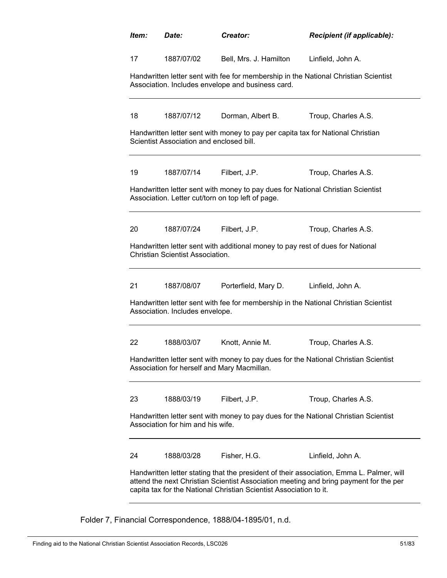| Item: | Date:                                    | Creator:                                                                                                                             | <b>Recipient (if applicable):</b>                                                                                                                                                 |
|-------|------------------------------------------|--------------------------------------------------------------------------------------------------------------------------------------|-----------------------------------------------------------------------------------------------------------------------------------------------------------------------------------|
| 17    | 1887/07/02                               | Bell, Mrs. J. Hamilton                                                                                                               | Linfield, John A.                                                                                                                                                                 |
|       |                                          | Association. Includes envelope and business card.                                                                                    | Handwritten letter sent with fee for membership in the National Christian Scientist                                                                                               |
| 18    | 1887/07/12                               | Dorman, Albert B.                                                                                                                    | Troup, Charles A.S.                                                                                                                                                               |
|       | Scientist Association and enclosed bill. | Handwritten letter sent with money to pay per capita tax for National Christian                                                      |                                                                                                                                                                                   |
| 19    | 1887/07/14                               | Filbert, J.P.                                                                                                                        | Troup, Charles A.S.                                                                                                                                                               |
|       |                                          | Handwritten letter sent with money to pay dues for National Christian Scientist<br>Association. Letter cut/torn on top left of page. |                                                                                                                                                                                   |
| 20    | 1887/07/24                               | Filbert, J.P.                                                                                                                        | Troup, Charles A.S.                                                                                                                                                               |
|       | <b>Christian Scientist Association.</b>  | Handwritten letter sent with additional money to pay rest of dues for National                                                       |                                                                                                                                                                                   |
| 21    | 1887/08/07                               | Porterfield, Mary D.                                                                                                                 | Linfield, John A.                                                                                                                                                                 |
|       | Association. Includes envelope.          |                                                                                                                                      | Handwritten letter sent with fee for membership in the National Christian Scientist                                                                                               |
| 22    | 1888/03/07                               | Knott, Annie M.                                                                                                                      | Troup, Charles A.S.                                                                                                                                                               |
|       |                                          | Association for herself and Mary Macmillan.                                                                                          | Handwritten letter sent with money to pay dues for the National Christian Scientist                                                                                               |
| 23    | 1888/03/19                               | Filbert, J.P.                                                                                                                        | Troup, Charles A.S.                                                                                                                                                               |
|       | Association for him and his wife.        |                                                                                                                                      | Handwritten letter sent with money to pay dues for the National Christian Scientist                                                                                               |
| 24    | 1888/03/28                               | Fisher, H.G.                                                                                                                         | Linfield, John A.                                                                                                                                                                 |
|       |                                          | capita tax for the National Christian Scientist Association to it.                                                                   | Handwritten letter stating that the president of their association, Emma L. Palmer, will<br>attend the next Christian Scientist Association meeting and bring payment for the per |

Folder 7, Financial Correspondence, 1888/04-1895/01, n.d.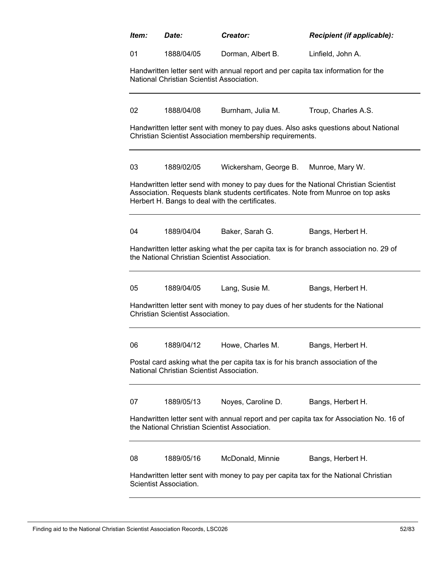|                |                                           | Creator:                                                                          |                                                                                                                                                                        |
|----------------|-------------------------------------------|-----------------------------------------------------------------------------------|------------------------------------------------------------------------------------------------------------------------------------------------------------------------|
| 01             | 1888/04/05                                | Dorman, Albert B.                                                                 | Linfield, John A.                                                                                                                                                      |
|                | National Christian Scientist Association. | Handwritten letter sent with annual report and per capita tax information for the |                                                                                                                                                                        |
| 02             | 1888/04/08                                | Burnham, Julia M.                                                                 | Troup, Charles A.S.                                                                                                                                                    |
|                |                                           | Christian Scientist Association membership requirements.                          | Handwritten letter sent with money to pay dues. Also asks questions about National                                                                                     |
| 03             | 1889/02/05                                | Wickersham, George B.                                                             | Munroe, Mary W.                                                                                                                                                        |
|                |                                           | Herbert H. Bangs to deal with the certificates.                                   | Handwritten letter send with money to pay dues for the National Christian Scientist<br>Association. Requests blank students certificates. Note from Munroe on top asks |
|                |                                           | Baker, Sarah G.                                                                   | Bangs, Herbert H.                                                                                                                                                      |
| 04             | 1889/04/04                                |                                                                                   |                                                                                                                                                                        |
|                |                                           | the National Christian Scientist Association.                                     | Handwritten letter asking what the per capita tax is for branch association no. 29 of                                                                                  |
|                | 1889/04/05                                | Lang, Susie M.                                                                    | Bangs, Herbert H.                                                                                                                                                      |
|                | <b>Christian Scientist Association.</b>   | Handwritten letter sent with money to pay dues of her students for the National   |                                                                                                                                                                        |
|                | 1889/04/12                                | Howe, Charles M.                                                                  | Bangs, Herbert H.                                                                                                                                                      |
|                | National Christian Scientist Association. | Postal card asking what the per capita tax is for his branch association of the   |                                                                                                                                                                        |
|                | 1889/05/13                                | Noyes, Caroline D.                                                                | Bangs, Herbert H.                                                                                                                                                      |
| 05<br>06<br>07 |                                           | the National Christian Scientist Association.                                     | Handwritten letter sent with annual report and per capita tax for Association No. 16 of                                                                                |
| 08             | 1889/05/16                                | McDonald, Minnie                                                                  | Bangs, Herbert H.                                                                                                                                                      |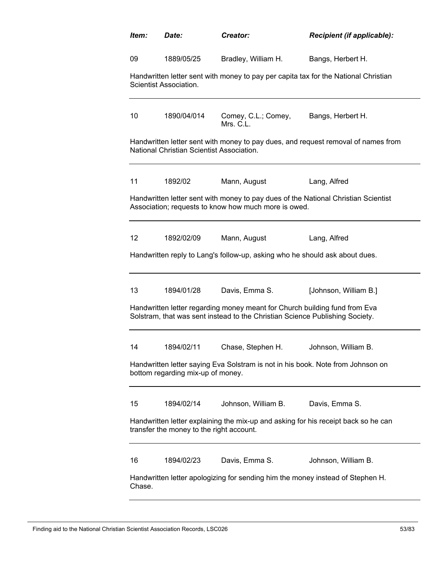| ltem:  | Date:                                     | Creator:                                                                                                                                                   | Recipient (if applicable):                                                          |
|--------|-------------------------------------------|------------------------------------------------------------------------------------------------------------------------------------------------------------|-------------------------------------------------------------------------------------|
| 09     | 1889/05/25                                | Bradley, William H.                                                                                                                                        | Bangs, Herbert H.                                                                   |
|        | Scientist Association.                    |                                                                                                                                                            | Handwritten letter sent with money to pay per capita tax for the National Christian |
| 10     | 1890/04/014                               | Comey, C.L.; Comey,<br>Mrs. C.L.                                                                                                                           | Bangs, Herbert H.                                                                   |
|        | National Christian Scientist Association. |                                                                                                                                                            | Handwritten letter sent with money to pay dues, and request removal of names from   |
| 11     | 1892/02                                   | Mann, August                                                                                                                                               | Lang, Alfred                                                                        |
|        |                                           | Association; requests to know how much more is owed.                                                                                                       | Handwritten letter sent with money to pay dues of the National Christian Scientist  |
| 12     | 1892/02/09                                | Mann, August                                                                                                                                               | Lang, Alfred                                                                        |
|        |                                           | Handwritten reply to Lang's follow-up, asking who he should ask about dues.                                                                                |                                                                                     |
| 13     | 1894/01/28                                | Davis, Emma S.                                                                                                                                             | [Johnson, William B.]                                                               |
|        |                                           | Handwritten letter regarding money meant for Church building fund from Eva<br>Solstram, that was sent instead to the Christian Science Publishing Society. |                                                                                     |
| 14     | 1894/02/11                                | Chase, Stephen H.                                                                                                                                          | Johnson, William B.                                                                 |
|        | bottom regarding mix-up of money.         | Handwritten letter saying Eva Solstram is not in his book. Note from Johnson on                                                                            |                                                                                     |
| 15     | 1894/02/14                                | Johnson, William B.                                                                                                                                        | Davis, Emma S.                                                                      |
|        | transfer the money to the right account.  |                                                                                                                                                            | Handwritten letter explaining the mix-up and asking for his receipt back so he can  |
| 16     | 1894/02/23                                | Davis, Emma S.                                                                                                                                             | Johnson, William B.                                                                 |
| Chase. |                                           | Handwritten letter apologizing for sending him the money instead of Stephen H.                                                                             |                                                                                     |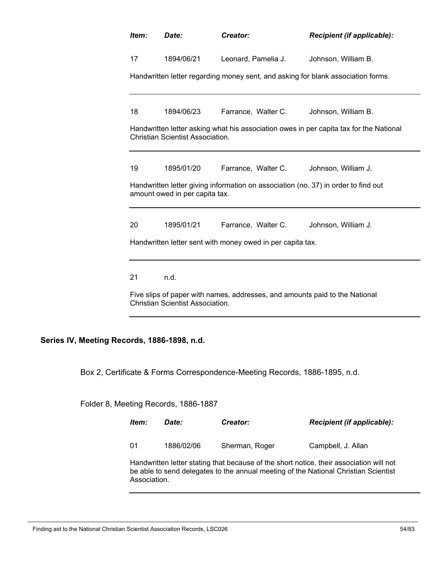| Item:                                                                                                                | Date:                                   | Creator:                                                                         | Recipient (if applicable):                                                             |  |  |
|----------------------------------------------------------------------------------------------------------------------|-----------------------------------------|----------------------------------------------------------------------------------|----------------------------------------------------------------------------------------|--|--|
| 17                                                                                                                   | 1894/06/21                              | Leonard, Pamelia J.                                                              | Johnson, William B.                                                                    |  |  |
|                                                                                                                      |                                         | Handwritten letter regarding money sent, and asking for blank association forms. |                                                                                        |  |  |
| 18                                                                                                                   | 1894/06/23                              | Farrance, Walter C.                                                              | Johnson, William B.                                                                    |  |  |
|                                                                                                                      | <b>Christian Scientist Association.</b> |                                                                                  | Handwritten letter asking what his association owes in per capita tax for the National |  |  |
| 19                                                                                                                   | 1895/01/20                              | Farrance, Walter C.                                                              | Johnson, William J.                                                                    |  |  |
| Handwritten letter giving information on association (no. 37) in order to find out<br>amount owed in per capita tax. |                                         |                                                                                  |                                                                                        |  |  |
| 20                                                                                                                   | 1895/01/21                              | Farrance, Walter C.                                                              | Johnson, William J.                                                                    |  |  |
| Handwritten letter sent with money owed in per capita tax.                                                           |                                         |                                                                                  |                                                                                        |  |  |
| 21                                                                                                                   | n.d.                                    |                                                                                  |                                                                                        |  |  |
| Five slips of paper with names, addresses, and amounts paid to the National<br>Christian Scientist Association.      |                                         |                                                                                  |                                                                                        |  |  |

**Series IV, Meeting Records, 1886-1898, n.d.**

Box 2, Certificate & Forms Correspondence-Meeting Records, 1886-1895, n.d.

Folder 8, Meeting Records, 1886-1887

Association.

| ltem: | Date:      | Creator:       | <b>Recipient (if applicable):</b>                                                                                                                                              |
|-------|------------|----------------|--------------------------------------------------------------------------------------------------------------------------------------------------------------------------------|
| 01    | 1886/02/06 | Sherman, Roger | Campbell, J. Allan                                                                                                                                                             |
|       |            |                | Handwritten letter stating that because of the short notice, their association will not<br>be able to send delegates to the annual meeting of the National Christian Scientist |

Finding aid to the National Christian Scientist Association Records, LSC026 54/83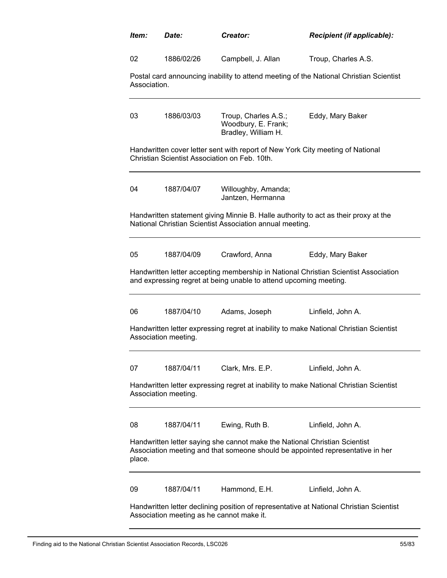| ltem:        | Date:                | Creator:                                                                                                                        | Recipient (if applicable):                                                              |
|--------------|----------------------|---------------------------------------------------------------------------------------------------------------------------------|-----------------------------------------------------------------------------------------|
| 02           | 1886/02/26           | Campbell, J. Allan                                                                                                              | Troup, Charles A.S.                                                                     |
| Association. |                      |                                                                                                                                 | Postal card announcing inability to attend meeting of the National Christian Scientist  |
| 03           | 1886/03/03           | Troup, Charles A.S.;<br>Woodbury, E. Frank;<br>Bradley, William H.                                                              | Eddy, Mary Baker                                                                        |
|              |                      | Handwritten cover letter sent with report of New York City meeting of National<br>Christian Scientist Association on Feb. 10th. |                                                                                         |
| 04           | 1887/04/07           | Willoughby, Amanda;<br>Jantzen, Hermanna                                                                                        |                                                                                         |
|              |                      | National Christian Scientist Association annual meeting.                                                                        | Handwritten statement giving Minnie B. Halle authority to act as their proxy at the     |
| 05           | 1887/04/09           | Crawford, Anna                                                                                                                  | Eddy, Mary Baker                                                                        |
|              |                      | and expressing regret at being unable to attend upcoming meeting.                                                               | Handwritten letter accepting membership in National Christian Scientist Association     |
| 06           | 1887/04/10           | Adams, Joseph                                                                                                                   | Linfield, John A.                                                                       |
|              | Association meeting. |                                                                                                                                 | Handwritten letter expressing regret at inability to make National Christian Scientist  |
| 07           | 1887/04/11           | Clark, Mrs. E.P.                                                                                                                | Linfield, John A.                                                                       |
|              | Association meeting. |                                                                                                                                 | Handwritten letter expressing regret at inability to make National Christian Scientist  |
| 08           | 1887/04/11           | Ewing, Ruth B.                                                                                                                  | Linfield, John A.                                                                       |
| place.       |                      | Handwritten letter saying she cannot make the National Christian Scientist                                                      | Association meeting and that someone should be appointed representative in her          |
| 09           | 1887/04/11           | Hammond, E.H.                                                                                                                   | Linfield, John A.                                                                       |
|              |                      | Association meeting as he cannot make it.                                                                                       | Handwritten letter declining position of representative at National Christian Scientist |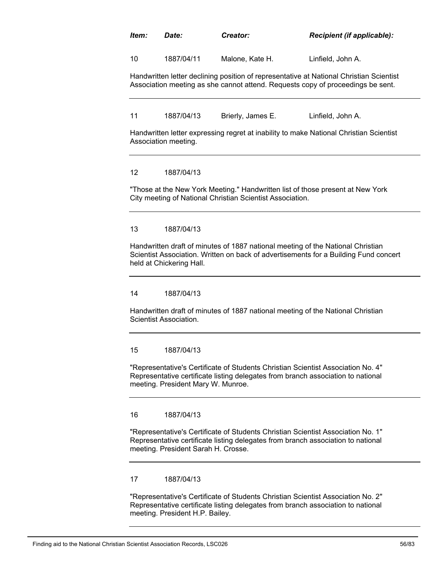# *Item: Date: Creator: Recipient (if applicable):*

10 1887/04/11 Malone, Kate H. Linfield, John A.

Handwritten letter declining position of representative at National Christian Scientist Association meeting as she cannot attend. Requests copy of proceedings be sent.

11 1887/04/13 Brierly, James E. Linfield, John A.

Handwritten letter expressing regret at inability to make National Christian Scientist Association meeting.

# 12 1887/04/13

"Those at the New York Meeting." Handwritten list of those present at New York City meeting of National Christian Scientist Association.

#### 13 1887/04/13

Handwritten draft of minutes of 1887 national meeting of the National Christian Scientist Association. Written on back of advertisements for a Building Fund concert held at Chickering Hall.

# 14 1887/04/13

Handwritten draft of minutes of 1887 national meeting of the National Christian Scientist Association.

#### 15 1887/04/13

"Representative's Certificate of Students Christian Scientist Association No. 4" Representative certificate listing delegates from branch association to national meeting. President Mary W. Munroe.

#### 16 1887/04/13

"Representative's Certificate of Students Christian Scientist Association No. 1" Representative certificate listing delegates from branch association to national meeting. President Sarah H. Crosse.

# 17 1887/04/13

"Representative's Certificate of Students Christian Scientist Association No. 2" Representative certificate listing delegates from branch association to national meeting. President H.P. Bailey.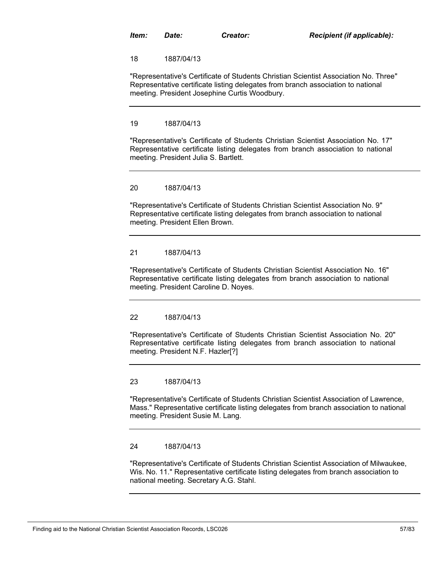18 1887/04/13

"Representative's Certificate of Students Christian Scientist Association No. Three" Representative certificate listing delegates from branch association to national meeting. President Josephine Curtis Woodbury.

#### 19 1887/04/13

"Representative's Certificate of Students Christian Scientist Association No. 17" Representative certificate listing delegates from branch association to national meeting. President Julia S. Bartlett.

#### 20 1887/04/13

"Representative's Certificate of Students Christian Scientist Association No. 9" Representative certificate listing delegates from branch association to national meeting. President Ellen Brown.

# 21 1887/04/13

"Representative's Certificate of Students Christian Scientist Association No. 16" Representative certificate listing delegates from branch association to national meeting. President Caroline D. Noyes.

# 22 1887/04/13

"Representative's Certificate of Students Christian Scientist Association No. 20" Representative certificate listing delegates from branch association to national meeting. President N.F. Hazler[?]

23 1887/04/13

"Representative's Certificate of Students Christian Scientist Association of Lawrence, Mass." Representative certificate listing delegates from branch association to national meeting. President Susie M. Lang.

#### 24 1887/04/13

"Representative's Certificate of Students Christian Scientist Association of Milwaukee, Wis. No. 11." Representative certificate listing delegates from branch association to national meeting. Secretary A.G. Stahl.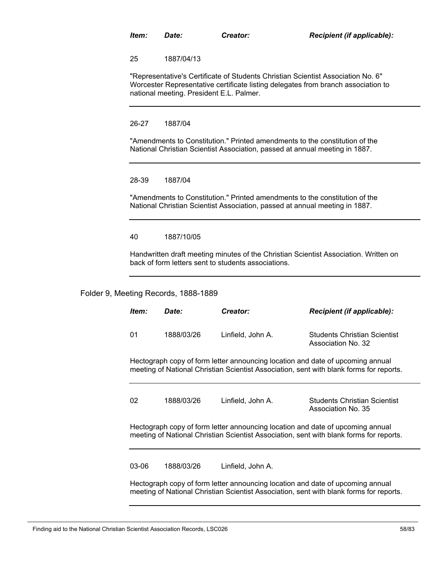25 1887/04/13

"Representative's Certificate of Students Christian Scientist Association No. 6" Worcester Representative certificate listing delegates from branch association to national meeting. President E.L. Palmer.

# 26-27 1887/04

"Amendments to Constitution." Printed amendments to the constitution of the National Christian Scientist Association, passed at annual meeting in 1887.

# 28-39 1887/04

"Amendments to Constitution." Printed amendments to the constitution of the National Christian Scientist Association, passed at annual meeting in 1887.

#### 40 1887/10/05

Handwritten draft meeting minutes of the Christian Scientist Association. Written on back of form letters sent to students associations.

# Folder 9, Meeting Records, 1888-1889

| ltem:                                                                                                                                                                     | Date:                                                                                                                                                                     | Creator:          | <b>Recipient (if applicable):</b>                         |  |  |  |
|---------------------------------------------------------------------------------------------------------------------------------------------------------------------------|---------------------------------------------------------------------------------------------------------------------------------------------------------------------------|-------------------|-----------------------------------------------------------|--|--|--|
| 01                                                                                                                                                                        | 1888/03/26                                                                                                                                                                | Linfield, John A. | Students Christian Scientist<br>Association No. 32        |  |  |  |
|                                                                                                                                                                           | Hectograph copy of form letter announcing location and date of upcoming annual<br>meeting of National Christian Scientist Association, sent with blank forms for reports. |                   |                                                           |  |  |  |
| 02                                                                                                                                                                        | 1888/03/26                                                                                                                                                                | Linfield, John A. | <b>Students Christian Scientist</b><br>Association No. 35 |  |  |  |
|                                                                                                                                                                           | Hectograph copy of form letter announcing location and date of upcoming annual<br>meeting of National Christian Scientist Association, sent with blank forms for reports. |                   |                                                           |  |  |  |
| 03-06                                                                                                                                                                     | 1888/03/26                                                                                                                                                                | Linfield, John A. |                                                           |  |  |  |
| Hectograph copy of form letter announcing location and date of upcoming annual<br>meeting of National Christian Scientist Association, sent with blank forms for reports. |                                                                                                                                                                           |                   |                                                           |  |  |  |

Finding aid to the National Christian Scientist Association Records, LSC026 58/83 58/83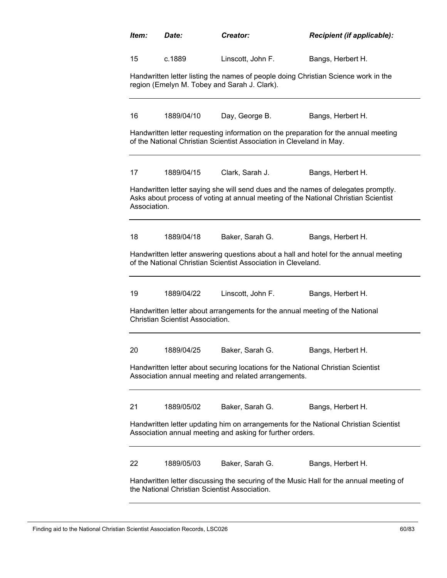| ltem:        | <i>Date:</i>                                                                                                                             | Creator:                                                                     | Recipient (if applicable):                                                                                                                                              |  |  |  |
|--------------|------------------------------------------------------------------------------------------------------------------------------------------|------------------------------------------------------------------------------|-------------------------------------------------------------------------------------------------------------------------------------------------------------------------|--|--|--|
| 15           | c.1889                                                                                                                                   | Linscott, John F.                                                            | Bangs, Herbert H.                                                                                                                                                       |  |  |  |
|              | Handwritten letter listing the names of people doing Christian Science work in the<br>region (Emelyn M. Tobey and Sarah J. Clark).       |                                                                              |                                                                                                                                                                         |  |  |  |
| 16           | 1889/04/10                                                                                                                               | Day, George B.                                                               | Bangs, Herbert H.                                                                                                                                                       |  |  |  |
|              |                                                                                                                                          | of the National Christian Scientist Association in Cleveland in May.         | Handwritten letter requesting information on the preparation for the annual meeting                                                                                     |  |  |  |
| 17           | 1889/04/15                                                                                                                               | Clark, Sarah J.                                                              | Bangs, Herbert H.                                                                                                                                                       |  |  |  |
| Association. |                                                                                                                                          |                                                                              | Handwritten letter saying she will send dues and the names of delegates promptly.<br>Asks about process of voting at annual meeting of the National Christian Scientist |  |  |  |
| 18           | 1889/04/18                                                                                                                               | Baker, Sarah G.                                                              | Bangs, Herbert H.                                                                                                                                                       |  |  |  |
|              |                                                                                                                                          | of the National Christian Scientist Association in Cleveland.                | Handwritten letter answering questions about a hall and hotel for the annual meeting                                                                                    |  |  |  |
| 19           | 1889/04/22                                                                                                                               | Linscott, John F.                                                            | Bangs, Herbert H.                                                                                                                                                       |  |  |  |
|              | <b>Christian Scientist Association.</b>                                                                                                  | Handwritten letter about arrangements for the annual meeting of the National |                                                                                                                                                                         |  |  |  |
| 20           | 1889/04/25                                                                                                                               | Baker, Sarah G.                                                              | Bangs, Herbert H.                                                                                                                                                       |  |  |  |
|              | Handwritten letter about securing locations for the National Christian Scientist<br>Association annual meeting and related arrangements. |                                                                              |                                                                                                                                                                         |  |  |  |
| 21           | 1889/05/02                                                                                                                               | Baker, Sarah G.                                                              | Bangs, Herbert H.                                                                                                                                                       |  |  |  |
|              |                                                                                                                                          | Association annual meeting and asking for further orders.                    | Handwritten letter updating him on arrangements for the National Christian Scientist                                                                                    |  |  |  |
| 22           | 1889/05/03                                                                                                                               | Baker, Sarah G.                                                              | Bangs, Herbert H.                                                                                                                                                       |  |  |  |
|              | Handwritten letter discussing the securing of the Music Hall for the annual meeting of<br>the National Christian Scientist Association.  |                                                                              |                                                                                                                                                                         |  |  |  |

Finding aid to the National Christian Scientist Association Records, LSC026 60/83 60/83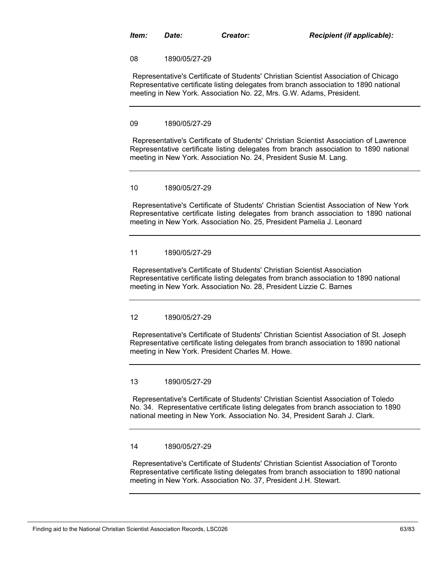08 1890/05/27-29

Representative's Certificate of Students' Christian Scientist Association of Chicago" Representative certificate listing delegates from branch association to 1890 national meeting in New York. Association No. 22, Mrs. G.W. Adams, President.

#### 09 1890/05/27-29

"Representative's Certificate of Students' Christian Scientist Association of Lawrence" Representative certificate listing delegates from branch association to 1890 national meeting in New York. Association No. 24, President Susie M. Lang.

#### 10 1890/05/27-29

"Representative's Certificate of Students' Christian Scientist Association of New York" Representative certificate listing delegates from branch association to 1890 national meeting in New York. Association No. 25, President Pamelia J. Leonard

# 11 1890/05/27-29

"Representative's Certificate of Students' Christian Scientist Association" Representative certificate listing delegates from branch association to 1890 national meeting in New York. Association No. 28, President Lizzie C. Barnes

# 12 1890/05/27-29

"Representative's Certificate of Students' Christian Scientist Association of St. Joseph" Representative certificate listing delegates from branch association to 1890 national meeting in New York. President Charles M. Howe.

# 13 1890/05/27-29

"Representative's Certificate of Students' Christian Scientist Association of Toledo No. 34." Representative certificate listing delegates from branch association to 1890 national meeting in New York. Association No. 34, President Sarah J. Clark.

# 14 1890/05/27-29

"Representative's Certificate of Students' Christian Scientist Association of Toronto" Representative certificate listing delegates from branch association to 1890 national meeting in New York. Association No. 37, President J.H. Stewart.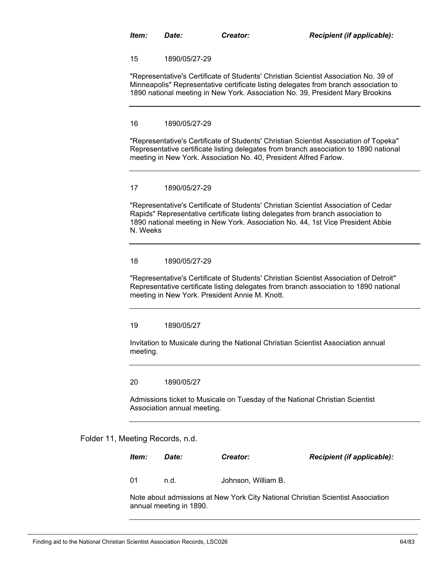15 1890/05/27-29

"Representative's Certificate of Students' Christian Scientist Association No. 39 of Minneapolis" Representative certificate listing delegates from branch association to 1890 national meeting in New York. Association No. 39, President Mary Brookins

#### 16 1890/05/27-29

"Representative's Certificate of Students' Christian Scientist Association of Topeka" Representative certificate listing delegates from branch association to 1890 national meeting in New York. Association No. 40, President Alfred Farlow.

#### 17 1890/05/27-29

"Representative's Certificate of Students' Christian Scientist Association of Cedar Rapids" Representative certificate listing delegates from branch association to 1890 national meeting in New York. Association No. 44, 1st Vice President Abbie N. Weeks

# 18 1890/05/27-29

"Representative's Certificate of Students' Christian Scientist Association of Detroit" Representative certificate listing delegates from branch association to 1890 national meeting in New York. President Annie M. Knott.

19 1890/05/27

Invitation to Musicale during the National Christian Scientist Association annual meeting.

20 1890/05/27

Admissions ticket to Musicale on Tuesday of the National Christian Scientist Association annual meeting.

Folder 11, Meeting Records, n.d.

| ltem: | <i>Date:</i> | Creator:            | <b>Recipient (if applicable):</b> |
|-------|--------------|---------------------|-----------------------------------|
| -01   | n.d.         | Johnson, William B. |                                   |

Note about admissions at New York City National Christian Scientist Association annual meeting in 1890.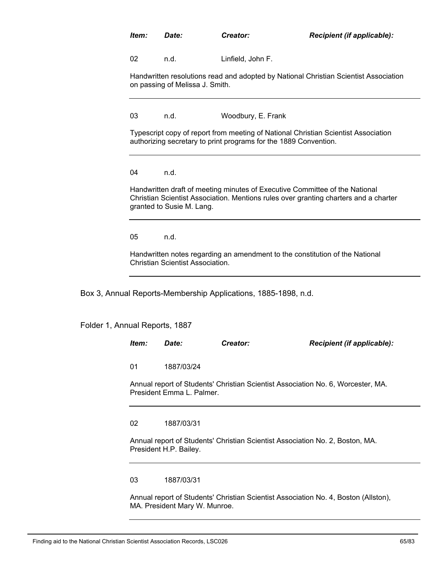| ltem: | Date: | Creator: | Recipient (if applicable): |
|-------|-------|----------|----------------------------|
|-------|-------|----------|----------------------------|

02 n.d. Linfield, John F.

Handwritten resolutions read and adopted by National Christian Scientist Association on passing of Melissa J. Smith.

03 n.d. Woodbury, E. Frank

Typescript copy of report from meeting of National Christian Scientist Association authorizing secretary to print programs for the 1889 Convention.

04 n.d.

Handwritten draft of meeting minutes of Executive Committee of the National Christian Scientist Association. Mentions rules over granting charters and a charter granted to Susie M. Lang.

05 n.d.

Handwritten notes regarding an amendment to the constitution of the National Christian Scientist Association.

Box 3, Annual Reports-Membership Applications, 1885-1898, n.d.

Folder 1, Annual Reports, 1887

*Item: Date: Creator: Recipient (if applicable):* Annual report of Students' Christian Scientist Association No. 6, Worcester, MA. President Emma L. Palmer. 01 1887/03/24 Annual report of Students' Christian Scientist Association No. 2, Boston, MA. President H.P. Bailey. 02 1887/03/31

03 1887/03/31

Annual report of Students' Christian Scientist Association No. 4, Boston (Allston), MA. President Mary W. Munroe.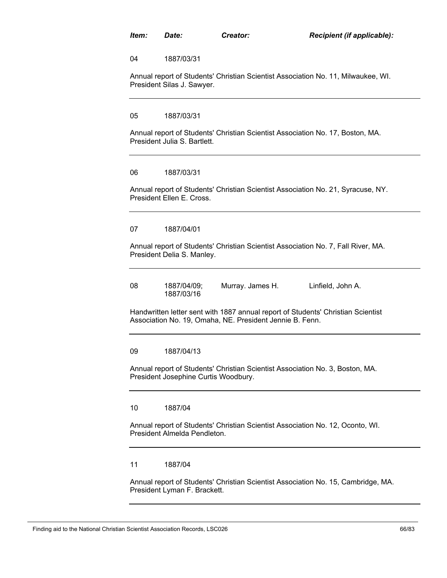04 1887/03/31

Annual report of Students' Christian Scientist Association No. 11, Milwaukee, WI. President Silas J. Sawyer.

05 1887/03/31

Annual report of Students' Christian Scientist Association No. 17, Boston, MA. President Julia S. Bartlett.

# 06 1887/03/31

Annual report of Students' Christian Scientist Association No. 21, Syracuse, NY. President Ellen E. Cross.

#### 07 1887/04/01

Annual report of Students' Christian Scientist Association No. 7, Fall River, MA. President Delia S. Manley.

| 08 | 1887/04/09; | Murray. James H. | Linfield, John A. |
|----|-------------|------------------|-------------------|
|    | 1887/03/16  |                  |                   |

Handwritten letter sent with 1887 annual report of Students' Christian Scientist Association No. 19, Omaha, NE. President Jennie B. Fenn.

#### 09 1887/04/13

Annual report of Students' Christian Scientist Association No. 3, Boston, MA. President Josephine Curtis Woodbury.

10 1887/04

Annual report of Students' Christian Scientist Association No. 12, Oconto, WI. President Almelda Pendleton.

11 1887/04

Annual report of Students' Christian Scientist Association No. 15, Cambridge, MA. President Lyman F. Brackett.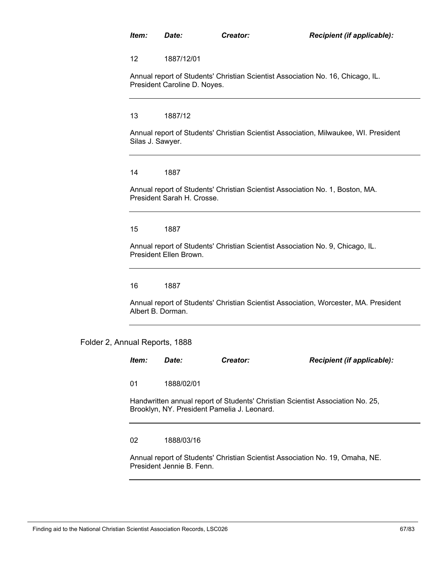12 1887/12/01

Annual report of Students' Christian Scientist Association No. 16, Chicago, IL. President Caroline D. Noyes.

13 1887/12

Annual report of Students' Christian Scientist Association, Milwaukee, WI. President Silas J. Sawyer.

14 1887

Annual report of Students' Christian Scientist Association No. 1, Boston, MA. President Sarah H. Crosse.

15 1887

Annual report of Students' Christian Scientist Association No. 9, Chicago, IL. President Ellen Brown.

16 1887

Annual report of Students' Christian Scientist Association, Worcester, MA. President Albert B. Dorman.

Folder 2, Annual Reports, 1888

| ltem:                                                                                                                         | Date:      | Creator: | <b>Recipient (if applicable):</b> |  |  |  |
|-------------------------------------------------------------------------------------------------------------------------------|------------|----------|-----------------------------------|--|--|--|
| 01                                                                                                                            | 1888/02/01 |          |                                   |  |  |  |
| Handwritten annual report of Students' Christian Scientist Association No. 25,<br>Brooklyn, NY. President Pamelia J. Leonard. |            |          |                                   |  |  |  |

02 1888/03/16

Annual report of Students' Christian Scientist Association No. 19, Omaha, NE. President Jennie B. Fenn.

Finding aid to the National Christian Scientist Association Records, LSC026 67/83 67/83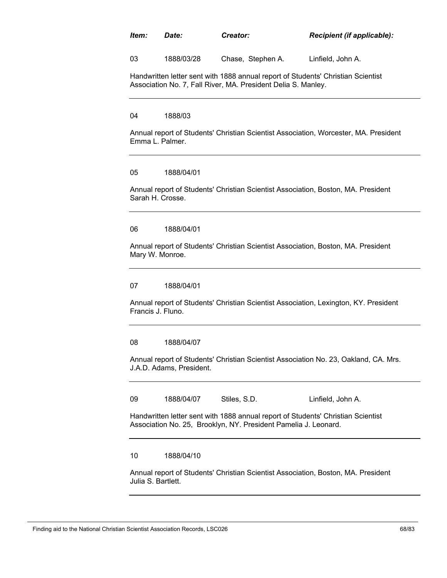*Item: Date: Creator: Recipient (if applicable):*

03 1888/03/28 Chase, Stephen A. Linfield, John A.

Handwritten letter sent with 1888 annual report of Students' Christian Scientist Association No. 7, Fall River, MA. President Delia S. Manley.

04 1888/03

Annual report of Students' Christian Scientist Association, Worcester, MA. President Emma L. Palmer.

05 1888/04/01

Annual report of Students' Christian Scientist Association, Boston, MA. President Sarah H. Crosse.

06 1888/04/01

Annual report of Students' Christian Scientist Association, Boston, MA. President Mary W. Monroe.

07 1888/04/01

Annual report of Students' Christian Scientist Association, Lexington, KY. President Francis J. Fluno.

08 1888/04/07

Annual report of Students' Christian Scientist Association No. 23, Oakland, CA. Mrs. J.A.D. Adams, President.

09 1888/04/07 Stiles, S.D. Linfield, John A.

Handwritten letter sent with 1888 annual report of Students' Christian Scientist Association No. 25, Brooklyn, NY. President Pamelia J. Leonard.

10 1888/04/10

Annual report of Students' Christian Scientist Association, Boston, MA. President Julia S. Bartlett.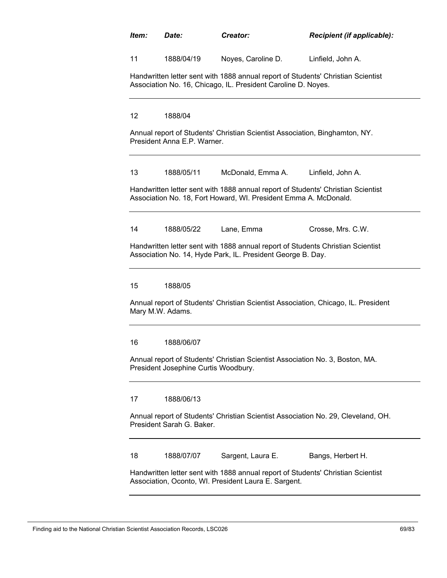|                 | Date:                                | Creator:                                                                    | Recipient (if applicable):                                                         |
|-----------------|--------------------------------------|-----------------------------------------------------------------------------|------------------------------------------------------------------------------------|
| 11              | 1888/04/19                           | Noyes, Caroline D.                                                          | Linfield, John A.                                                                  |
|                 |                                      | Association No. 16, Chicago, IL. President Caroline D. Noyes.               | Handwritten letter sent with 1888 annual report of Students' Christian Scientist   |
| 12 <sup>2</sup> | 1888/04                              |                                                                             |                                                                                    |
|                 | President Anna E.P. Warner.          | Annual report of Students' Christian Scientist Association, Binghamton, NY. |                                                                                    |
| 13              | 1888/05/11                           | McDonald, Emma A.                                                           | Linfield, John A.                                                                  |
|                 |                                      | Association No. 18, Fort Howard, WI. President Emma A. McDonald.            | Handwritten letter sent with 1888 annual report of Students' Christian Scientist   |
|                 |                                      |                                                                             |                                                                                    |
| 14              | 1888/05/22                           | Lane, Emma                                                                  | Crosse, Mrs. C.W.                                                                  |
|                 |                                      | Association No. 14, Hyde Park, IL. President George B. Day.                 | Handwritten letter sent with 1888 annual report of Students Christian Scientist    |
| 15              | 1888/05                              |                                                                             |                                                                                    |
|                 | Mary M.W. Adams.                     |                                                                             | Annual report of Students' Christian Scientist Association, Chicago, IL. President |
| 16              | 1888/06/07                           |                                                                             |                                                                                    |
|                 | President Josephine Curtis Woodbury. |                                                                             | Annual report of Students' Christian Scientist Association No. 3, Boston, MA.      |
| 17              | 1888/06/13                           |                                                                             |                                                                                    |
|                 | President Sarah G. Baker.            |                                                                             | Annual report of Students' Christian Scientist Association No. 29, Cleveland, OH.  |
| 18              | 1888/07/07                           | Sargent, Laura E.                                                           | Bangs, Herbert H.                                                                  |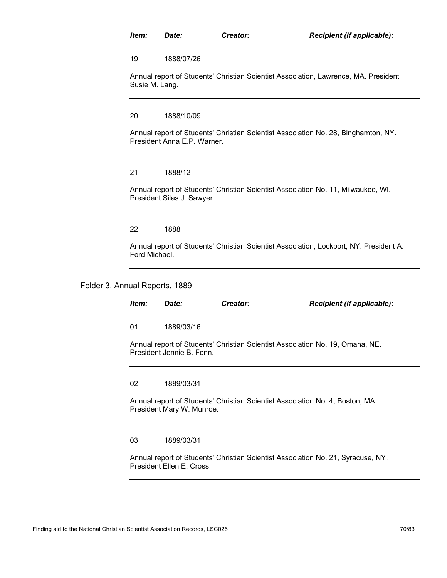19 1888/07/26

Annual report of Students' Christian Scientist Association, Lawrence, MA. President Susie M. Lang.

20 1888/10/09

Annual report of Students' Christian Scientist Association No. 28, Binghamton, NY. President Anna E.P. Warner.

# 21 1888/12

Annual report of Students' Christian Scientist Association No. 11, Milwaukee, WI. President Silas J. Sawyer.

22 1888

Annual report of Students' Christian Scientist Association, Lockport, NY. President A. Ford Michael.

# Folder 3, Annual Reports, 1889

| Item:                                                                                                         | Date:      | Creator: | Recipient (if applicable): |  |  |  |  |
|---------------------------------------------------------------------------------------------------------------|------------|----------|----------------------------|--|--|--|--|
| 01                                                                                                            | 1889/03/16 |          |                            |  |  |  |  |
| Annual report of Students' Christian Scientist Association No. 19, Omaha, NE.<br>President Jennie B. Fenn.    |            |          |                            |  |  |  |  |
| 02                                                                                                            | 1889/03/31 |          |                            |  |  |  |  |
| Annual report of Students' Christian Scientist Association No. 4, Boston, MA.<br>President Mary W. Munroe.    |            |          |                            |  |  |  |  |
| 03                                                                                                            | 1889/03/31 |          |                            |  |  |  |  |
| Annual report of Students' Christian Scientist Association No. 21, Syracuse, NY.<br>President Ellen E. Cross. |            |          |                            |  |  |  |  |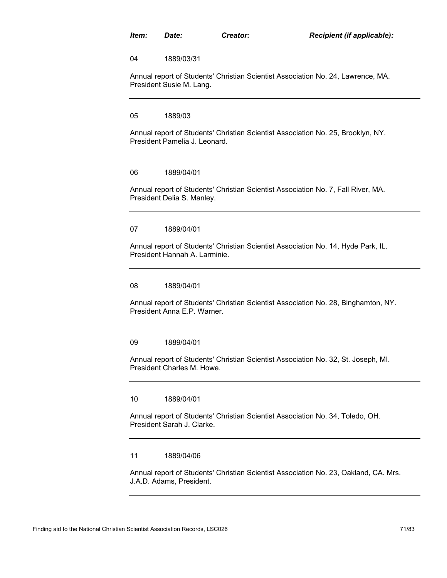04 1889/03/31

Annual report of Students' Christian Scientist Association No. 24, Lawrence, MA. President Susie M. Lang.

05 1889/03

Annual report of Students' Christian Scientist Association No. 25, Brooklyn, NY. President Pamelia J. Leonard.

06 1889/04/01

Annual report of Students' Christian Scientist Association No. 7, Fall River, MA. President Delia S. Manley.

07 1889/04/01

Annual report of Students' Christian Scientist Association No. 14, Hyde Park, IL. President Hannah A. Larminie.

08 1889/04/01

Annual report of Students' Christian Scientist Association No. 28, Binghamton, NY. President Anna E.P. Warner.

09 1889/04/01

Annual report of Students' Christian Scientist Association No. 32, St. Joseph, MI. President Charles M. Howe.

10 1889/04/01

Annual report of Students' Christian Scientist Association No. 34, Toledo, OH. President Sarah J. Clarke.

11 1889/04/06

Annual report of Students' Christian Scientist Association No. 23, Oakland, CA. Mrs. J.A.D. Adams, President.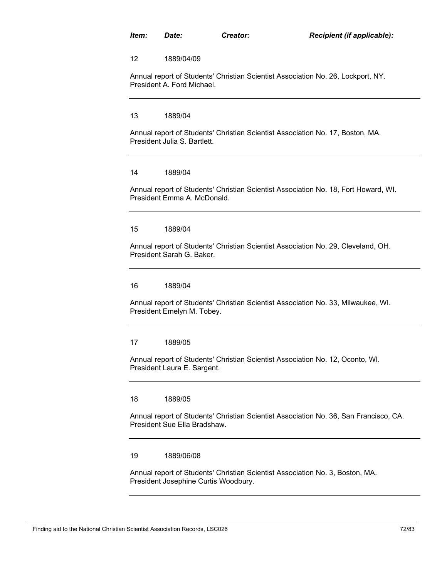12 1889/04/09

Annual report of Students' Christian Scientist Association No. 26, Lockport, NY. President A. Ford Michael.

13 1889/04

Annual report of Students' Christian Scientist Association No. 17, Boston, MA. President Julia S. Bartlett.

14 1889/04

Annual report of Students' Christian Scientist Association No. 18, Fort Howard, WI. President Emma A. McDonald.

15 1889/04

Annual report of Students' Christian Scientist Association No. 29, Cleveland, OH. President Sarah G. Baker.

16 1889/04

Annual report of Students' Christian Scientist Association No. 33, Milwaukee, WI. President Emelyn M. Tobey.

17 1889/05

Annual report of Students' Christian Scientist Association No. 12, Oconto, WI. President Laura E. Sargent.

18 1889/05

Annual report of Students' Christian Scientist Association No. 36, San Francisco, CA. President Sue Ella Bradshaw.

19 1889/06/08

Annual report of Students' Christian Scientist Association No. 3, Boston, MA. President Josephine Curtis Woodbury.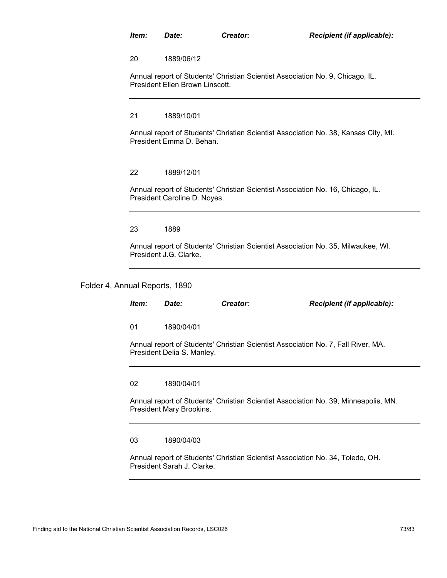20 1889/06/12

Annual report of Students' Christian Scientist Association No. 9, Chicago, IL. President Ellen Brown Linscott.

21 1889/10/01

Annual report of Students' Christian Scientist Association No. 38, Kansas City, MI. President Emma D. Behan.

## 22 1889/12/01

Annual report of Students' Christian Scientist Association No. 16, Chicago, IL. President Caroline D. Noyes.

23 1889

Annual report of Students' Christian Scientist Association No. 35, Milwaukee, WI. President J.G. Clarke.

Folder 4, Annual Reports, 1890

| ltem:                                                                                                           | <i>Date:</i> | Creator: | Recipient (if applicable): |
|-----------------------------------------------------------------------------------------------------------------|--------------|----------|----------------------------|
| 01                                                                                                              | 1890/04/01   |          |                            |
| Annual report of Students' Christian Scientist Association No. 7, Fall River, MA.<br>President Delia S. Manley. |              |          |                            |
| 02                                                                                                              | 1890/04/01   |          |                            |
| Annual report of Students' Christian Scientist Association No. 39, Minneapolis, MN.<br>President Mary Brookins. |              |          |                            |
| 03                                                                                                              | 1890/04/03   |          |                            |

Annual report of Students' Christian Scientist Association No. 34, Toledo, OH. President Sarah J. Clarke.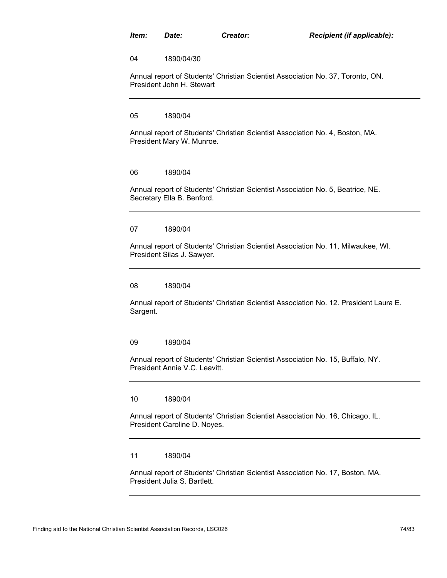04 1890/04/30

Annual report of Students' Christian Scientist Association No. 37, Toronto, ON. President John H. Stewart

05 1890/04

Annual report of Students' Christian Scientist Association No. 4, Boston, MA. President Mary W. Munroe.

06 1890/04

Annual report of Students' Christian Scientist Association No. 5, Beatrice, NE. Secretary Ella B. Benford.

07 1890/04

Annual report of Students' Christian Scientist Association No. 11, Milwaukee, WI. President Silas J. Sawyer.

08 1890/04

Annual report of Students' Christian Scientist Association No. 12. President Laura E. Sargent.

09 1890/04

Annual report of Students' Christian Scientist Association No. 15, Buffalo, NY. President Annie V.C. Leavitt.

10 1890/04

Annual report of Students' Christian Scientist Association No. 16, Chicago, IL. President Caroline D. Noyes.

11 1890/04

Annual report of Students' Christian Scientist Association No. 17, Boston, MA. President Julia S. Bartlett.

Finding aid to the National Christian Scientist Association Records, LSC026 74/83 74/83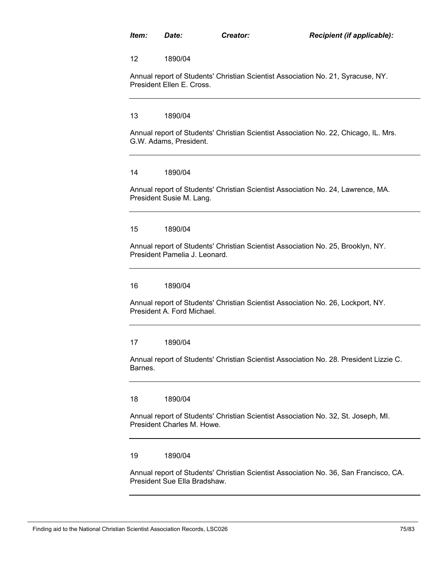12 1890/04

Annual report of Students' Christian Scientist Association No. 21, Syracuse, NY. President Ellen E. Cross.

13 1890/04

Annual report of Students' Christian Scientist Association No. 22, Chicago, IL. Mrs. G.W. Adams, President.

14 1890/04

Annual report of Students' Christian Scientist Association No. 24, Lawrence, MA. President Susie M. Lang.

15 1890/04

Annual report of Students' Christian Scientist Association No. 25, Brooklyn, NY. President Pamelia J. Leonard.

16 1890/04

Annual report of Students' Christian Scientist Association No. 26, Lockport, NY. President A. Ford Michael.

17 1890/04

Annual report of Students' Christian Scientist Association No. 28. President Lizzie C. Barnes.

18 1890/04

Annual report of Students' Christian Scientist Association No. 32, St. Joseph, MI. President Charles M. Howe.

19 1890/04

Annual report of Students' Christian Scientist Association No. 36, San Francisco, CA. President Sue Ella Bradshaw.

Finding aid to the National Christian Scientist Association Records, LSC026 75/83 75/83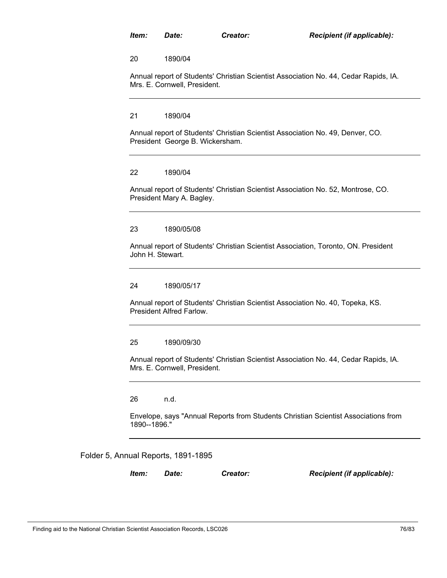20 1890/04

Annual report of Students' Christian Scientist Association No. 44, Cedar Rapids, IA. Mrs. E. Cornwell, President.

21 1890/04

Annual report of Students' Christian Scientist Association No. 49, Denver, CO. President George B. Wickersham.

## 22 1890/04

Annual report of Students' Christian Scientist Association No. 52, Montrose, CO. President Mary A. Bagley.

## 23 1890/05/08

Annual report of Students' Christian Scientist Association, Toronto, ON. President John H. Stewart.

#### 24 1890/05/17

Annual report of Students' Christian Scientist Association No. 40, Topeka, KS. President Alfred Farlow.

## 25 1890/09/30

Annual report of Students' Christian Scientist Association No. 44, Cedar Rapids, IA. Mrs. E. Cornwell, President.

26 n.d.

Envelope, says "Annual Reports from Students Christian Scientist Associations from 1890--1896."

### Folder 5, Annual Reports, 1891-1895

*Item: Date: Creator: Recipient (if applicable):*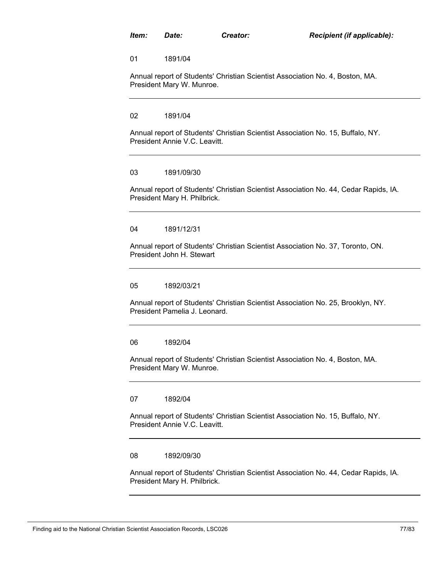01 1891/04

Annual report of Students' Christian Scientist Association No. 4, Boston, MA. President Mary W. Munroe.

02 1891/04

Annual report of Students' Christian Scientist Association No. 15, Buffalo, NY. President Annie V.C. Leavitt.

## 03 1891/09/30

Annual report of Students' Christian Scientist Association No. 44, Cedar Rapids, IA. President Mary H. Philbrick.

## 04 1891/12/31

Annual report of Students' Christian Scientist Association No. 37, Toronto, ON. President John H. Stewart

05 1892/03/21

Annual report of Students' Christian Scientist Association No. 25, Brooklyn, NY. President Pamelia J. Leonard.

06 1892/04

Annual report of Students' Christian Scientist Association No. 4, Boston, MA. President Mary W. Munroe.

07 1892/04

Annual report of Students' Christian Scientist Association No. 15, Buffalo, NY. President Annie V.C. Leavitt.

### 08 1892/09/30

Annual report of Students' Christian Scientist Association No. 44, Cedar Rapids, IA. President Mary H. Philbrick.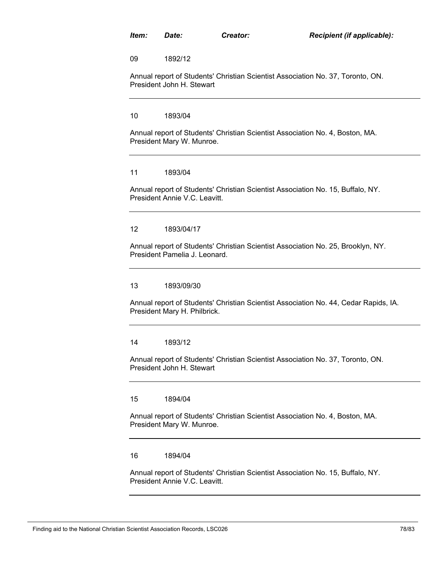09 1892/12

Annual report of Students' Christian Scientist Association No. 37, Toronto, ON. President John H. Stewart

10 1893/04

Annual report of Students' Christian Scientist Association No. 4, Boston, MA. President Mary W. Munroe.

11 1893/04

Annual report of Students' Christian Scientist Association No. 15, Buffalo, NY. President Annie V.C. Leavitt.

12 1893/04/17

Annual report of Students' Christian Scientist Association No. 25, Brooklyn, NY. President Pamelia J. Leonard.

13 1893/09/30

Annual report of Students' Christian Scientist Association No. 44, Cedar Rapids, IA. President Mary H. Philbrick.

14 1893/12

Annual report of Students' Christian Scientist Association No. 37, Toronto, ON. President John H. Stewart

15 1894/04

Annual report of Students' Christian Scientist Association No. 4, Boston, MA. President Mary W. Munroe.

16 1894/04

Annual report of Students' Christian Scientist Association No. 15, Buffalo, NY. President Annie V.C. Leavitt.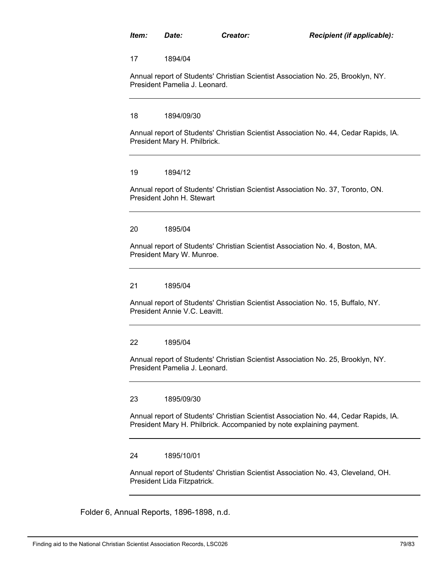17 1894/04

Annual report of Students' Christian Scientist Association No. 25, Brooklyn, NY. President Pamelia J. Leonard.

18 1894/09/30

Annual report of Students' Christian Scientist Association No. 44, Cedar Rapids, IA. President Mary H. Philbrick.

19 1894/12

Annual report of Students' Christian Scientist Association No. 37, Toronto, ON. President John H. Stewart

20 1895/04

Annual report of Students' Christian Scientist Association No. 4, Boston, MA. President Mary W. Munroe.

21 1895/04

Annual report of Students' Christian Scientist Association No. 15, Buffalo, NY. President Annie V.C. Leavitt.

22 1895/04

Annual report of Students' Christian Scientist Association No. 25, Brooklyn, NY. President Pamelia J. Leonard.

23 1895/09/30

Annual report of Students' Christian Scientist Association No. 44, Cedar Rapids, IA. President Mary H. Philbrick. Accompanied by note explaining payment.

24 1895/10/01

Annual report of Students' Christian Scientist Association No. 43, Cleveland, OH. President Lida Fitzpatrick.

Folder 6, Annual Reports, 1896-1898, n.d.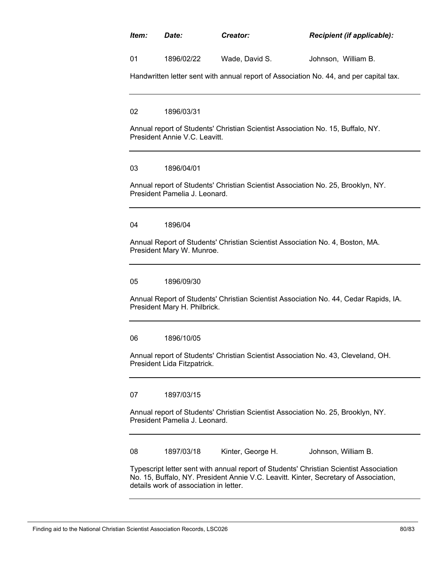# *Item: Date: Creator: Recipient (if applicable):*

01 1896/02/22 Wade, David S. Johnson, William B.

Handwritten letter sent with annual report of Association No. 44, and per capital tax.

02 1896/03/31

Annual report of Students' Christian Scientist Association No. 15, Buffalo, NY. President Annie V.C. Leavitt.

## 03 1896/04/01

Annual report of Students' Christian Scientist Association No. 25, Brooklyn, NY. President Pamelia J. Leonard.

## 04 1896/04

Annual Report of Students' Christian Scientist Association No. 4, Boston, MA. President Mary W. Munroe.

05 1896/09/30

Annual Report of Students' Christian Scientist Association No. 44, Cedar Rapids, IA. President Mary H. Philbrick.

06 1896/10/05

Annual report of Students' Christian Scientist Association No. 43, Cleveland, OH. President Lida Fitzpatrick.

07 1897/03/15

Annual report of Students' Christian Scientist Association No. 25, Brooklyn, NY. President Pamelia J. Leonard.

08 1897/03/18 Kinter, George H. Johnson, William B.

Typescript letter sent with annual report of Students' Christian Scientist Association No. 15, Buffalo, NY. President Annie V.C. Leavitt. Kinter, Secretary of Association, details work of association in letter.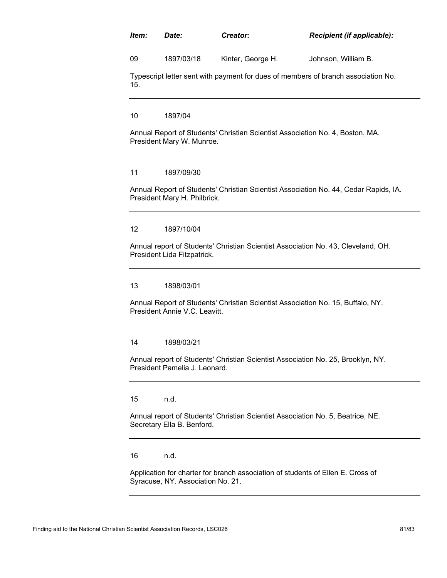## *Item: Date: Creator: Recipient (if applicable):*

09 1897/03/18 Kinter, George H. Johnson, William B.

Typescript letter sent with payment for dues of members of branch association No. 15.

10 1897/04

Annual Report of Students' Christian Scientist Association No. 4, Boston, MA. President Mary W. Munroe.

## 11 1897/09/30

Annual Report of Students' Christian Scientist Association No. 44, Cedar Rapids, IA. President Mary H. Philbrick.

## 12 1897/10/04

Annual report of Students' Christian Scientist Association No. 43, Cleveland, OH. President Lida Fitzpatrick.

## 13 1898/03/01

Annual Report of Students' Christian Scientist Association No. 15, Buffalo, NY. President Annie V.C. Leavitt.

## 14 1898/03/21

Annual report of Students' Christian Scientist Association No. 25, Brooklyn, NY. President Pamelia J. Leonard.

15 n.d.

Annual report of Students' Christian Scientist Association No. 5, Beatrice, NE. Secretary Ella B. Benford.

16 n.d.

Application for charter for branch association of students of Ellen E. Cross of Syracuse, NY. Association No. 21.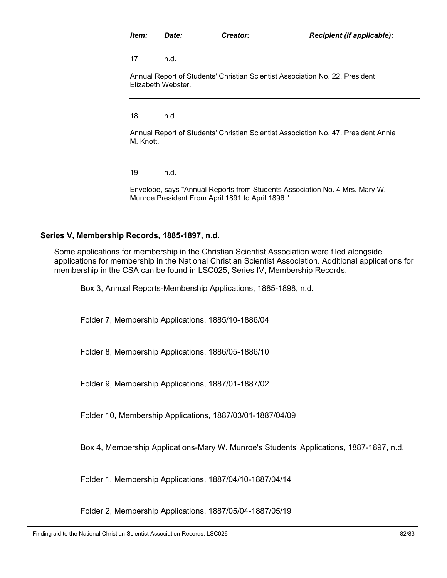17 n.d.

Annual Report of Students' Christian Scientist Association No. 22. President Elizabeth Webster.

18 n.d.

Annual Report of Students' Christian Scientist Association No. 47. President Annie M. Knott.

19 n.d.

Envelope, says "Annual Reports from Students Association No. 4 Mrs. Mary W. Munroe President From April 1891 to April 1896."

# **Series V, Membership Records, 1885-1897, n.d.**

Some applications for membership in the Christian Scientist Association were filed alongside applications for membership in the National Christian Scientist Association. Additional applications for membership in the CSA can be found in LSC025, Series IV, Membership Records.

Box 3, Annual Reports-Membership Applications, 1885-1898, n.d.

Folder 7, Membership Applications, 1885/10-1886/04

Folder 8, Membership Applications, 1886/05-1886/10

Folder 9, Membership Applications, 1887/01-1887/02

Folder 10, Membership Applications, 1887/03/01-1887/04/09

Box 4, Membership Applications-Mary W. Munroe's Students' Applications, 1887-1897, n.d.

Folder 1, Membership Applications, 1887/04/10-1887/04/14

Folder 2, Membership Applications, 1887/05/04-1887/05/19